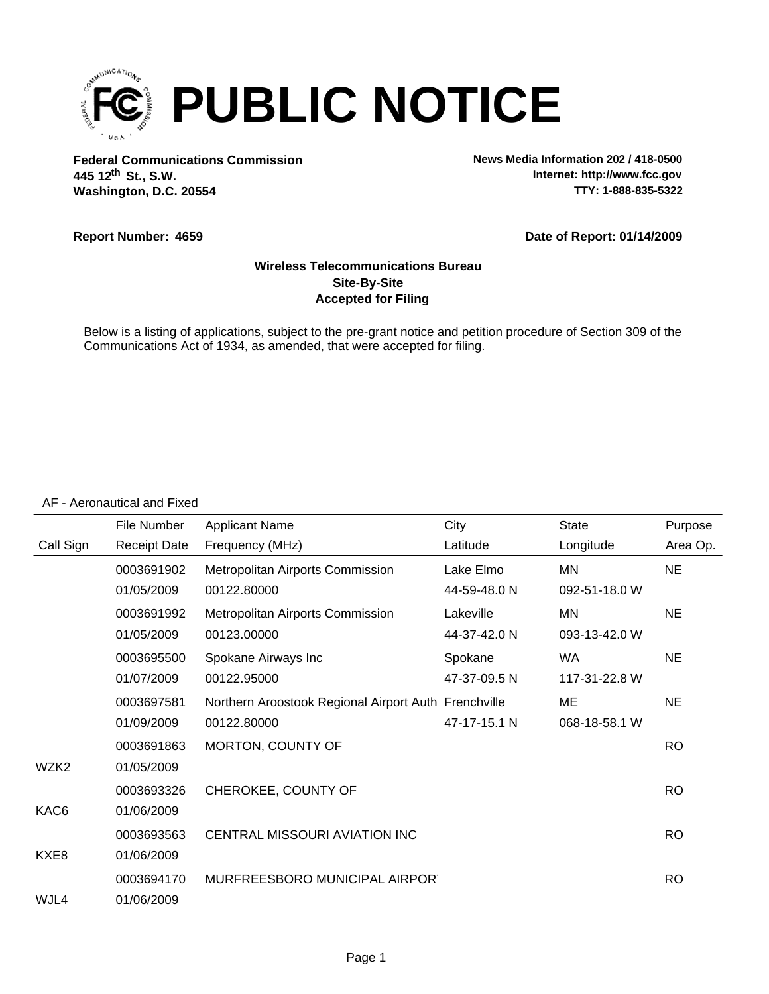

**Federal Communications Commission News Media Information 202 / 418-0500 Washington, D.C. 20554 th 445 12 St., S.W.**

**Internet: http://www.fcc.gov TTY: 1-888-835-5322**

#### **Report Number: 4659**

#### **Date of Report: 01/14/2009**

### **Accepted for Filing Site-By-Site Wireless Telecommunications Bureau**

Below is a listing of applications, subject to the pre-grant notice and petition procedure of Section 309 of the Communications Act of 1934, as amended, that were accepted for filing.

#### AF - Aeronautical and Fixed

|           | File Number         | <b>Applicant Name</b>                                | City         | <b>State</b>  | Purpose   |
|-----------|---------------------|------------------------------------------------------|--------------|---------------|-----------|
| Call Sign | <b>Receipt Date</b> | Frequency (MHz)                                      | Latitude     | Longitude     | Area Op.  |
|           | 0003691902          | Metropolitan Airports Commission                     | Lake Elmo    | ΜN            | <b>NE</b> |
|           | 01/05/2009          | 00122.80000                                          | 44-59-48.0 N | 092-51-18.0 W |           |
|           | 0003691992          | Metropolitan Airports Commission                     | Lakeville    | ΜN            | <b>NE</b> |
|           | 01/05/2009          | 00123.00000                                          | 44-37-42.0 N | 093-13-42.0 W |           |
|           | 0003695500          | Spokane Airways Inc                                  | Spokane      | <b>WA</b>     | <b>NE</b> |
|           | 01/07/2009          | 00122.95000                                          | 47-37-09.5 N | 117-31-22.8 W |           |
|           | 0003697581          | Northern Aroostook Regional Airport Auth Frenchville |              | ME            | <b>NE</b> |
|           | 01/09/2009          | 00122.80000                                          | 47-17-15.1 N | 068-18-58.1 W |           |
|           | 0003691863          | MORTON, COUNTY OF                                    |              |               | <b>RO</b> |
| WZK2      | 01/05/2009          |                                                      |              |               |           |
|           | 0003693326          | CHEROKEE, COUNTY OF                                  |              |               | <b>RO</b> |
| KAC6      | 01/06/2009          |                                                      |              |               |           |
|           | 0003693563          | CENTRAL MISSOURI AVIATION INC                        |              |               | <b>RO</b> |
| KXE8      | 01/06/2009          |                                                      |              |               |           |
|           | 0003694170          | MURFREESBORO MUNICIPAL AIRPORT                       |              |               | <b>RO</b> |
| WJL4      | 01/06/2009          |                                                      |              |               |           |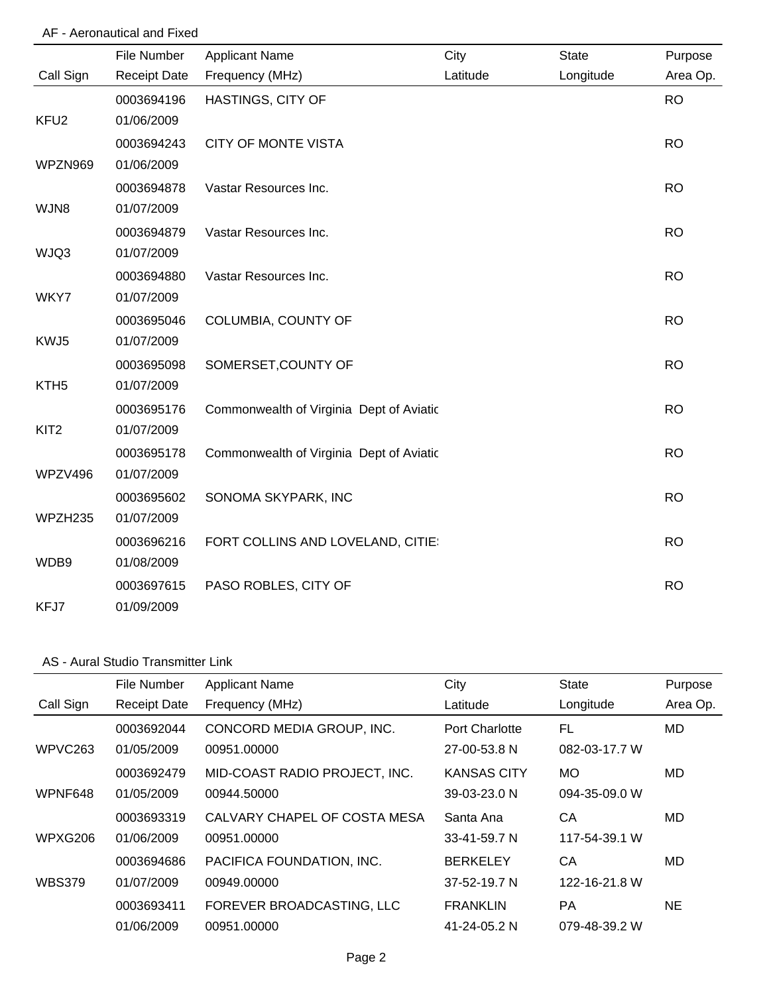# AF - Aeronautical and Fixed

|                  | File Number         | <b>Applicant Name</b>                    | City     | <b>State</b> | Purpose   |
|------------------|---------------------|------------------------------------------|----------|--------------|-----------|
| Call Sign        | <b>Receipt Date</b> | Frequency (MHz)                          | Latitude | Longitude    | Area Op.  |
|                  | 0003694196          | HASTINGS, CITY OF                        |          |              | <b>RO</b> |
| KFU <sub>2</sub> | 01/06/2009          |                                          |          |              |           |
|                  | 0003694243          | <b>CITY OF MONTE VISTA</b>               |          |              | <b>RO</b> |
| WPZN969          | 01/06/2009          |                                          |          |              |           |
|                  | 0003694878          | Vastar Resources Inc.                    |          |              | <b>RO</b> |
| WJN8             | 01/07/2009          |                                          |          |              |           |
|                  | 0003694879          | Vastar Resources Inc.                    |          |              | <b>RO</b> |
| WJQ3             | 01/07/2009          |                                          |          |              |           |
|                  | 0003694880          | Vastar Resources Inc.                    |          |              | <b>RO</b> |
| WKY7             | 01/07/2009          |                                          |          |              |           |
|                  | 0003695046          | COLUMBIA, COUNTY OF                      |          |              | <b>RO</b> |
| KWJ5             | 01/07/2009          |                                          |          |              |           |
|                  | 0003695098          | SOMERSET, COUNTY OF                      |          |              | <b>RO</b> |
| KTH <sub>5</sub> | 01/07/2009          |                                          |          |              |           |
|                  | 0003695176          | Commonwealth of Virginia Dept of Aviatic |          |              | <b>RO</b> |
| KIT <sub>2</sub> | 01/07/2009          |                                          |          |              |           |
|                  | 0003695178          | Commonwealth of Virginia Dept of Aviatic |          |              | <b>RO</b> |
| WPZV496          | 01/07/2009          |                                          |          |              |           |
|                  | 0003695602          | SONOMA SKYPARK, INC                      |          |              | <b>RO</b> |
| WPZH235          | 01/07/2009          |                                          |          |              |           |
|                  | 0003696216          | FORT COLLINS AND LOVELAND, CITIE:        |          |              | <b>RO</b> |
| WDB9             | 01/08/2009          |                                          |          |              |           |
|                  | 0003697615          | PASO ROBLES, CITY OF                     |          |              | <b>RO</b> |
| KFJ7             | 01/09/2009          |                                          |          |              |           |

# AS - Aural Studio Transmitter Link

|               | File Number         | <b>Applicant Name</b>         | City               | <b>State</b>  | Purpose  |
|---------------|---------------------|-------------------------------|--------------------|---------------|----------|
| Call Sign     | <b>Receipt Date</b> | Frequency (MHz)               | Latitude           | Longitude     | Area Op. |
|               | 0003692044          | CONCORD MEDIA GROUP, INC.     | Port Charlotte     | FL            | MD.      |
| WPVC263       | 01/05/2009          | 00951.00000                   | 27-00-53.8 N       | 082-03-17.7 W |          |
|               | 0003692479          | MID-COAST RADIO PROJECT, INC. | KANSAS CITY        | <b>MO</b>     | MD.      |
| WPNF648       | 01/05/2009          | 00944.50000                   | 39-03-23.0 N       | 094-35-09.0 W |          |
|               | 0003693319          | CALVARY CHAPEL OF COSTA MESA  | Santa Ana          | CA            | MD       |
| WPXG206       | 01/06/2009          | 00951.00000                   | 33-41-59.7 N       | 117-54-39.1 W |          |
|               | 0003694686          | PACIFICA FOUNDATION, INC.     | <b>BERKELEY</b>    | CA            | MD       |
| <b>WBS379</b> | 01/07/2009          | 00949.00000                   | $37 - 52 - 19.7 N$ | 122-16-21.8 W |          |
|               | 0003693411          | FOREVER BROADCASTING, LLC     | <b>FRANKLIN</b>    | <b>PA</b>     | NE.      |
|               | 01/06/2009          | 00951.00000                   | 41-24-05.2 N       | 079-48-39.2 W |          |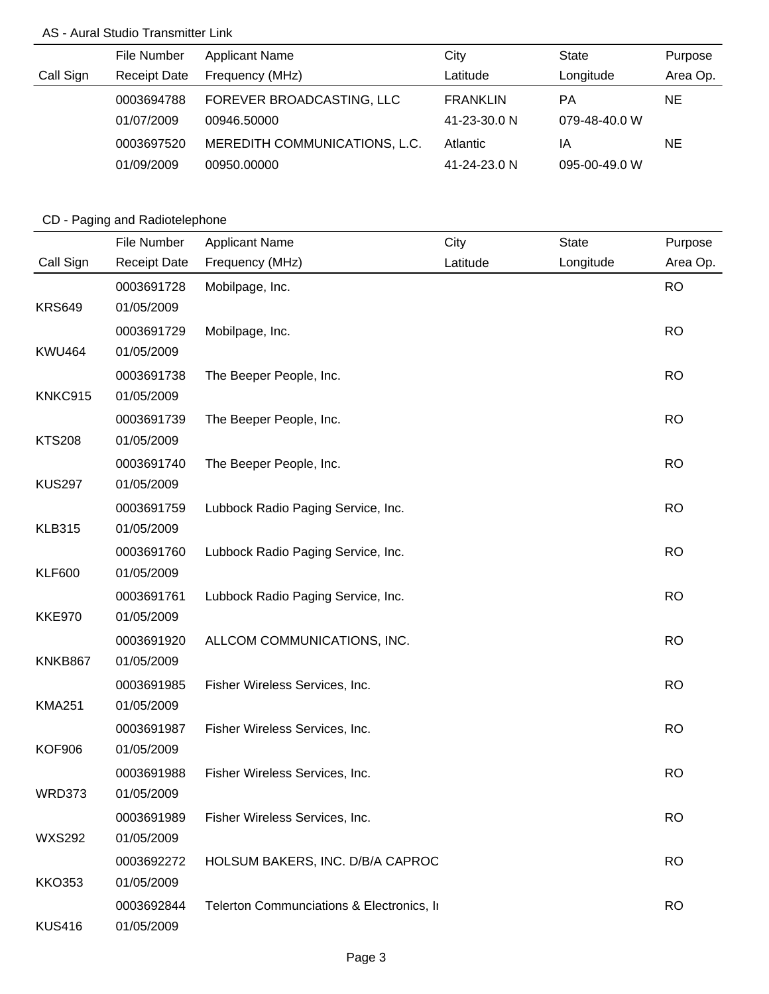# AS - Aural Studio Transmitter Link

|           | File Number         | <b>Applicant Name</b>         | City            | State         | Purpose  |
|-----------|---------------------|-------------------------------|-----------------|---------------|----------|
| Call Sign | <b>Receipt Date</b> | Frequency (MHz)               | Latitude        | Longitude     | Area Op. |
|           | 0003694788          | FOREVER BROADCASTING, LLC     | <b>FRANKLIN</b> | РA            | ΝE       |
|           | 01/07/2009          | 00946.50000                   | 41-23-30.0 N    | 079-48-40.0 W |          |
|           | 0003697520          | MEREDITH COMMUNICATIONS, L.C. | Atlantic        | ΙA            | NE.      |
|           | 01/09/2009          | 00950.00000                   | 41-24-23.0 N    | 095-00-49.0 W |          |

# CD - Paging and Radiotelephone

|               | File Number         | <b>Applicant Name</b>                     | City     | <b>State</b> | Purpose   |
|---------------|---------------------|-------------------------------------------|----------|--------------|-----------|
| Call Sign     | <b>Receipt Date</b> | Frequency (MHz)                           | Latitude | Longitude    | Area Op.  |
|               | 0003691728          | Mobilpage, Inc.                           |          |              | <b>RO</b> |
| <b>KRS649</b> | 01/05/2009          |                                           |          |              |           |
|               | 0003691729          | Mobilpage, Inc.                           |          |              | <b>RO</b> |
| <b>KWU464</b> | 01/05/2009          |                                           |          |              |           |
|               | 0003691738          | The Beeper People, Inc.                   |          |              | <b>RO</b> |
| KNKC915       | 01/05/2009          |                                           |          |              |           |
|               | 0003691739          | The Beeper People, Inc.                   |          |              | <b>RO</b> |
| <b>KTS208</b> | 01/05/2009          |                                           |          |              |           |
|               | 0003691740          | The Beeper People, Inc.                   |          |              | <b>RO</b> |
| <b>KUS297</b> | 01/05/2009          |                                           |          |              |           |
|               | 0003691759          | Lubbock Radio Paging Service, Inc.        |          |              | <b>RO</b> |
| <b>KLB315</b> | 01/05/2009          |                                           |          |              |           |
|               | 0003691760          | Lubbock Radio Paging Service, Inc.        |          |              | <b>RO</b> |
| <b>KLF600</b> | 01/05/2009          |                                           |          |              |           |
|               | 0003691761          | Lubbock Radio Paging Service, Inc.        |          |              | <b>RO</b> |
| <b>KKE970</b> | 01/05/2009          |                                           |          |              |           |
|               | 0003691920          | ALLCOM COMMUNICATIONS, INC.               |          |              | <b>RO</b> |
| KNKB867       | 01/05/2009          |                                           |          |              |           |
|               | 0003691985          | Fisher Wireless Services, Inc.            |          |              | <b>RO</b> |
| <b>KMA251</b> | 01/05/2009          |                                           |          |              |           |
|               | 0003691987          | Fisher Wireless Services, Inc.            |          |              | <b>RO</b> |
| <b>KOF906</b> | 01/05/2009          |                                           |          |              |           |
|               | 0003691988          | Fisher Wireless Services, Inc.            |          |              | <b>RO</b> |
| WRD373        | 01/05/2009          |                                           |          |              |           |
|               | 0003691989          | Fisher Wireless Services, Inc.            |          |              | <b>RO</b> |
| <b>WXS292</b> | 01/05/2009          |                                           |          |              |           |
|               | 0003692272          | HOLSUM BAKERS, INC. D/B/A CAPROC          |          |              | <b>RO</b> |
| <b>KKO353</b> | 01/05/2009          |                                           |          |              |           |
|               | 0003692844          | Telerton Communciations & Electronics, In |          |              | <b>RO</b> |
| <b>KUS416</b> | 01/05/2009          |                                           |          |              |           |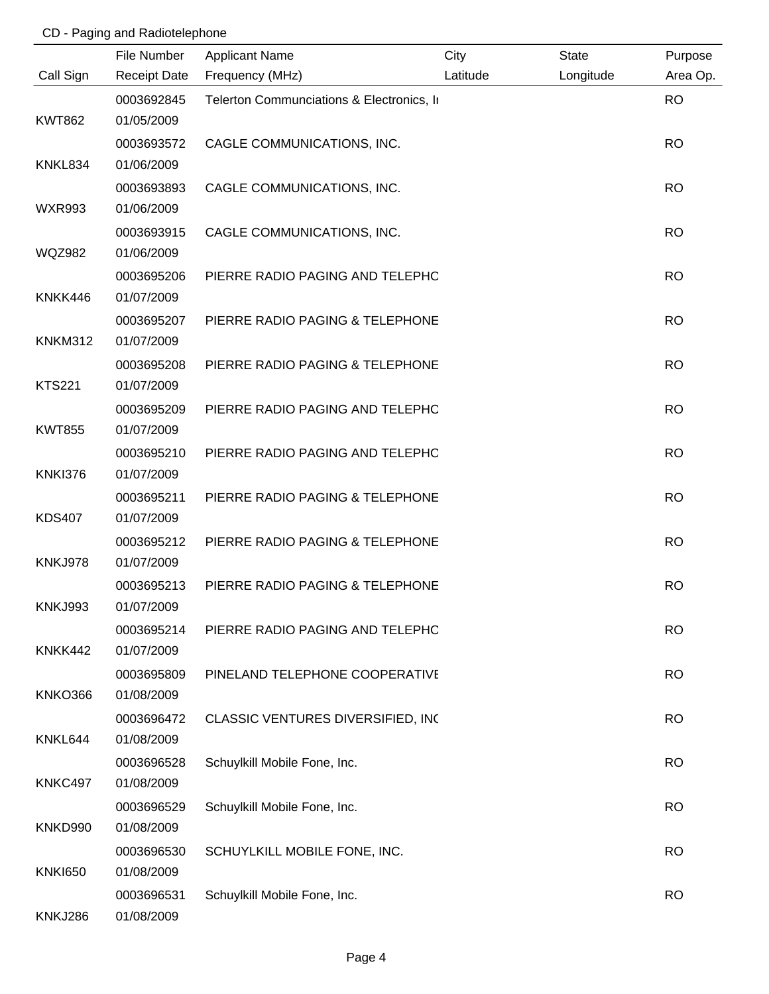# CD - Paging and Radiotelephone

|                | File Number         | <b>Applicant Name</b>                     | City     | <b>State</b> | Purpose   |
|----------------|---------------------|-------------------------------------------|----------|--------------|-----------|
| Call Sign      | <b>Receipt Date</b> | Frequency (MHz)                           | Latitude | Longitude    | Area Op.  |
|                | 0003692845          | Telerton Communciations & Electronics, In |          |              | <b>RO</b> |
| <b>KWT862</b>  | 01/05/2009          |                                           |          |              |           |
|                | 0003693572          | CAGLE COMMUNICATIONS, INC.                |          |              | <b>RO</b> |
| KNKL834        | 01/06/2009          |                                           |          |              |           |
|                | 0003693893          | CAGLE COMMUNICATIONS, INC.                |          |              | <b>RO</b> |
| <b>WXR993</b>  | 01/06/2009          |                                           |          |              |           |
|                | 0003693915          | CAGLE COMMUNICATIONS, INC.                |          |              | <b>RO</b> |
| <b>WQZ982</b>  | 01/06/2009          |                                           |          |              |           |
|                | 0003695206          | PIERRE RADIO PAGING AND TELEPHC           |          |              | <b>RO</b> |
| KNKK446        | 01/07/2009          |                                           |          |              |           |
|                | 0003695207          | PIERRE RADIO PAGING & TELEPHONE           |          |              | <b>RO</b> |
| <b>KNKM312</b> | 01/07/2009          |                                           |          |              |           |
|                | 0003695208          | PIERRE RADIO PAGING & TELEPHONE           |          |              | <b>RO</b> |
| <b>KTS221</b>  | 01/07/2009          |                                           |          |              |           |
|                | 0003695209          | PIERRE RADIO PAGING AND TELEPHC           |          |              | <b>RO</b> |
| <b>KWT855</b>  | 01/07/2009          |                                           |          |              |           |
|                | 0003695210          | PIERRE RADIO PAGING AND TELEPHC           |          |              | <b>RO</b> |
| <b>KNKI376</b> | 01/07/2009          |                                           |          |              |           |
|                | 0003695211          | PIERRE RADIO PAGING & TELEPHONE           |          |              | <b>RO</b> |
| <b>KDS407</b>  | 01/07/2009          |                                           |          |              |           |
|                | 0003695212          | PIERRE RADIO PAGING & TELEPHONE           |          |              | <b>RO</b> |
| KNKJ978        | 01/07/2009          |                                           |          |              |           |
|                | 0003695213          | PIERRE RADIO PAGING & TELEPHONE           |          |              | <b>RO</b> |
| <b>KNKJ993</b> | 01/07/2009          |                                           |          |              |           |
|                | 0003695214          | PIERRE RADIO PAGING AND TELEPHC           |          |              | <b>RO</b> |
| KNKK442        | 01/07/2009          |                                           |          |              |           |
|                | 0003695809          | PINELAND TELEPHONE COOPERATIVE            |          |              | <b>RO</b> |
| <b>KNKO366</b> | 01/08/2009          |                                           |          |              |           |
|                | 0003696472          | CLASSIC VENTURES DIVERSIFIED, INC         |          |              | <b>RO</b> |
| KNKL644        | 01/08/2009          |                                           |          |              |           |
|                | 0003696528          | Schuylkill Mobile Fone, Inc.              |          |              | <b>RO</b> |
| KNKC497        | 01/08/2009          |                                           |          |              |           |
|                | 0003696529          | Schuylkill Mobile Fone, Inc.              |          |              | <b>RO</b> |
| KNKD990        | 01/08/2009          |                                           |          |              |           |
|                | 0003696530          | SCHUYLKILL MOBILE FONE, INC.              |          |              | <b>RO</b> |
| <b>KNKI650</b> | 01/08/2009          |                                           |          |              |           |
|                | 0003696531          | Schuylkill Mobile Fone, Inc.              |          |              | <b>RO</b> |
| <b>KNKJ286</b> | 01/08/2009          |                                           |          |              |           |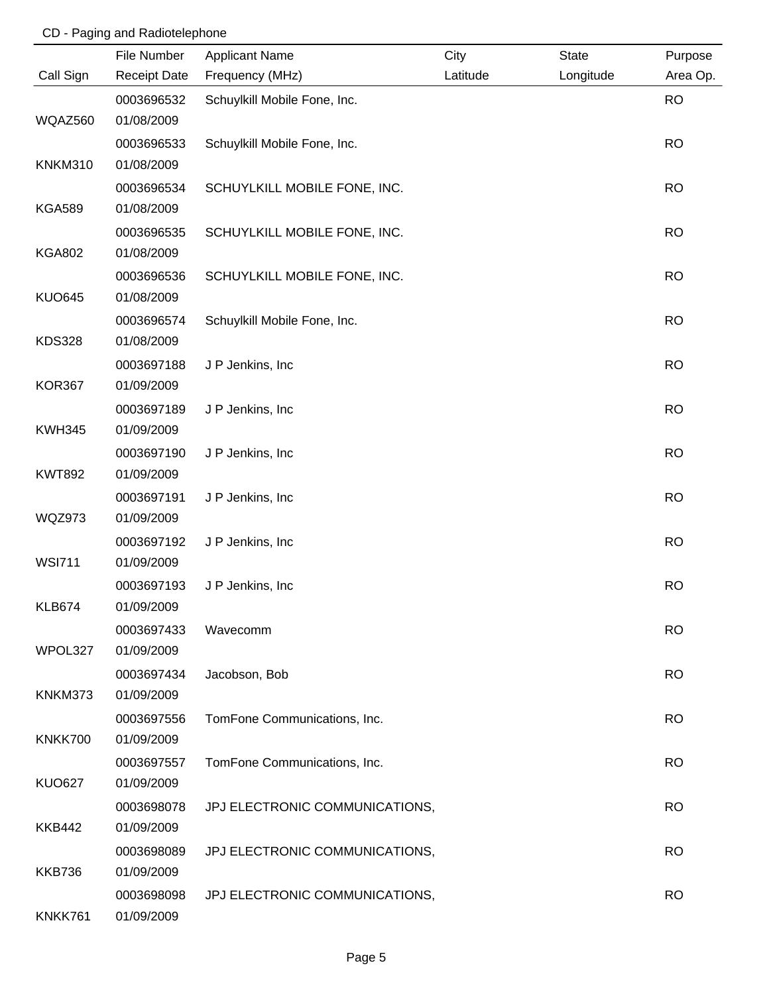# CD - Paging and Radiotelephone

|                | File Number         | <b>Applicant Name</b>          | City     | <b>State</b> | Purpose   |
|----------------|---------------------|--------------------------------|----------|--------------|-----------|
| Call Sign      | <b>Receipt Date</b> | Frequency (MHz)                | Latitude | Longitude    | Area Op.  |
|                | 0003696532          | Schuylkill Mobile Fone, Inc.   |          |              | <b>RO</b> |
| WQAZ560        | 01/08/2009          |                                |          |              |           |
|                | 0003696533          | Schuylkill Mobile Fone, Inc.   |          |              | <b>RO</b> |
| <b>KNKM310</b> | 01/08/2009          |                                |          |              |           |
|                | 0003696534          | SCHUYLKILL MOBILE FONE, INC.   |          |              | <b>RO</b> |
| <b>KGA589</b>  | 01/08/2009          |                                |          |              |           |
|                | 0003696535          | SCHUYLKILL MOBILE FONE, INC.   |          |              | <b>RO</b> |
| <b>KGA802</b>  | 01/08/2009          |                                |          |              |           |
|                | 0003696536          | SCHUYLKILL MOBILE FONE, INC.   |          |              | <b>RO</b> |
| <b>KUO645</b>  | 01/08/2009          |                                |          |              |           |
|                | 0003696574          | Schuylkill Mobile Fone, Inc.   |          |              | <b>RO</b> |
| <b>KDS328</b>  | 01/08/2009          |                                |          |              |           |
|                | 0003697188          | J P Jenkins, Inc               |          |              | <b>RO</b> |
| <b>KOR367</b>  | 01/09/2009          |                                |          |              |           |
|                | 0003697189          | J P Jenkins, Inc               |          |              | <b>RO</b> |
| <b>KWH345</b>  | 01/09/2009          |                                |          |              |           |
|                | 0003697190          | J P Jenkins, Inc.              |          |              | <b>RO</b> |
| <b>KWT892</b>  | 01/09/2009          |                                |          |              |           |
|                | 0003697191          | J P Jenkins, Inc               |          |              | <b>RO</b> |
| <b>WQZ973</b>  | 01/09/2009          |                                |          |              |           |
|                | 0003697192          | J P Jenkins, Inc.              |          |              | <b>RO</b> |
| <b>WSI711</b>  | 01/09/2009          |                                |          |              |           |
|                | 0003697193          | J P Jenkins, Inc.              |          |              | <b>RO</b> |
| <b>KLB674</b>  | 01/09/2009          |                                |          |              |           |
|                | 0003697433          | Wavecomm                       |          |              | <b>RO</b> |
| WPOL327        | 01/09/2009          |                                |          |              |           |
|                | 0003697434          | Jacobson, Bob                  |          |              | <b>RO</b> |
| KNKM373        | 01/09/2009          |                                |          |              |           |
|                | 0003697556          | TomFone Communications, Inc.   |          |              | <b>RO</b> |
| KNKK700        | 01/09/2009          |                                |          |              |           |
|                | 0003697557          | TomFone Communications, Inc.   |          |              | <b>RO</b> |
| <b>KUO627</b>  | 01/09/2009          |                                |          |              |           |
|                | 0003698078          | JPJ ELECTRONIC COMMUNICATIONS, |          |              | <b>RO</b> |
| <b>KKB442</b>  | 01/09/2009          |                                |          |              |           |
|                | 0003698089          | JPJ ELECTRONIC COMMUNICATIONS, |          |              | <b>RO</b> |
| <b>KKB736</b>  | 01/09/2009          |                                |          |              |           |
|                | 0003698098          | JPJ ELECTRONIC COMMUNICATIONS, |          |              | <b>RO</b> |
| KNKK761        | 01/09/2009          |                                |          |              |           |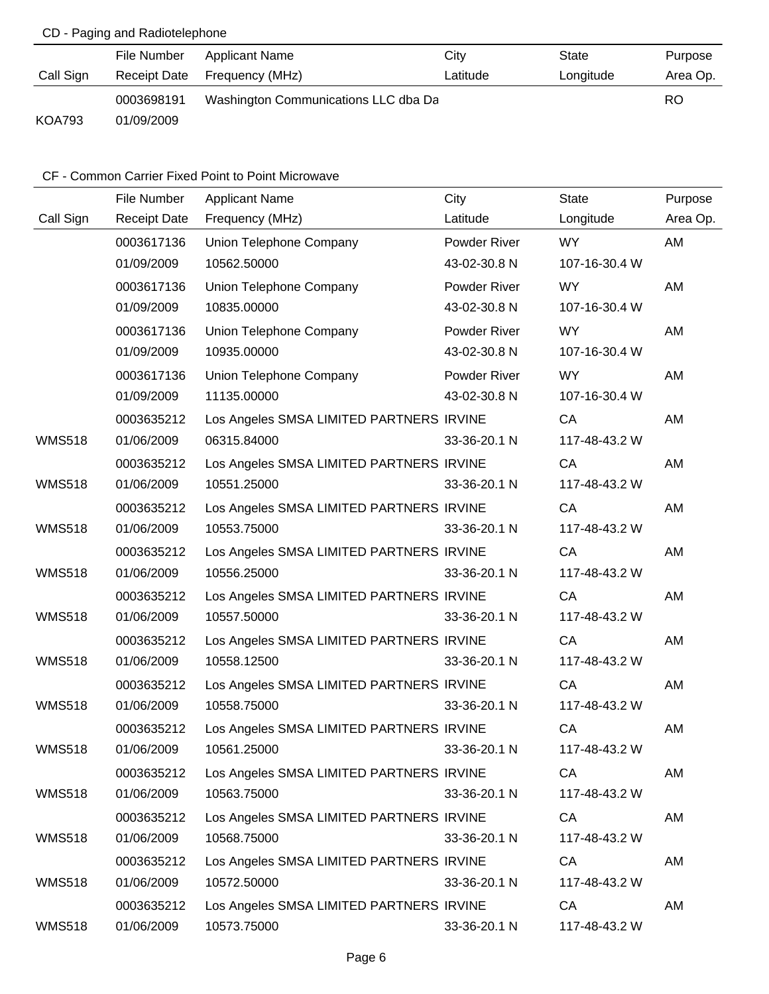# CD - Paging and Radiotelephone

|               | File Number  | Applicant Name                       | City     | State     | Purpose  |
|---------------|--------------|--------------------------------------|----------|-----------|----------|
| Call Sign     | Receipt Date | Frequency (MHz)                      | Latitude | Longitude | Area Op. |
|               | 0003698191   | Washington Communications LLC dba Da |          |           | RO       |
| <b>KOA793</b> | 01/09/2009   |                                      |          |           |          |

|               | File Number         | <b>Applicant Name</b>                    | City         | <b>State</b>  | Purpose  |
|---------------|---------------------|------------------------------------------|--------------|---------------|----------|
| Call Sign     | <b>Receipt Date</b> | Frequency (MHz)                          | Latitude     | Longitude     | Area Op. |
|               | 0003617136          | Union Telephone Company                  | Powder River | <b>WY</b>     | AM       |
|               | 01/09/2009          | 10562.50000                              | 43-02-30.8 N | 107-16-30.4 W |          |
|               | 0003617136          | Union Telephone Company                  | Powder River | <b>WY</b>     | AM       |
|               | 01/09/2009          | 10835.00000                              | 43-02-30.8 N | 107-16-30.4 W |          |
|               | 0003617136          | Union Telephone Company                  | Powder River | <b>WY</b>     | AM       |
|               | 01/09/2009          | 10935.00000                              | 43-02-30.8 N | 107-16-30.4 W |          |
|               | 0003617136          | Union Telephone Company                  | Powder River | <b>WY</b>     | AM       |
|               | 01/09/2009          | 11135.00000                              | 43-02-30.8 N | 107-16-30.4 W |          |
|               | 0003635212          | Los Angeles SMSA LIMITED PARTNERS IRVINE |              | CA            | AM       |
| <b>WMS518</b> | 01/06/2009          | 06315.84000                              | 33-36-20.1 N | 117-48-43.2 W |          |
|               | 0003635212          | Los Angeles SMSA LIMITED PARTNERS IRVINE |              | CA            | AM       |
| <b>WMS518</b> | 01/06/2009          | 10551.25000                              | 33-36-20.1 N | 117-48-43.2 W |          |
|               | 0003635212          | Los Angeles SMSA LIMITED PARTNERS IRVINE |              | CA            | AM       |
| <b>WMS518</b> | 01/06/2009          | 10553.75000                              | 33-36-20.1 N | 117-48-43.2 W |          |
|               | 0003635212          | Los Angeles SMSA LIMITED PARTNERS IRVINE |              | CA            | AM       |
| <b>WMS518</b> | 01/06/2009          | 10556.25000                              | 33-36-20.1 N | 117-48-43.2 W |          |
|               | 0003635212          | Los Angeles SMSA LIMITED PARTNERS IRVINE |              | CA            | AM       |
| <b>WMS518</b> | 01/06/2009          | 10557.50000                              | 33-36-20.1 N | 117-48-43.2 W |          |
|               | 0003635212          | Los Angeles SMSA LIMITED PARTNERS IRVINE |              | CA            | AM       |
| <b>WMS518</b> | 01/06/2009          | 10558.12500                              | 33-36-20.1 N | 117-48-43.2 W |          |
|               | 0003635212          | Los Angeles SMSA LIMITED PARTNERS IRVINE |              | CA            | AM       |
| <b>WMS518</b> | 01/06/2009          | 10558.75000                              | 33-36-20.1 N | 117-48-43.2 W |          |
|               | 0003635212          | Los Angeles SMSA LIMITED PARTNERS IRVINE |              | CA            | AM       |
| <b>WMS518</b> | 01/06/2009          | 10561.25000                              | 33-36-20.1 N | 117-48-43.2 W |          |
|               | 0003635212          | Los Angeles SMSA LIMITED PARTNERS IRVINE |              | CA            | AM       |
| <b>WMS518</b> | 01/06/2009          | 10563.75000                              | 33-36-20.1 N | 117-48-43.2 W |          |
|               | 0003635212          | Los Angeles SMSA LIMITED PARTNERS IRVINE |              | CA            | AM       |
| <b>WMS518</b> | 01/06/2009          | 10568.75000                              | 33-36-20.1 N | 117-48-43.2 W |          |
|               | 0003635212          | Los Angeles SMSA LIMITED PARTNERS IRVINE |              | CA            | AM       |
| <b>WMS518</b> | 01/06/2009          | 10572.50000                              | 33-36-20.1 N | 117-48-43.2 W |          |
|               | 0003635212          | Los Angeles SMSA LIMITED PARTNERS IRVINE |              | CA            | AM       |
| <b>WMS518</b> | 01/06/2009          | 10573.75000                              | 33-36-20.1 N | 117-48-43.2 W |          |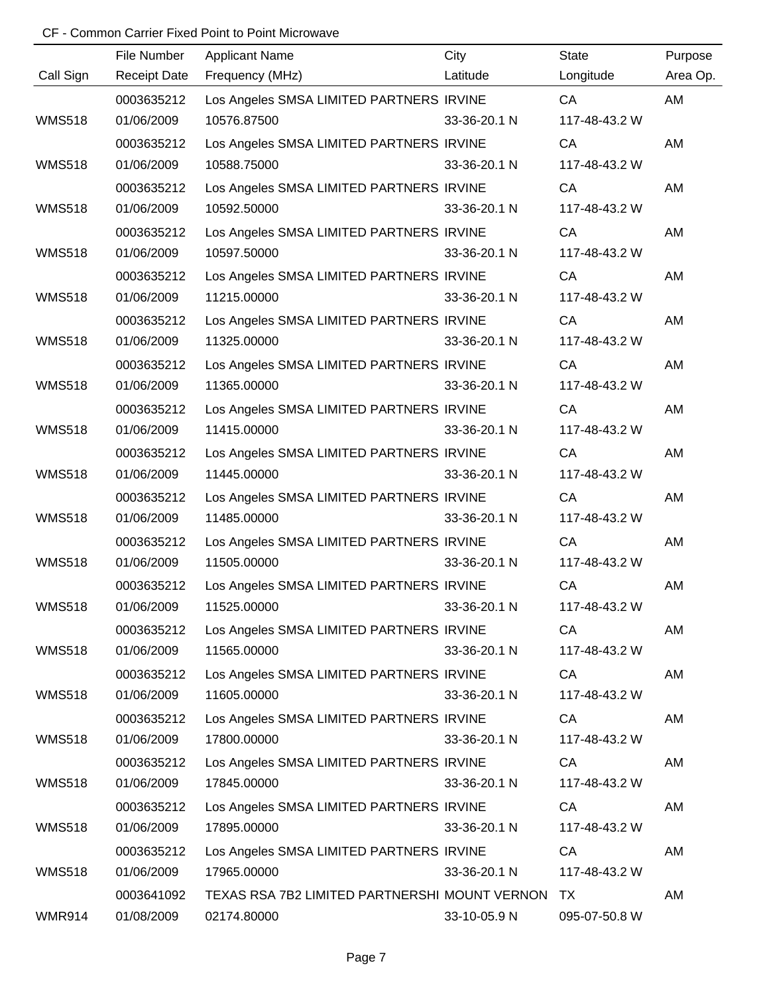|               | File Number         | <b>Applicant Name</b>                            | City         | State         | Purpose  |
|---------------|---------------------|--------------------------------------------------|--------------|---------------|----------|
| Call Sign     | <b>Receipt Date</b> | Frequency (MHz)                                  | Latitude     | Longitude     | Area Op. |
|               | 0003635212          | Los Angeles SMSA LIMITED PARTNERS IRVINE         |              | CA            | AM       |
| <b>WMS518</b> | 01/06/2009          | 10576.87500                                      | 33-36-20.1 N | 117-48-43.2 W |          |
|               | 0003635212          | Los Angeles SMSA LIMITED PARTNERS IRVINE         |              | CA            | AM       |
| <b>WMS518</b> | 01/06/2009          | 10588.75000                                      | 33-36-20.1 N | 117-48-43.2 W |          |
|               | 0003635212          | Los Angeles SMSA LIMITED PARTNERS IRVINE         |              | CA            | AM       |
| <b>WMS518</b> | 01/06/2009          | 10592.50000                                      | 33-36-20.1 N | 117-48-43.2 W |          |
|               | 0003635212          | Los Angeles SMSA LIMITED PARTNERS IRVINE         |              | CA            | AM       |
| <b>WMS518</b> | 01/06/2009          | 10597.50000                                      | 33-36-20.1 N | 117-48-43.2 W |          |
|               | 0003635212          | Los Angeles SMSA LIMITED PARTNERS IRVINE         |              | CA            | AM       |
| <b>WMS518</b> | 01/06/2009          | 11215.00000                                      | 33-36-20.1 N | 117-48-43.2 W |          |
|               | 0003635212          | Los Angeles SMSA LIMITED PARTNERS IRVINE         |              | CA            | AM       |
| <b>WMS518</b> | 01/06/2009          | 11325.00000                                      | 33-36-20.1 N | 117-48-43.2 W |          |
|               | 0003635212          | Los Angeles SMSA LIMITED PARTNERS IRVINE         |              | CA            | AM       |
| <b>WMS518</b> | 01/06/2009          | 11365.00000                                      | 33-36-20.1 N | 117-48-43.2 W |          |
|               | 0003635212          | Los Angeles SMSA LIMITED PARTNERS IRVINE         |              | CA            | AM       |
| <b>WMS518</b> | 01/06/2009          | 11415.00000                                      | 33-36-20.1 N | 117-48-43.2 W |          |
|               | 0003635212          | Los Angeles SMSA LIMITED PARTNERS IRVINE         |              | CA            | AM       |
| <b>WMS518</b> | 01/06/2009          | 11445.00000                                      | 33-36-20.1 N | 117-48-43.2 W |          |
|               | 0003635212          | Los Angeles SMSA LIMITED PARTNERS IRVINE         |              | CA            | AM       |
| <b>WMS518</b> | 01/06/2009          | 11485.00000                                      | 33-36-20.1 N | 117-48-43.2 W |          |
|               | 0003635212          | Los Angeles SMSA LIMITED PARTNERS IRVINE         |              | CA            | AM       |
| <b>WMS518</b> | 01/06/2009          | 11505.00000                                      | 33-36-20.1 N | 117-48-43.2 W |          |
|               | 0003635212          | Los Angeles SMSA LIMITED PARTNERS IRVINE         |              | CA            | AM       |
| <b>WMS518</b> | 01/06/2009          | 11525.00000                                      | 33-36-20.1 N | 117-48-43.2 W |          |
|               | 0003635212          | Los Angeles SMSA LIMITED PARTNERS IRVINE         |              | CA            | AM       |
| <b>WMS518</b> | 01/06/2009          | 11565.00000                                      | 33-36-20.1 N | 117-48-43.2 W |          |
|               | 0003635212          | Los Angeles SMSA LIMITED PARTNERS IRVINE         |              | CA            | AM       |
| <b>WMS518</b> | 01/06/2009          | 11605.00000                                      | 33-36-20.1 N | 117-48-43.2 W |          |
|               | 0003635212          | Los Angeles SMSA LIMITED PARTNERS IRVINE         |              | CA            | AM       |
| <b>WMS518</b> | 01/06/2009          | 17800.00000                                      | 33-36-20.1 N | 117-48-43.2 W |          |
|               | 0003635212          | Los Angeles SMSA LIMITED PARTNERS IRVINE         |              | CA            | AM       |
| <b>WMS518</b> | 01/06/2009          | 17845.00000                                      | 33-36-20.1 N | 117-48-43.2 W |          |
|               | 0003635212          | Los Angeles SMSA LIMITED PARTNERS IRVINE         |              | CA            | AM       |
| <b>WMS518</b> | 01/06/2009          | 17895.00000                                      | 33-36-20.1 N | 117-48-43.2 W |          |
|               | 0003635212          | Los Angeles SMSA LIMITED PARTNERS IRVINE         |              | CA            | AM       |
| <b>WMS518</b> | 01/06/2009          | 17965.00000                                      | 33-36-20.1 N | 117-48-43.2 W |          |
|               | 0003641092          | TEXAS RSA 7B2 LIMITED PARTNERSHI MOUNT VERNON TX |              |               | AM       |
| WMR914        | 01/08/2009          | 02174.80000                                      | 33-10-05.9 N | 095-07-50.8 W |          |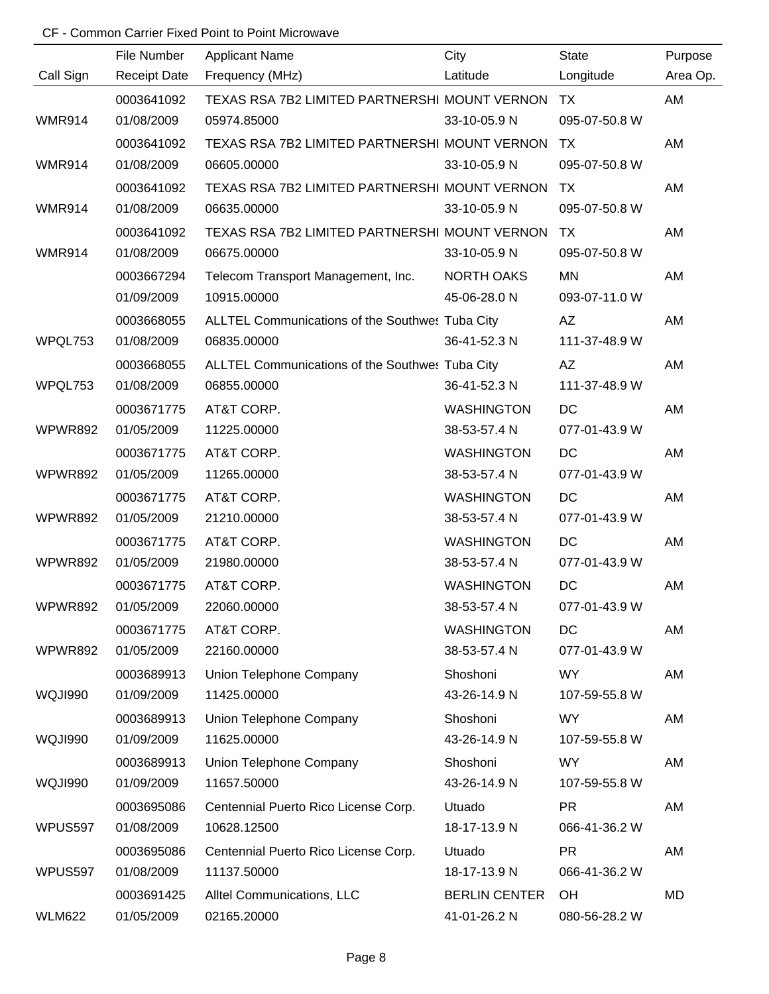|                | File Number         | <b>Applicant Name</b>                           | City                 | <b>State</b>  | Purpose   |
|----------------|---------------------|-------------------------------------------------|----------------------|---------------|-----------|
| Call Sign      | <b>Receipt Date</b> | Frequency (MHz)                                 | Latitude             | Longitude     | Area Op.  |
|                | 0003641092          | TEXAS RSA 7B2 LIMITED PARTNERSHI MOUNT VERNON   |                      | TX            | AM        |
| <b>WMR914</b>  | 01/08/2009          | 05974.85000                                     | 33-10-05.9 N         | 095-07-50.8 W |           |
|                | 0003641092          | TEXAS RSA 7B2 LIMITED PARTNERSHI MOUNT VERNON   |                      | TX            | AM        |
| <b>WMR914</b>  | 01/08/2009          | 06605.00000                                     | 33-10-05.9 N         | 095-07-50.8 W |           |
|                | 0003641092          | TEXAS RSA 7B2 LIMITED PARTNERSHI MOUNT VERNON   |                      | TX            | AM        |
| <b>WMR914</b>  | 01/08/2009          | 06635.00000                                     | 33-10-05.9 N         | 095-07-50.8 W |           |
|                | 0003641092          | TEXAS RSA 7B2 LIMITED PARTNERSHI MOUNT VERNON   |                      | TX            | AM        |
| <b>WMR914</b>  | 01/08/2009          | 06675.00000                                     | 33-10-05.9 N         | 095-07-50.8 W |           |
|                | 0003667294          | Telecom Transport Management, Inc.              | <b>NORTH OAKS</b>    | <b>MN</b>     | AM        |
|                | 01/09/2009          | 10915.00000                                     | 45-06-28.0 N         | 093-07-11.0 W |           |
|                | 0003668055          | ALLTEL Communications of the Southwes Tuba City |                      | <b>AZ</b>     | AM        |
| WPQL753        | 01/08/2009          | 06835.00000                                     | 36-41-52.3 N         | 111-37-48.9 W |           |
|                | 0003668055          | ALLTEL Communications of the Southwes Tuba City |                      | <b>AZ</b>     | AM        |
| WPQL753        | 01/08/2009          | 06855.00000                                     | 36-41-52.3 N         | 111-37-48.9 W |           |
|                | 0003671775          | AT&T CORP.                                      | <b>WASHINGTON</b>    | DC            | AM        |
| WPWR892        | 01/05/2009          | 11225.00000                                     | 38-53-57.4 N         | 077-01-43.9 W |           |
|                | 0003671775          | AT&T CORP.                                      | <b>WASHINGTON</b>    | <b>DC</b>     | AM        |
| WPWR892        | 01/05/2009          | 11265.00000                                     | 38-53-57.4 N         | 077-01-43.9 W |           |
|                | 0003671775          | AT&T CORP.                                      | <b>WASHINGTON</b>    | DC            | AM        |
| <b>WPWR892</b> | 01/05/2009          | 21210.00000                                     | 38-53-57.4 N         | 077-01-43.9 W |           |
|                | 0003671775          | AT&T CORP.                                      | <b>WASHINGTON</b>    | DC            | AM        |
| WPWR892        | 01/05/2009          | 21980.00000                                     | 38-53-57.4 N         | 077-01-43.9 W |           |
|                | 0003671775          | AT&T CORP.                                      | <b>WASHINGTON</b>    | DC            | <b>AM</b> |
| WPWR892        | 01/05/2009          | 22060.00000                                     | 38-53-57.4 N         | 077-01-43.9 W |           |
|                | 0003671775          | AT&T CORP.                                      | <b>WASHINGTON</b>    | DC            | AM        |
| <b>WPWR892</b> | 01/05/2009          | 22160.00000                                     | 38-53-57.4 N         | 077-01-43.9 W |           |
|                | 0003689913          | Union Telephone Company                         | Shoshoni             | WY            | AM        |
| WQJI990        | 01/09/2009          | 11425.00000                                     | 43-26-14.9 N         | 107-59-55.8 W |           |
|                | 0003689913          | Union Telephone Company                         | Shoshoni             | WY            | AM        |
| WQJI990        | 01/09/2009          | 11625.00000                                     | 43-26-14.9 N         | 107-59-55.8 W |           |
|                | 0003689913          | Union Telephone Company                         | Shoshoni             | <b>WY</b>     | AM        |
| WQJI990        | 01/09/2009          | 11657.50000                                     | 43-26-14.9 N         | 107-59-55.8 W |           |
|                | 0003695086          | Centennial Puerto Rico License Corp.            | Utuado               | <b>PR</b>     | AM        |
| WPUS597        | 01/08/2009          | 10628.12500                                     | 18-17-13.9 N         | 066-41-36.2 W |           |
|                | 0003695086          | Centennial Puerto Rico License Corp.            | Utuado               | <b>PR</b>     | AM        |
| WPUS597        | 01/08/2009          | 11137.50000                                     | 18-17-13.9 N         | 066-41-36.2 W |           |
|                | 0003691425          | Alltel Communications, LLC                      | <b>BERLIN CENTER</b> | OH            | MD        |
| <b>WLM622</b>  | 01/05/2009          | 02165.20000                                     | 41-01-26.2 N         | 080-56-28.2 W |           |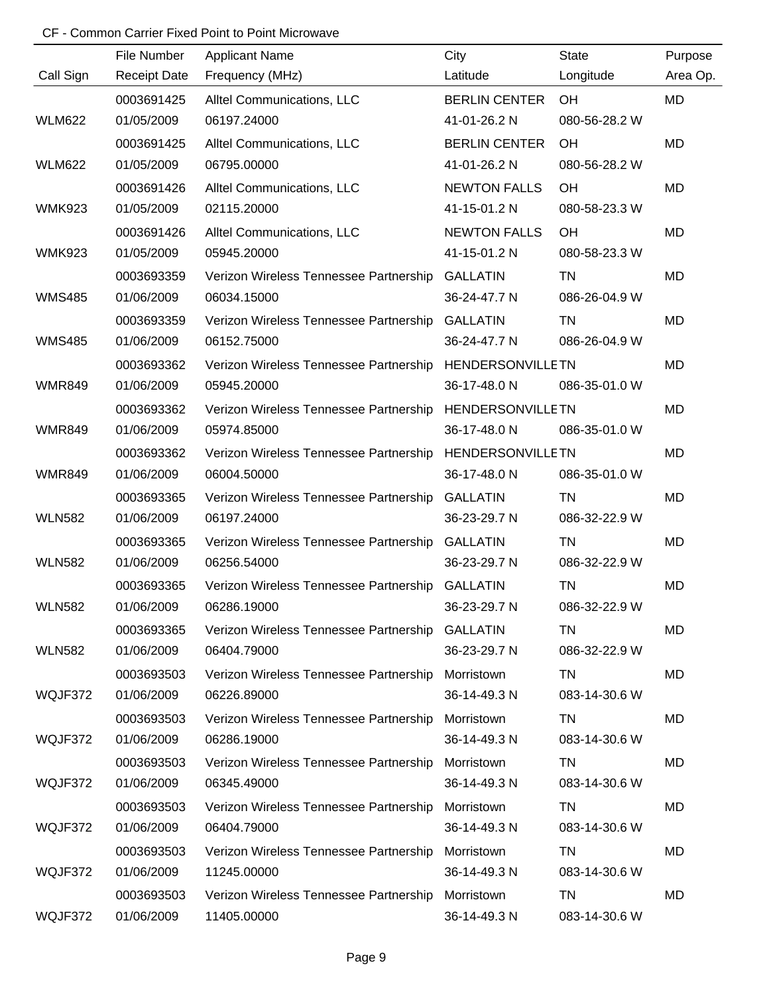|               | File Number         | <b>Applicant Name</b>                  | City                    | <b>State</b>  | Purpose   |
|---------------|---------------------|----------------------------------------|-------------------------|---------------|-----------|
| Call Sign     | <b>Receipt Date</b> | Frequency (MHz)                        | Latitude                | Longitude     | Area Op.  |
|               | 0003691425          | Alltel Communications, LLC             | <b>BERLIN CENTER</b>    | OH            | MD        |
| <b>WLM622</b> | 01/05/2009          | 06197.24000                            | 41-01-26.2 N            | 080-56-28.2 W |           |
|               | 0003691425          | Alltel Communications, LLC             | <b>BERLIN CENTER</b>    | OH            | MD        |
| <b>WLM622</b> | 01/05/2009          | 06795.00000                            | 41-01-26.2 N            | 080-56-28.2 W |           |
|               | 0003691426          | Alltel Communications, LLC             | <b>NEWTON FALLS</b>     | OH            | <b>MD</b> |
| <b>WMK923</b> | 01/05/2009          | 02115.20000                            | 41-15-01.2 N            | 080-58-23.3 W |           |
|               | 0003691426          | Alltel Communications, LLC             | <b>NEWTON FALLS</b>     | OH            | MD        |
| <b>WMK923</b> | 01/05/2009          | 05945.20000                            | 41-15-01.2 N            | 080-58-23.3 W |           |
|               | 0003693359          | Verizon Wireless Tennessee Partnership | <b>GALLATIN</b>         | TN            | MD        |
| <b>WMS485</b> | 01/06/2009          | 06034.15000                            | 36-24-47.7 N            | 086-26-04.9 W |           |
|               | 0003693359          | Verizon Wireless Tennessee Partnership | <b>GALLATIN</b>         | TN            | MD        |
| <b>WMS485</b> | 01/06/2009          | 06152.75000                            | 36-24-47.7 N            | 086-26-04.9 W |           |
|               | 0003693362          | Verizon Wireless Tennessee Partnership | <b>HENDERSONVILLETN</b> |               | MD        |
| <b>WMR849</b> | 01/06/2009          | 05945.20000                            | 36-17-48.0 N            | 086-35-01.0 W |           |
|               | 0003693362          | Verizon Wireless Tennessee Partnership | <b>HENDERSONVILLETN</b> |               | MD        |
| <b>WMR849</b> | 01/06/2009          | 05974.85000                            | 36-17-48.0 N            | 086-35-01.0 W |           |
|               | 0003693362          | Verizon Wireless Tennessee Partnership | <b>HENDERSONVILLETN</b> |               | MD        |
| <b>WMR849</b> | 01/06/2009          | 06004.50000                            | 36-17-48.0 N            | 086-35-01.0 W |           |
|               | 0003693365          | Verizon Wireless Tennessee Partnership | <b>GALLATIN</b>         | <b>TN</b>     | MD        |
| <b>WLN582</b> | 01/06/2009          | 06197.24000                            | 36-23-29.7 N            | 086-32-22.9 W |           |
|               | 0003693365          | Verizon Wireless Tennessee Partnership | <b>GALLATIN</b>         | <b>TN</b>     | MD        |
| <b>WLN582</b> | 01/06/2009          | 06256.54000                            | 36-23-29.7 N            | 086-32-22.9 W |           |
|               | 0003693365          | Verizon Wireless Tennessee Partnership | <b>GALLATIN</b>         | <b>TN</b>     | MD        |
| <b>WLN582</b> | 01/06/2009          | 06286.19000                            | 36-23-29.7 N            | 086-32-22.9 W |           |
|               | 0003693365          | Verizon Wireless Tennessee Partnership | <b>GALLATIN</b>         | TN            | MD        |
| <b>WLN582</b> | 01/06/2009          | 06404.79000                            | 36-23-29.7 N            | 086-32-22.9 W |           |
|               | 0003693503          | Verizon Wireless Tennessee Partnership | Morristown              | TN            | MD        |
| WQJF372       | 01/06/2009          | 06226.89000                            | 36-14-49.3 N            | 083-14-30.6 W |           |
|               | 0003693503          | Verizon Wireless Tennessee Partnership | Morristown              | TN            | MD        |
| WQJF372       | 01/06/2009          | 06286.19000                            | 36-14-49.3 N            | 083-14-30.6 W |           |
|               | 0003693503          | Verizon Wireless Tennessee Partnership | Morristown              | TN            | MD        |
| WQJF372       | 01/06/2009          | 06345.49000                            | 36-14-49.3 N            | 083-14-30.6 W |           |
|               | 0003693503          | Verizon Wireless Tennessee Partnership | Morristown              | TN            | MD        |
| WQJF372       | 01/06/2009          | 06404.79000                            | 36-14-49.3 N            | 083-14-30.6 W |           |
|               | 0003693503          | Verizon Wireless Tennessee Partnership | Morristown              | TN            | MD        |
| WQJF372       | 01/06/2009          | 11245.00000                            | 36-14-49.3 N            | 083-14-30.6 W |           |
|               | 0003693503          | Verizon Wireless Tennessee Partnership | Morristown              | TN            | MD        |
| WQJF372       | 01/06/2009          | 11405.00000                            | 36-14-49.3 N            | 083-14-30.6 W |           |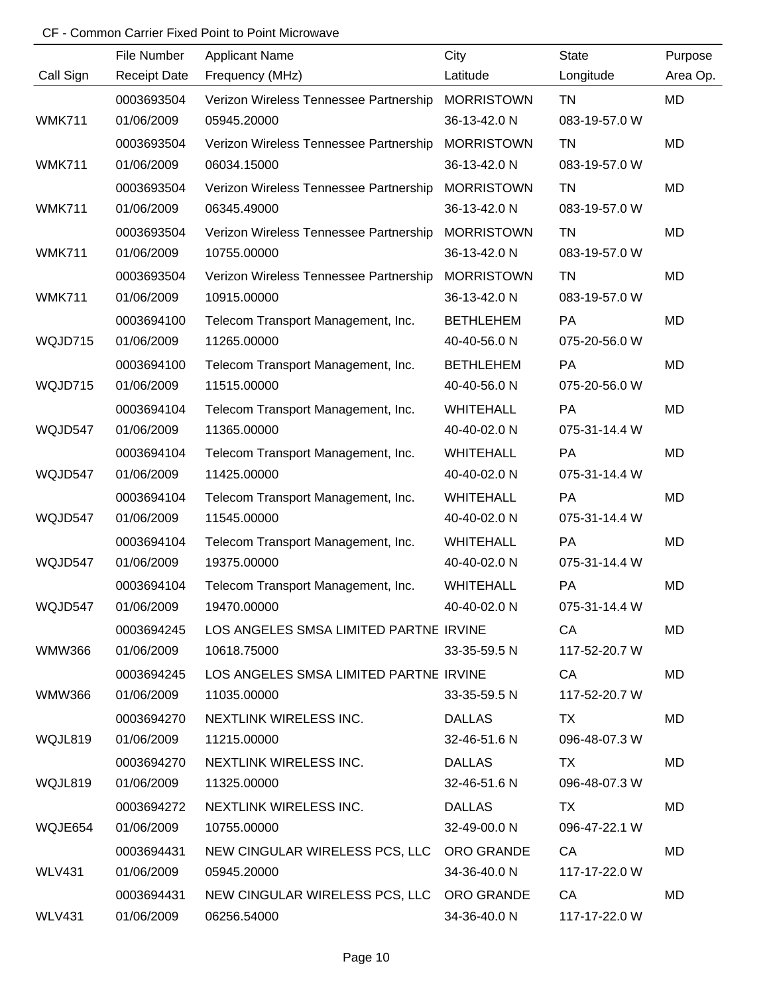|               | File Number         | <b>Applicant Name</b>                     | City              | <b>State</b>  | Purpose   |
|---------------|---------------------|-------------------------------------------|-------------------|---------------|-----------|
| Call Sign     | <b>Receipt Date</b> | Frequency (MHz)                           | Latitude          | Longitude     | Area Op.  |
|               | 0003693504          | Verizon Wireless Tennessee Partnership    | <b>MORRISTOWN</b> | <b>TN</b>     | MD        |
| <b>WMK711</b> | 01/06/2009          | 05945.20000                               | 36-13-42.0 N      | 083-19-57.0 W |           |
|               | 0003693504          | Verizon Wireless Tennessee Partnership    | <b>MORRISTOWN</b> | <b>TN</b>     | <b>MD</b> |
| <b>WMK711</b> | 01/06/2009          | 06034.15000                               | 36-13-42.0 N      | 083-19-57.0 W |           |
|               | 0003693504          | Verizon Wireless Tennessee Partnership    | <b>MORRISTOWN</b> | TN            | MD        |
| <b>WMK711</b> | 01/06/2009          | 06345.49000                               | 36-13-42.0 N      | 083-19-57.0 W |           |
|               | 0003693504          | Verizon Wireless Tennessee Partnership    | <b>MORRISTOWN</b> | TN            | MD        |
| <b>WMK711</b> | 01/06/2009          | 10755.00000                               | 36-13-42.0 N      | 083-19-57.0 W |           |
|               | 0003693504          | Verizon Wireless Tennessee Partnership    | <b>MORRISTOWN</b> | TN            | MD        |
| <b>WMK711</b> | 01/06/2009          | 10915.00000                               | 36-13-42.0 N      | 083-19-57.0 W |           |
|               | 0003694100          | Telecom Transport Management, Inc.        | <b>BETHLEHEM</b>  | PA            | <b>MD</b> |
| WQJD715       | 01/06/2009          | 11265.00000                               | 40-40-56.0 N      | 075-20-56.0 W |           |
|               | 0003694100          | Telecom Transport Management, Inc.        | <b>BETHLEHEM</b>  | <b>PA</b>     | MD        |
| WQJD715       | 01/06/2009          | 11515.00000                               | 40-40-56.0 N      | 075-20-56.0 W |           |
|               | 0003694104          | Telecom Transport Management, Inc.        | <b>WHITEHALL</b>  | PA            | MD        |
| WQJD547       | 01/06/2009          | 11365.00000                               | 40-40-02.0 N      | 075-31-14.4 W |           |
|               | 0003694104          | Telecom Transport Management, Inc.        | <b>WHITEHALL</b>  | <b>PA</b>     | MD        |
| WQJD547       | 01/06/2009          | 11425.00000                               | 40-40-02.0 N      | 075-31-14.4 W |           |
|               | 0003694104          | Telecom Transport Management, Inc.        | <b>WHITEHALL</b>  | PA            | <b>MD</b> |
| WQJD547       | 01/06/2009          | 11545.00000                               | 40-40-02.0 N      | 075-31-14.4 W |           |
|               | 0003694104          | Telecom Transport Management, Inc.        | <b>WHITEHALL</b>  | PA            | MD        |
| WQJD547       | 01/06/2009          | 19375.00000                               | 40-40-02.0 N      | 075-31-14.4 W |           |
|               | 0003694104          | Telecom Transport Management, Inc.        | <b>WHITEHALL</b>  | PA            | MD        |
| WQJD547       | 01/06/2009          | 19470.00000                               | 40-40-02.0 N      | 075-31-14.4 W |           |
|               | 0003694245          | LOS ANGELES SMSA LIMITED PARTNE IRVINE    |                   | CA            | MD        |
| <b>WMW366</b> | 01/06/2009          | 10618.75000                               | 33-35-59.5 N      | 117-52-20.7 W |           |
|               | 0003694245          | LOS ANGELES SMSA LIMITED PARTNE IRVINE    |                   | CA            | MD        |
| WMW366        | 01/06/2009          | 11035.00000                               | 33-35-59.5 N      | 117-52-20.7 W |           |
|               | 0003694270          | NEXTLINK WIRELESS INC.                    | <b>DALLAS</b>     | TX.           | MD        |
| WQJL819       | 01/06/2009          | 11215.00000                               | 32-46-51.6 N      | 096-48-07.3 W |           |
|               | 0003694270          | NEXTLINK WIRELESS INC.                    | DALLAS            | TX            | MD        |
| WQJL819       | 01/06/2009          | 11325.00000                               | 32-46-51.6 N      | 096-48-07.3 W |           |
|               | 0003694272          | NEXTLINK WIRELESS INC.                    | <b>DALLAS</b>     | TX.           | MD        |
| WQJE654       | 01/06/2009          | 10755.00000                               | 32-49-00.0 N      | 096-47-22.1 W |           |
|               | 0003694431          | NEW CINGULAR WIRELESS PCS, LLC ORO GRANDE |                   | CA            | MD        |
| <b>WLV431</b> | 01/06/2009          | 05945.20000                               | 34-36-40.0 N      | 117-17-22.0 W |           |
|               | 0003694431          | NEW CINGULAR WIRELESS PCS, LLC ORO GRANDE |                   | CA            | MD        |
| <b>WLV431</b> | 01/06/2009          | 06256.54000                               | 34-36-40.0 N      | 117-17-22.0 W |           |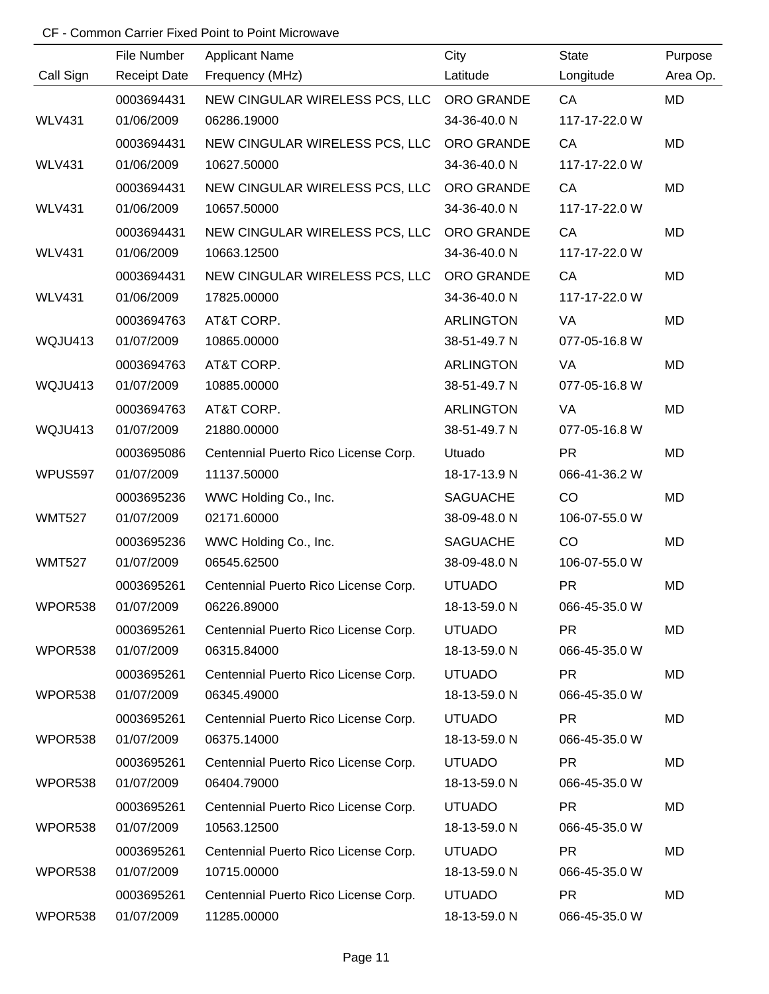|               | File Number         | <b>Applicant Name</b>                     | City             | <b>State</b>  | Purpose  |
|---------------|---------------------|-------------------------------------------|------------------|---------------|----------|
| Call Sign     | <b>Receipt Date</b> | Frequency (MHz)                           | Latitude         | Longitude     | Area Op. |
|               | 0003694431          | NEW CINGULAR WIRELESS PCS, LLC ORO GRANDE |                  | CA            | MD       |
| <b>WLV431</b> | 01/06/2009          | 06286.19000                               | 34-36-40.0 N     | 117-17-22.0 W |          |
|               | 0003694431          | NEW CINGULAR WIRELESS PCS, LLC            | ORO GRANDE       | CA            | MD       |
| <b>WLV431</b> | 01/06/2009          | 10627.50000                               | 34-36-40.0 N     | 117-17-22.0 W |          |
|               | 0003694431          | NEW CINGULAR WIRELESS PCS, LLC            | ORO GRANDE       | CA            | MD       |
| <b>WLV431</b> | 01/06/2009          | 10657.50000                               | 34-36-40.0 N     | 117-17-22.0 W |          |
|               | 0003694431          | NEW CINGULAR WIRELESS PCS, LLC            | ORO GRANDE       | CA            | MD       |
| <b>WLV431</b> | 01/06/2009          | 10663.12500                               | 34-36-40.0 N     | 117-17-22.0 W |          |
|               | 0003694431          | NEW CINGULAR WIRELESS PCS, LLC            | ORO GRANDE       | CA            | MD       |
| <b>WLV431</b> | 01/06/2009          | 17825.00000                               | 34-36-40.0 N     | 117-17-22.0 W |          |
|               | 0003694763          | AT&T CORP.                                | <b>ARLINGTON</b> | VA            | MD       |
| WQJU413       | 01/07/2009          | 10865.00000                               | 38-51-49.7 N     | 077-05-16.8 W |          |
|               | 0003694763          | AT&T CORP.                                | <b>ARLINGTON</b> | VA            | MD       |
| WQJU413       | 01/07/2009          | 10885.00000                               | 38-51-49.7 N     | 077-05-16.8 W |          |
|               | 0003694763          | AT&T CORP.                                | <b>ARLINGTON</b> | VA            | MD       |
| WQJU413       | 01/07/2009          | 21880.00000                               | 38-51-49.7 N     | 077-05-16.8 W |          |
|               | 0003695086          | Centennial Puerto Rico License Corp.      | Utuado           | <b>PR</b>     | MD       |
| WPUS597       | 01/07/2009          | 11137.50000                               | 18-17-13.9 N     | 066-41-36.2 W |          |
|               | 0003695236          | WWC Holding Co., Inc.                     | <b>SAGUACHE</b>  | CO            | MD       |
| <b>WMT527</b> | 01/07/2009          | 02171.60000                               | 38-09-48.0 N     | 106-07-55.0 W |          |
|               | 0003695236          | WWC Holding Co., Inc.                     | <b>SAGUACHE</b>  | CO            | MD       |
| <b>WMT527</b> | 01/07/2009          | 06545.62500                               | 38-09-48.0 N     | 106-07-55.0 W |          |
|               | 0003695261          | Centennial Puerto Rico License Corp.      | <b>UTUADO</b>    | <b>PR</b>     | MD       |
| WPOR538       | 01/07/2009          | 06226.89000                               | 18-13-59.0 N     | 066-45-35.0 W |          |
|               | 0003695261          | Centennial Puerto Rico License Corp.      | <b>UTUADO</b>    | <b>PR</b>     | MD       |
| WPOR538       | 01/07/2009          | 06315.84000                               | 18-13-59.0 N     | 066-45-35.0 W |          |
|               | 0003695261          | Centennial Puerto Rico License Corp.      | <b>UTUADO</b>    | <b>PR</b>     | MD       |
| WPOR538       | 01/07/2009          | 06345.49000                               | 18-13-59.0 N     | 066-45-35.0 W |          |
|               | 0003695261          | Centennial Puerto Rico License Corp.      | <b>UTUADO</b>    | <b>PR</b>     | MD       |
| WPOR538       | 01/07/2009          | 06375.14000                               | 18-13-59.0 N     | 066-45-35.0 W |          |
|               | 0003695261          | Centennial Puerto Rico License Corp.      | <b>UTUADO</b>    | <b>PR</b>     | MD       |
| WPOR538       | 01/07/2009          | 06404.79000                               | 18-13-59.0 N     | 066-45-35.0 W |          |
|               | 0003695261          | Centennial Puerto Rico License Corp.      | <b>UTUADO</b>    | <b>PR</b>     | MD       |
| WPOR538       | 01/07/2009          | 10563.12500                               | 18-13-59.0 N     | 066-45-35.0 W |          |
|               | 0003695261          | Centennial Puerto Rico License Corp.      | <b>UTUADO</b>    | <b>PR</b>     | MD       |
| WPOR538       | 01/07/2009          | 10715.00000                               | 18-13-59.0 N     | 066-45-35.0 W |          |
|               | 0003695261          | Centennial Puerto Rico License Corp.      | <b>UTUADO</b>    | <b>PR</b>     | MD       |
| WPOR538       | 01/07/2009          | 11285.00000                               | 18-13-59.0 N     | 066-45-35.0 W |          |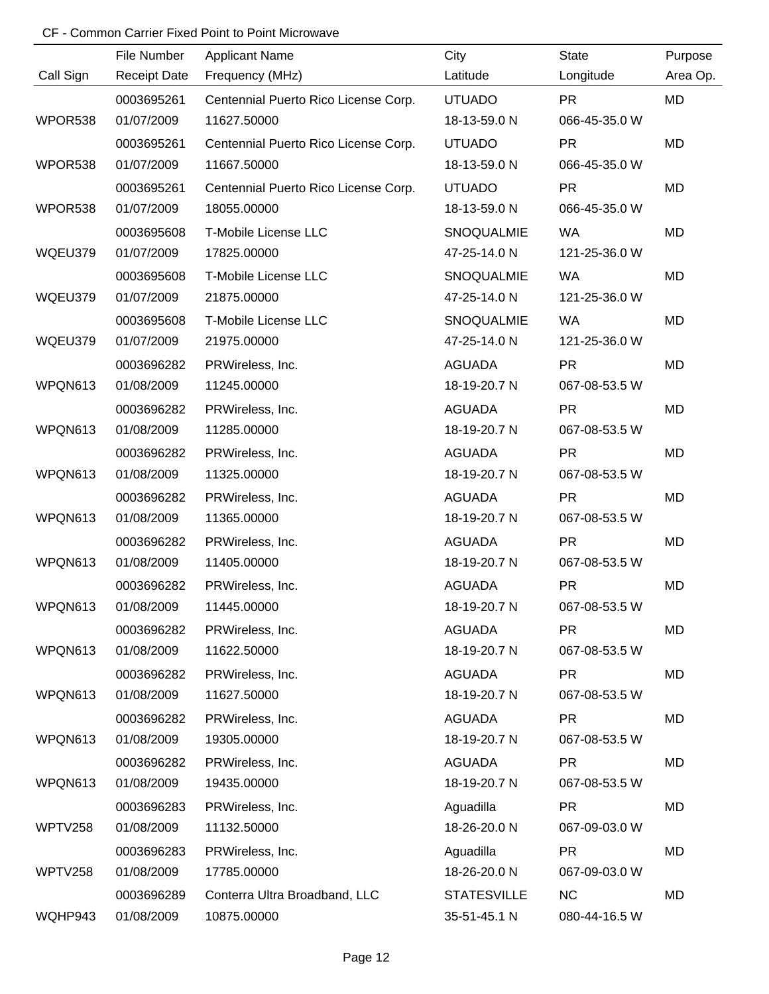|           | File Number         | <b>Applicant Name</b>                | City               | <b>State</b>  | Purpose   |
|-----------|---------------------|--------------------------------------|--------------------|---------------|-----------|
| Call Sign | <b>Receipt Date</b> | Frequency (MHz)                      | Latitude           | Longitude     | Area Op.  |
|           | 0003695261          | Centennial Puerto Rico License Corp. | <b>UTUADO</b>      | <b>PR</b>     | MD        |
| WPOR538   | 01/07/2009          | 11627.50000                          | 18-13-59.0 N       | 066-45-35.0 W |           |
|           | 0003695261          | Centennial Puerto Rico License Corp. | <b>UTUADO</b>      | <b>PR</b>     | <b>MD</b> |
| WPOR538   | 01/07/2009          | 11667.50000                          | 18-13-59.0 N       | 066-45-35.0 W |           |
|           | 0003695261          | Centennial Puerto Rico License Corp. | <b>UTUADO</b>      | <b>PR</b>     | MD        |
| WPOR538   | 01/07/2009          | 18055.00000                          | 18-13-59.0 N       | 066-45-35.0 W |           |
|           | 0003695608          | T-Mobile License LLC                 | SNOQUALMIE         | <b>WA</b>     | MD        |
| WQEU379   | 01/07/2009          | 17825.00000                          | 47-25-14.0 N       | 121-25-36.0 W |           |
|           | 0003695608          | T-Mobile License LLC                 | SNOQUALMIE         | <b>WA</b>     | MD        |
| WQEU379   | 01/07/2009          | 21875.00000                          | 47-25-14.0 N       | 121-25-36.0 W |           |
|           | 0003695608          | T-Mobile License LLC                 | SNOQUALMIE         | <b>WA</b>     | MD        |
| WQEU379   | 01/07/2009          | 21975.00000                          | 47-25-14.0 N       | 121-25-36.0 W |           |
|           | 0003696282          | PRWireless, Inc.                     | <b>AGUADA</b>      | <b>PR</b>     | MD        |
| WPQN613   | 01/08/2009          | 11245.00000                          | 18-19-20.7 N       | 067-08-53.5 W |           |
|           | 0003696282          | PRWireless, Inc.                     | <b>AGUADA</b>      | <b>PR</b>     | MD        |
| WPQN613   | 01/08/2009          | 11285.00000                          | 18-19-20.7 N       | 067-08-53.5 W |           |
|           | 0003696282          | PRWireless, Inc.                     | <b>AGUADA</b>      | <b>PR</b>     | MD        |
| WPQN613   | 01/08/2009          | 11325.00000                          | 18-19-20.7 N       | 067-08-53.5 W |           |
|           | 0003696282          | PRWireless, Inc.                     | <b>AGUADA</b>      | <b>PR</b>     | MD        |
| WPQN613   | 01/08/2009          | 11365.00000                          | 18-19-20.7 N       | 067-08-53.5 W |           |
|           | 0003696282          | PRWireless, Inc.                     | <b>AGUADA</b>      | <b>PR</b>     | MD        |
| WPQN613   | 01/08/2009          | 11405.00000                          | 18-19-20.7 N       | 067-08-53.5 W |           |
|           | 0003696282          | PRWireless, Inc.                     | <b>AGUADA</b>      | <b>PR</b>     | MD        |
| WPQN613   | 01/08/2009          | 11445.00000                          | 18-19-20.7 N       | 067-08-53.5 W |           |
|           | 0003696282          | PRWireless, Inc.                     | <b>AGUADA</b>      | <b>PR</b>     | MD        |
| WPQN613   | 01/08/2009          | 11622.50000                          | 18-19-20.7 N       | 067-08-53.5 W |           |
|           | 0003696282          | PRWireless, Inc.                     | <b>AGUADA</b>      | <b>PR</b>     | MD        |
| WPQN613   | 01/08/2009          | 11627.50000                          | 18-19-20.7 N       | 067-08-53.5 W |           |
|           | 0003696282          | PRWireless, Inc.                     | <b>AGUADA</b>      | <b>PR</b>     | MD        |
| WPQN613   | 01/08/2009          | 19305.00000                          | 18-19-20.7 N       | 067-08-53.5 W |           |
|           | 0003696282          | PRWireless, Inc.                     | <b>AGUADA</b>      | <b>PR</b>     | MD        |
| WPQN613   | 01/08/2009          | 19435.00000                          | 18-19-20.7 N       | 067-08-53.5 W |           |
|           | 0003696283          | PRWireless, Inc.                     | Aguadilla          | <b>PR</b>     | MD        |
| WPTV258   | 01/08/2009          | 11132.50000                          | 18-26-20.0 N       | 067-09-03.0 W |           |
|           | 0003696283          | PRWireless, Inc.                     | Aguadilla          | <b>PR</b>     | MD        |
| WPTV258   | 01/08/2009          | 17785.00000                          | 18-26-20.0 N       | 067-09-03.0 W |           |
|           | 0003696289          | Conterra Ultra Broadband, LLC        | <b>STATESVILLE</b> | <b>NC</b>     | MD        |
| WQHP943   | 01/08/2009          | 10875.00000                          | 35-51-45.1 N       | 080-44-16.5 W |           |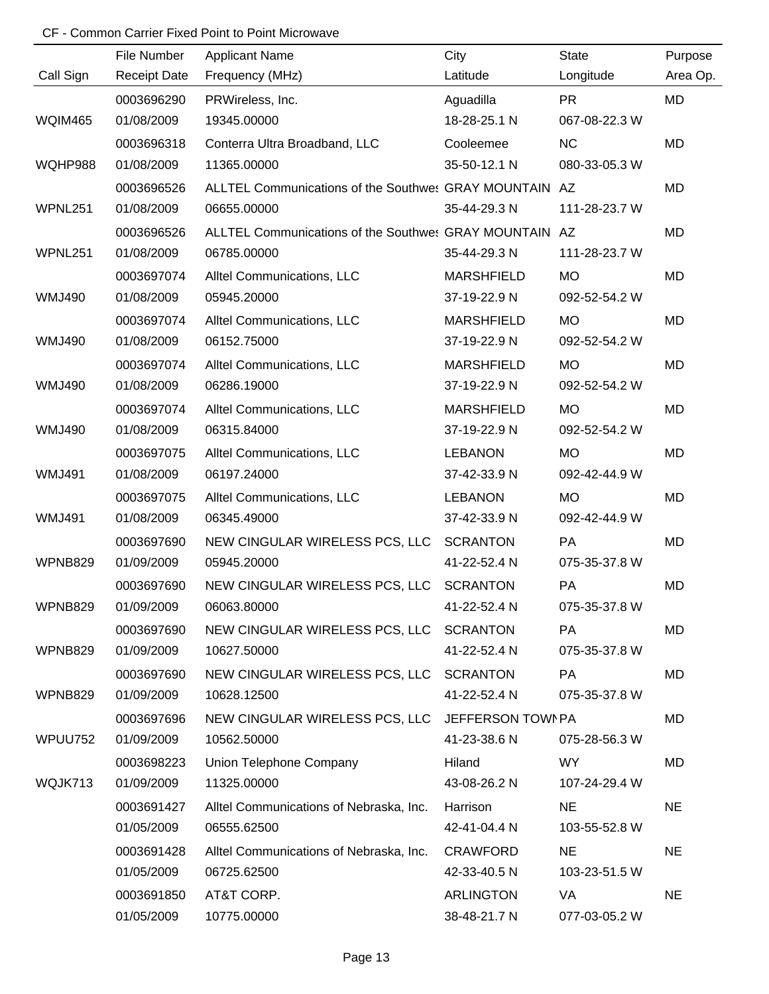|                | File Number         | <b>Applicant Name</b>                                  | City              | <b>State</b>  | Purpose   |
|----------------|---------------------|--------------------------------------------------------|-------------------|---------------|-----------|
| Call Sign      | <b>Receipt Date</b> | Frequency (MHz)                                        | Latitude          | Longitude     | Area Op.  |
|                | 0003696290          | PRWireless, Inc.                                       | Aguadilla         | <b>PR</b>     | MD        |
| <b>WQIM465</b> | 01/08/2009          | 19345.00000                                            | 18-28-25.1 N      | 067-08-22.3 W |           |
|                | 0003696318          | Conterra Ultra Broadband, LLC                          | Cooleemee         | <b>NC</b>     | <b>MD</b> |
| WQHP988        | 01/08/2009          | 11365.00000                                            | 35-50-12.1 N      | 080-33-05.3 W |           |
|                | 0003696526          | ALLTEL Communications of the Southwes GRAY MOUNTAIN AZ |                   |               | MD        |
| WPNL251        | 01/08/2009          | 06655.00000                                            | 35-44-29.3 N      | 111-28-23.7 W |           |
|                | 0003696526          | ALLTEL Communications of the Southwes GRAY MOUNTAIN AZ |                   |               | MD        |
| WPNL251        | 01/08/2009          | 06785.00000                                            | 35-44-29.3 N      | 111-28-23.7 W |           |
|                | 0003697074          | Alltel Communications, LLC                             | <b>MARSHFIELD</b> | <b>MO</b>     | MD        |
| <b>WMJ490</b>  | 01/08/2009          | 05945.20000                                            | 37-19-22.9 N      | 092-52-54.2 W |           |
|                | 0003697074          | Alltel Communications, LLC                             | <b>MARSHFIELD</b> | <b>MO</b>     | <b>MD</b> |
| <b>WMJ490</b>  | 01/08/2009          | 06152.75000                                            | 37-19-22.9 N      | 092-52-54.2 W |           |
|                | 0003697074          | Alltel Communications, LLC                             | <b>MARSHFIELD</b> | <b>MO</b>     | MD        |
| <b>WMJ490</b>  | 01/08/2009          | 06286.19000                                            | 37-19-22.9 N      | 092-52-54.2 W |           |
|                | 0003697074          | Alltel Communications, LLC                             | <b>MARSHFIELD</b> | <b>MO</b>     | MD        |
| <b>WMJ490</b>  | 01/08/2009          | 06315.84000                                            | 37-19-22.9 N      | 092-52-54.2 W |           |
|                | 0003697075          | Alltel Communications, LLC                             | <b>LEBANON</b>    | <b>MO</b>     | MD        |
| <b>WMJ491</b>  | 01/08/2009          | 06197.24000                                            | 37-42-33.9 N      | 092-42-44.9 W |           |
|                | 0003697075          | Alltel Communications, LLC                             | <b>LEBANON</b>    | <b>MO</b>     | MD        |
| <b>WMJ491</b>  | 01/08/2009          | 06345.49000                                            | 37-42-33.9 N      | 092-42-44.9 W |           |
|                | 0003697690          | NEW CINGULAR WIRELESS PCS, LLC                         | <b>SCRANTON</b>   | PA            | MD        |
| WPNB829        | 01/09/2009          | 05945.20000                                            | 41-22-52.4 N      | 075-35-37.8 W |           |
|                | 0003697690          | NEW CINGULAR WIRELESS PCS, LLC                         | <b>SCRANTON</b>   | PA            | MD        |
| WPNB829        | 01/09/2009          | 06063.80000                                            | 41-22-52.4 N      | 075-35-37.8 W |           |
|                | 0003697690          | NEW CINGULAR WIRELESS PCS, LLC SCRANTON                |                   | PA            | MD        |
| WPNB829        | 01/09/2009          | 10627.50000                                            | 41-22-52.4 N      | 075-35-37.8 W |           |
|                | 0003697690          | NEW CINGULAR WIRELESS PCS, LLC SCRANTON                |                   | PA            | MD        |
| WPNB829        | 01/09/2009          | 10628.12500                                            | 41-22-52.4 N      | 075-35-37.8 W |           |
|                | 0003697696          | NEW CINGULAR WIRELESS PCS, LLC JEFFERSON TOWN PA       |                   |               | MD        |
| WPUU752        | 01/09/2009          | 10562.50000                                            | 41-23-38.6 N      | 075-28-56.3 W |           |
|                | 0003698223          | Union Telephone Company                                | Hiland            | WY.           | MD        |
| WQJK713        | 01/09/2009          | 11325.00000                                            | 43-08-26.2 N      | 107-24-29.4 W |           |
|                | 0003691427          | Alltel Communications of Nebraska, Inc.                | Harrison          | <b>NE</b>     | <b>NE</b> |
|                | 01/05/2009          | 06555.62500                                            | 42-41-04.4 N      | 103-55-52.8 W |           |
|                | 0003691428          | Alltel Communications of Nebraska, Inc.                | <b>CRAWFORD</b>   | <b>NE</b>     | <b>NE</b> |
|                | 01/05/2009          | 06725.62500                                            | 42-33-40.5 N      | 103-23-51.5 W |           |
|                | 0003691850          | AT&T CORP.                                             | <b>ARLINGTON</b>  | VA            | <b>NE</b> |
|                | 01/05/2009          | 10775.00000                                            | 38-48-21.7 N      | 077-03-05.2 W |           |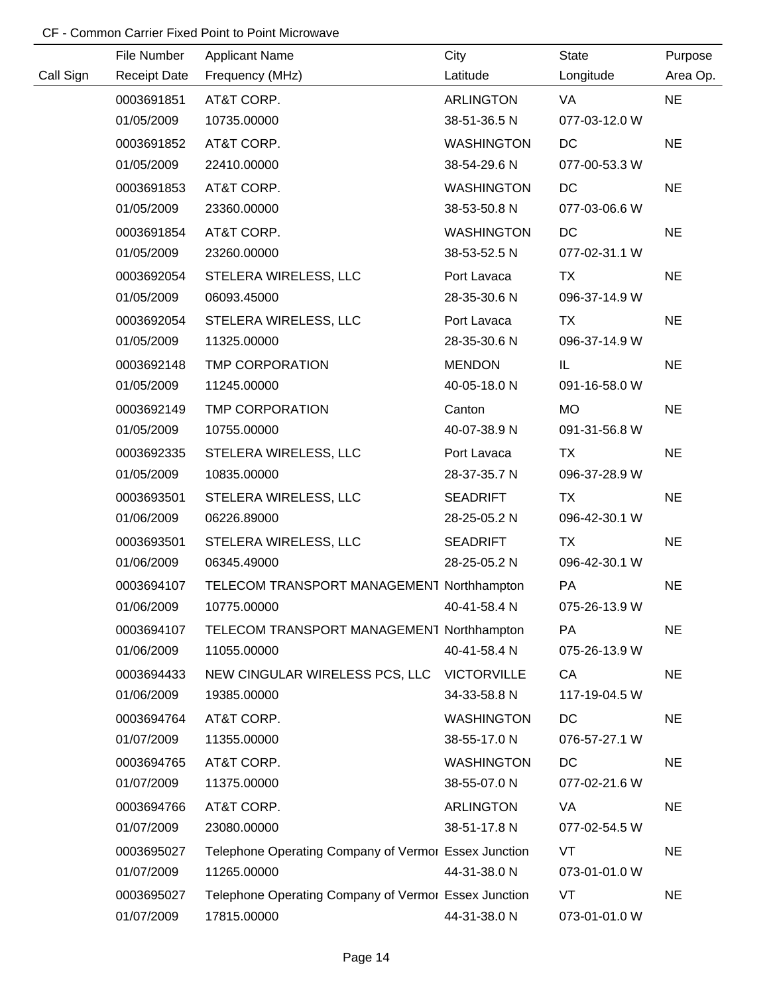|           |                                    |                                                      |                    | <b>State</b>  |                     |
|-----------|------------------------------------|------------------------------------------------------|--------------------|---------------|---------------------|
| Call Sign | File Number<br><b>Receipt Date</b> | <b>Applicant Name</b><br>Frequency (MHz)             | City<br>Latitude   | Longitude     | Purpose<br>Area Op. |
|           | 0003691851                         | AT&T CORP.                                           | <b>ARLINGTON</b>   | VA            | <b>NE</b>           |
|           | 01/05/2009                         | 10735.00000                                          | 38-51-36.5 N       | 077-03-12.0 W |                     |
|           | 0003691852                         | AT&T CORP.                                           | <b>WASHINGTON</b>  | DC            | <b>NE</b>           |
|           | 01/05/2009                         | 22410.00000                                          | 38-54-29.6 N       | 077-00-53.3 W |                     |
|           | 0003691853                         | AT&T CORP.                                           | <b>WASHINGTON</b>  | DC            | <b>NE</b>           |
|           | 01/05/2009                         | 23360.00000                                          | 38-53-50.8 N       | 077-03-06.6 W |                     |
|           | 0003691854                         | AT&T CORP.                                           | <b>WASHINGTON</b>  | DC            | <b>NE</b>           |
|           | 01/05/2009                         | 23260.00000                                          | 38-53-52.5 N       | 077-02-31.1 W |                     |
|           | 0003692054                         | STELERA WIRELESS, LLC                                | Port Lavaca        | <b>TX</b>     | <b>NE</b>           |
|           | 01/05/2009                         | 06093.45000                                          | 28-35-30.6 N       | 096-37-14.9 W |                     |
|           | 0003692054                         | STELERA WIRELESS, LLC                                | Port Lavaca        | <b>TX</b>     | <b>NE</b>           |
|           | 01/05/2009                         | 11325.00000                                          | 28-35-30.6 N       | 096-37-14.9 W |                     |
|           | 0003692148                         | <b>TMP CORPORATION</b>                               | <b>MENDON</b>      | IL.           | <b>NE</b>           |
|           | 01/05/2009                         | 11245.00000                                          | 40-05-18.0 N       | 091-16-58.0 W |                     |
|           | 0003692149                         | <b>TMP CORPORATION</b>                               | Canton             | MO            | <b>NE</b>           |
|           | 01/05/2009                         | 10755.00000                                          | 40-07-38.9 N       | 091-31-56.8 W |                     |
|           | 0003692335                         | STELERA WIRELESS, LLC                                | Port Lavaca        | TX            | <b>NE</b>           |
|           | 01/05/2009                         | 10835.00000                                          | 28-37-35.7 N       | 096-37-28.9 W |                     |
|           | 0003693501                         | STELERA WIRELESS, LLC                                | <b>SEADRIFT</b>    | <b>TX</b>     | <b>NE</b>           |
|           | 01/06/2009                         | 06226.89000                                          | 28-25-05.2 N       | 096-42-30.1 W |                     |
|           | 0003693501                         | STELERA WIRELESS, LLC                                | <b>SEADRIFT</b>    | <b>TX</b>     | <b>NE</b>           |
|           | 01/06/2009                         | 06345.49000                                          | 28-25-05.2 N       | 096-42-30.1 W |                     |
|           | 0003694107                         | TELECOM TRANSPORT MANAGEMENT Northhampton            |                    | PA            | <b>NE</b>           |
|           | 01/06/2009                         | 10775.00000                                          | 40-41-58.4 N       | 075-26-13.9 W |                     |
|           | 0003694107                         | TELECOM TRANSPORT MANAGEMENT Northhampton            |                    | PA            | <b>NE</b>           |
|           | 01/06/2009                         | 11055.00000                                          | 40-41-58.4 N       | 075-26-13.9 W |                     |
|           | 0003694433                         | NEW CINGULAR WIRELESS PCS, LLC                       | <b>VICTORVILLE</b> | CA            | <b>NE</b>           |
|           | 01/06/2009                         | 19385.00000                                          | 34-33-58.8 N       | 117-19-04.5 W |                     |
|           | 0003694764                         | AT&T CORP.                                           | <b>WASHINGTON</b>  | DC            | <b>NE</b>           |
|           | 01/07/2009                         | 11355.00000                                          | 38-55-17.0 N       | 076-57-27.1 W |                     |
|           | 0003694765                         | AT&T CORP.                                           | <b>WASHINGTON</b>  | <b>DC</b>     | <b>NE</b>           |
|           | 01/07/2009                         | 11375.00000                                          | 38-55-07.0 N       | 077-02-21.6 W |                     |
|           | 0003694766                         | AT&T CORP.                                           | <b>ARLINGTON</b>   | VA            | <b>NE</b>           |
|           | 01/07/2009                         | 23080.00000                                          | 38-51-17.8 N       | 077-02-54.5 W |                     |
|           | 0003695027                         | Telephone Operating Company of Vermor Essex Junction |                    | VT            | <b>NE</b>           |
|           | 01/07/2009                         | 11265.00000                                          | 44-31-38.0 N       | 073-01-01.0 W |                     |
|           | 0003695027                         | Telephone Operating Company of Vermor Essex Junction |                    | VT            | <b>NE</b>           |
|           | 01/07/2009                         | 17815.00000                                          | 44-31-38.0 N       | 073-01-01.0 W |                     |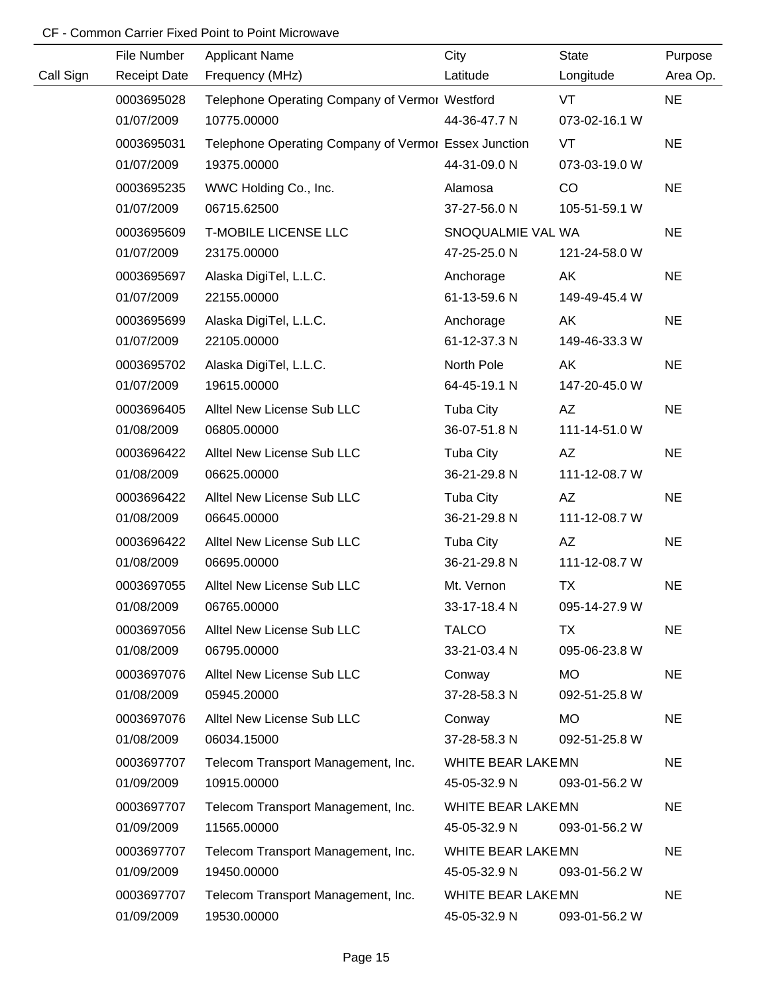|           | File Number         | <b>Applicant Name</b>                                | City               | <b>State</b>  | Purpose   |
|-----------|---------------------|------------------------------------------------------|--------------------|---------------|-----------|
| Call Sign | <b>Receipt Date</b> | Frequency (MHz)                                      | Latitude           | Longitude     | Area Op.  |
|           | 0003695028          | Telephone Operating Company of Vermor Westford       |                    | <b>VT</b>     | <b>NE</b> |
|           | 01/07/2009          | 10775.00000                                          | 44-36-47.7 N       | 073-02-16.1 W |           |
|           | 0003695031          | Telephone Operating Company of Vermor Essex Junction |                    | <b>VT</b>     | <b>NE</b> |
|           | 01/07/2009          | 19375.00000                                          | 44-31-09.0 N       | 073-03-19.0 W |           |
|           | 0003695235          | WWC Holding Co., Inc.                                | Alamosa            | CO            | <b>NE</b> |
|           | 01/07/2009          | 06715.62500                                          | 37-27-56.0 N       | 105-51-59.1 W |           |
|           | 0003695609          | <b>T-MOBILE LICENSE LLC</b>                          | SNOQUALMIE VAL WA  |               | <b>NE</b> |
|           | 01/07/2009          | 23175.00000                                          | 47-25-25.0 N       | 121-24-58.0 W |           |
|           | 0003695697          | Alaska DigiTel, L.L.C.                               | Anchorage          | AK            | <b>NE</b> |
|           | 01/07/2009          | 22155.00000                                          | 61-13-59.6 N       | 149-49-45.4 W |           |
|           | 0003695699          | Alaska DigiTel, L.L.C.                               | Anchorage          | AK            | <b>NE</b> |
|           | 01/07/2009          | 22105.00000                                          | 61-12-37.3 N       | 149-46-33.3 W |           |
|           | 0003695702          | Alaska DigiTel, L.L.C.                               | North Pole         | AK            | <b>NE</b> |
|           | 01/07/2009          | 19615.00000                                          | 64-45-19.1 N       | 147-20-45.0 W |           |
|           | 0003696405          | Alltel New License Sub LLC                           | <b>Tuba City</b>   | AZ            | <b>NE</b> |
|           | 01/08/2009          | 06805.00000                                          | 36-07-51.8 N       | 111-14-51.0 W |           |
|           | 0003696422          | Alltel New License Sub LLC                           | <b>Tuba City</b>   | AZ            | <b>NE</b> |
|           | 01/08/2009          | 06625.00000                                          | 36-21-29.8 N       | 111-12-08.7 W |           |
|           | 0003696422          | Alltel New License Sub LLC                           | Tuba City          | AZ            | <b>NE</b> |
|           | 01/08/2009          | 06645.00000                                          | 36-21-29.8 N       | 111-12-08.7 W |           |
|           | 0003696422          | Alltel New License Sub LLC                           | Tuba City          | AZ            | <b>NE</b> |
|           | 01/08/2009          | 06695.00000                                          | 36-21-29.8 N       | 111-12-08.7 W |           |
|           | 0003697055          | Alltel New License Sub LLC                           | Mt. Vernon         | <b>TX</b>     | <b>NE</b> |
|           | 01/08/2009          | 06765.00000                                          | 33-17-18.4 N       | 095-14-27.9 W |           |
|           | 0003697056          | Alltel New License Sub LLC                           | <b>TALCO</b>       | TX            | <b>NE</b> |
|           | 01/08/2009          | 06795.00000                                          | 33-21-03.4 N       | 095-06-23.8 W |           |
|           | 0003697076          | Alltel New License Sub LLC                           | Conway             | MO.           | <b>NE</b> |
|           | 01/08/2009          | 05945.20000                                          | 37-28-58.3 N       | 092-51-25.8 W |           |
|           | 0003697076          | Alltel New License Sub LLC                           | Conway             | <b>MO</b>     | <b>NE</b> |
|           | 01/08/2009          | 06034.15000                                          | 37-28-58.3 N       | 092-51-25.8 W |           |
|           | 0003697707          | Telecom Transport Management, Inc.                   | WHITE BEAR LAKE MN |               | <b>NE</b> |
|           | 01/09/2009          | 10915.00000                                          | 45-05-32.9 N       | 093-01-56.2 W |           |
|           | 0003697707          | Telecom Transport Management, Inc.                   | WHITE BEAR LAKE MN |               | <b>NE</b> |
|           | 01/09/2009          | 11565.00000                                          | 45-05-32.9 N       | 093-01-56.2 W |           |
|           | 0003697707          | Telecom Transport Management, Inc.                   | WHITE BEAR LAKE MN |               | <b>NE</b> |
|           | 01/09/2009          | 19450.00000                                          | 45-05-32.9 N       | 093-01-56.2 W |           |
|           | 0003697707          | Telecom Transport Management, Inc.                   | WHITE BEAR LAKE MN |               | <b>NE</b> |
|           | 01/09/2009          | 19530.00000                                          | 45-05-32.9 N       | 093-01-56.2 W |           |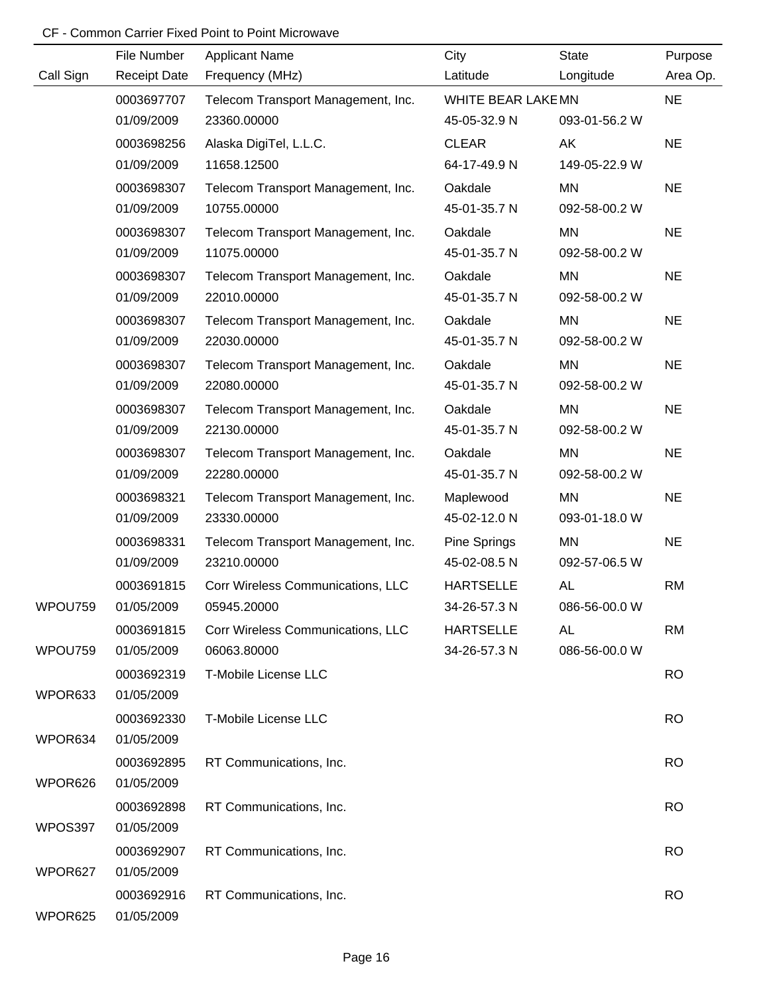|           | File Number         | <b>Applicant Name</b>              | City               | <b>State</b>  | Purpose   |
|-----------|---------------------|------------------------------------|--------------------|---------------|-----------|
| Call Sign | <b>Receipt Date</b> | Frequency (MHz)                    | Latitude           | Longitude     | Area Op.  |
|           | 0003697707          | Telecom Transport Management, Inc. | WHITE BEAR LAKE MN |               | <b>NE</b> |
|           | 01/09/2009          | 23360.00000                        | 45-05-32.9 N       | 093-01-56.2 W |           |
|           | 0003698256          | Alaska DigiTel, L.L.C.             | <b>CLEAR</b>       | AK            | <b>NE</b> |
|           | 01/09/2009          | 11658.12500                        | 64-17-49.9 N       | 149-05-22.9 W |           |
|           | 0003698307          | Telecom Transport Management, Inc. | Oakdale            | MN            | <b>NE</b> |
|           | 01/09/2009          | 10755.00000                        | 45-01-35.7 N       | 092-58-00.2 W |           |
|           | 0003698307          | Telecom Transport Management, Inc. | Oakdale            | MN            | <b>NE</b> |
|           | 01/09/2009          | 11075.00000                        | 45-01-35.7 N       | 092-58-00.2 W |           |
|           | 0003698307          | Telecom Transport Management, Inc. | Oakdale            | MN            | <b>NE</b> |
|           | 01/09/2009          | 22010.00000                        | 45-01-35.7 N       | 092-58-00.2 W |           |
|           | 0003698307          | Telecom Transport Management, Inc. | Oakdale            | MN            | <b>NE</b> |
|           | 01/09/2009          | 22030.00000                        | 45-01-35.7 N       | 092-58-00.2 W |           |
|           | 0003698307          | Telecom Transport Management, Inc. | Oakdale            | MN            | <b>NE</b> |
|           | 01/09/2009          | 22080.00000                        | 45-01-35.7 N       | 092-58-00.2 W |           |
|           | 0003698307          | Telecom Transport Management, Inc. | Oakdale            | MN            | <b>NE</b> |
|           | 01/09/2009          | 22130.00000                        | 45-01-35.7 N       | 092-58-00.2 W |           |
|           | 0003698307          | Telecom Transport Management, Inc. | Oakdale            | MN            | <b>NE</b> |
|           | 01/09/2009          | 22280.00000                        | 45-01-35.7 N       | 092-58-00.2 W |           |
|           | 0003698321          | Telecom Transport Management, Inc. | Maplewood          | MN            | <b>NE</b> |
|           | 01/09/2009          | 23330.00000                        | 45-02-12.0 N       | 093-01-18.0 W |           |
|           | 0003698331          | Telecom Transport Management, Inc. | Pine Springs       | <b>MN</b>     | <b>NE</b> |
|           | 01/09/2009          | 23210.00000                        | 45-02-08.5 N       | 092-57-06.5 W |           |
|           | 0003691815          | Corr Wireless Communications, LLC  | <b>HARTSELLE</b>   | <b>AL</b>     | <b>RM</b> |
| WPOU759   | 01/05/2009          | 05945.20000                        | 34-26-57.3 N       | 086-56-00.0 W |           |
|           | 0003691815          | Corr Wireless Communications, LLC  | <b>HARTSELLE</b>   | <b>AL</b>     | <b>RM</b> |
| WPOU759   | 01/05/2009          | 06063.80000                        | 34-26-57.3 N       | 086-56-00.0 W |           |
|           | 0003692319          | T-Mobile License LLC               |                    |               | <b>RO</b> |
| WPOR633   | 01/05/2009          |                                    |                    |               |           |
|           | 0003692330          | T-Mobile License LLC               |                    |               | <b>RO</b> |
| WPOR634   | 01/05/2009          |                                    |                    |               |           |
|           | 0003692895          | RT Communications, Inc.            |                    |               | <b>RO</b> |
| WPOR626   | 01/05/2009          |                                    |                    |               |           |
|           | 0003692898          | RT Communications, Inc.            |                    |               | <b>RO</b> |
| WPOS397   | 01/05/2009          |                                    |                    |               |           |
|           | 0003692907          | RT Communications, Inc.            |                    |               | <b>RO</b> |
| WPOR627   | 01/05/2009          |                                    |                    |               |           |
|           | 0003692916          | RT Communications, Inc.            |                    |               | <b>RO</b> |
| WPOR625   | 01/05/2009          |                                    |                    |               |           |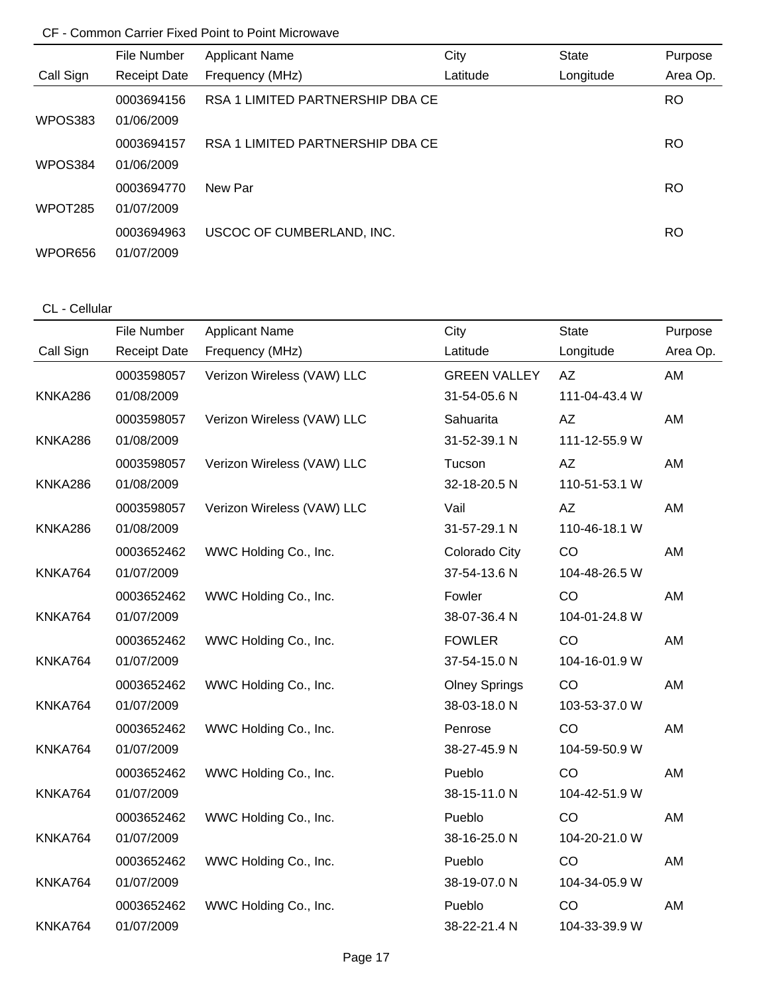|                     | File Number         | <b>Applicant Name</b>            | City     | <b>State</b> | Purpose   |
|---------------------|---------------------|----------------------------------|----------|--------------|-----------|
| Call Sign           | <b>Receipt Date</b> | Frequency (MHz)                  | Latitude | Longitude    | Area Op.  |
|                     | 0003694156          | RSA 1 LIMITED PARTNERSHIP DBA CE |          |              | <b>RO</b> |
| WPOS383             | 01/06/2009          |                                  |          |              |           |
|                     | 0003694157          | RSA 1 LIMITED PARTNERSHIP DBA CE |          |              | <b>RO</b> |
| WPOS384             | 01/06/2009          |                                  |          |              |           |
|                     | 0003694770          | New Par                          |          |              | <b>RO</b> |
| WPOT <sub>285</sub> | 01/07/2009          |                                  |          |              |           |
|                     | 0003694963          | USCOC OF CUMBERLAND, INC.        |          |              | <b>RO</b> |
| WPOR656             | 01/07/2009          |                                  |          |              |           |

# CL - Cellular

|           | File Number         | <b>Applicant Name</b>      | City                 | State         | Purpose  |
|-----------|---------------------|----------------------------|----------------------|---------------|----------|
| Call Sign | <b>Receipt Date</b> | Frequency (MHz)            | Latitude             | Longitude     | Area Op. |
|           | 0003598057          | Verizon Wireless (VAW) LLC | <b>GREEN VALLEY</b>  | AZ            | AM       |
| KNKA286   | 01/08/2009          |                            | 31-54-05.6 N         | 111-04-43.4 W |          |
|           | 0003598057          | Verizon Wireless (VAW) LLC | Sahuarita            | AZ            | AM       |
| KNKA286   | 01/08/2009          |                            | 31-52-39.1 N         | 111-12-55.9 W |          |
|           | 0003598057          | Verizon Wireless (VAW) LLC | Tucson               | <b>AZ</b>     | AM       |
| KNKA286   | 01/08/2009          |                            | 32-18-20.5 N         | 110-51-53.1 W |          |
|           | 0003598057          | Verizon Wireless (VAW) LLC | Vail                 | AZ            | AM       |
| KNKA286   | 01/08/2009          |                            | 31-57-29.1 N         | 110-46-18.1 W |          |
|           | 0003652462          | WWC Holding Co., Inc.      | Colorado City        | CO            | AM       |
| KNKA764   | 01/07/2009          |                            | 37-54-13.6 N         | 104-48-26.5 W |          |
|           | 0003652462          | WWC Holding Co., Inc.      | Fowler               | CO            | AM       |
| KNKA764   | 01/07/2009          |                            | 38-07-36.4 N         | 104-01-24.8 W |          |
|           | 0003652462          | WWC Holding Co., Inc.      | <b>FOWLER</b>        | CO            | AM       |
| KNKA764   | 01/07/2009          |                            | 37-54-15.0 N         | 104-16-01.9 W |          |
|           | 0003652462          | WWC Holding Co., Inc.      | <b>Olney Springs</b> | CO            | AM       |
| KNKA764   | 01/07/2009          |                            | 38-03-18.0 N         | 103-53-37.0 W |          |
|           | 0003652462          | WWC Holding Co., Inc.      | Penrose              | CO            | AM       |
| KNKA764   | 01/07/2009          |                            | 38-27-45.9 N         | 104-59-50.9 W |          |
|           | 0003652462          | WWC Holding Co., Inc.      | Pueblo               | CO            | AM       |
| KNKA764   | 01/07/2009          |                            | 38-15-11.0 N         | 104-42-51.9 W |          |
|           | 0003652462          | WWC Holding Co., Inc.      | Pueblo               | CO            | AM       |
| KNKA764   | 01/07/2009          |                            | 38-16-25.0 N         | 104-20-21.0 W |          |
|           | 0003652462          | WWC Holding Co., Inc.      | Pueblo               | CO            | AM       |
| KNKA764   | 01/07/2009          |                            | 38-19-07.0 N         | 104-34-05.9 W |          |
|           | 0003652462          | WWC Holding Co., Inc.      | Pueblo               | CO            | AM       |
| KNKA764   | 01/07/2009          |                            | 38-22-21.4 N         | 104-33-39.9 W |          |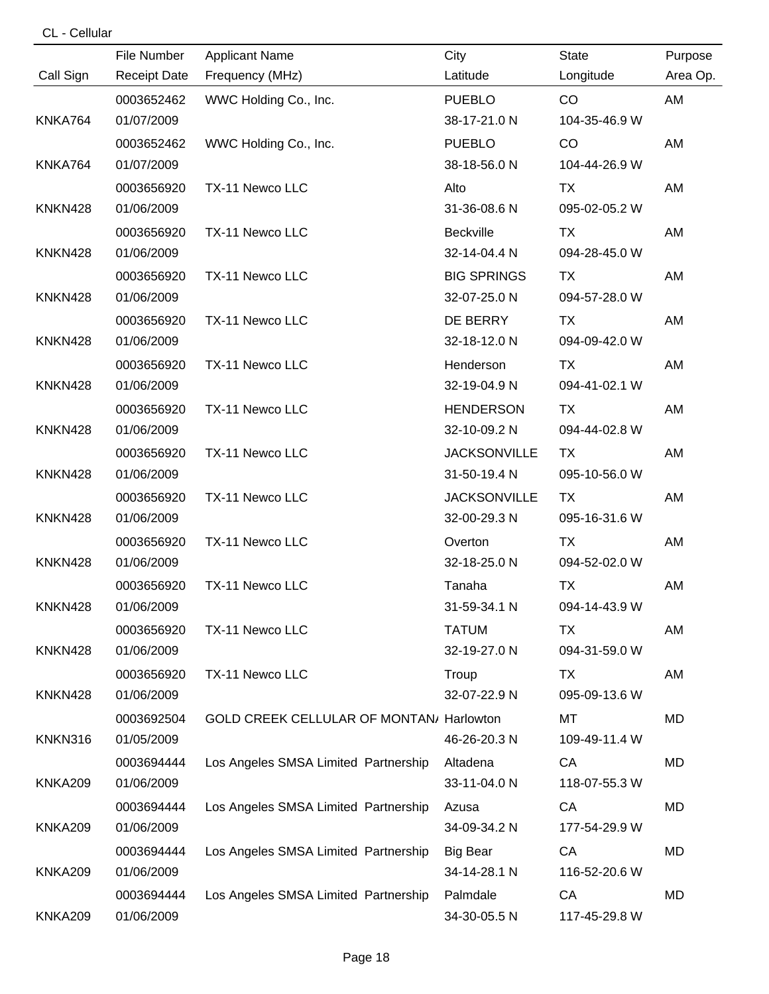|                | File Number         | <b>Applicant Name</b>                    | City                | State         | Purpose  |
|----------------|---------------------|------------------------------------------|---------------------|---------------|----------|
| Call Sign      | <b>Receipt Date</b> | Frequency (MHz)                          | Latitude            | Longitude     | Area Op. |
|                | 0003652462          | WWC Holding Co., Inc.                    | <b>PUEBLO</b>       | CO.           | AM       |
| KNKA764        | 01/07/2009          |                                          | 38-17-21.0 N        | 104-35-46.9 W |          |
|                | 0003652462          | WWC Holding Co., Inc.                    | <b>PUEBLO</b>       | CO            | AM       |
| KNKA764        | 01/07/2009          |                                          | 38-18-56.0 N        | 104-44-26.9 W |          |
|                | 0003656920          | TX-11 Newco LLC                          | Alto                | TX            | AM       |
| <b>KNKN428</b> | 01/06/2009          |                                          | 31-36-08.6 N        | 095-02-05.2 W |          |
|                | 0003656920          | TX-11 Newco LLC                          | Beckville           | <b>TX</b>     | AM       |
| <b>KNKN428</b> | 01/06/2009          |                                          | 32-14-04.4 N        | 094-28-45.0 W |          |
|                | 0003656920          | TX-11 Newco LLC                          | <b>BIG SPRINGS</b>  | TX.           | AM       |
| KNKN428        | 01/06/2009          |                                          | 32-07-25.0 N        | 094-57-28.0 W |          |
|                | 0003656920          | TX-11 Newco LLC                          | DE BERRY            | <b>TX</b>     | AM       |
| KNKN428        | 01/06/2009          |                                          | 32-18-12.0 N        | 094-09-42.0 W |          |
|                | 0003656920          | TX-11 Newco LLC                          | Henderson           | <b>TX</b>     | AM       |
| KNKN428        | 01/06/2009          |                                          | 32-19-04.9 N        | 094-41-02.1 W |          |
|                | 0003656920          | TX-11 Newco LLC                          | <b>HENDERSON</b>    | <b>TX</b>     | AM       |
| KNKN428        | 01/06/2009          |                                          | 32-10-09.2 N        | 094-44-02.8 W |          |
|                | 0003656920          | TX-11 Newco LLC                          | <b>JACKSONVILLE</b> | TX            | AM       |
| <b>KNKN428</b> | 01/06/2009          |                                          | 31-50-19.4 N        | 095-10-56.0 W |          |
|                | 0003656920          | TX-11 Newco LLC                          | <b>JACKSONVILLE</b> | TX            | AM       |
| KNKN428        | 01/06/2009          |                                          | 32-00-29.3 N        | 095-16-31.6 W |          |
|                | 0003656920          | TX-11 Newco LLC                          | Overton             | <b>TX</b>     | AM       |
| KNKN428        | 01/06/2009          |                                          | 32-18-25.0 N        | 094-52-02.0 W |          |
|                | 0003656920          | TX-11 Newco LLC                          | Tanaha              | <b>TX</b>     | AM       |
| <b>KNKN428</b> | 01/06/2009          |                                          | 31-59-34.1 N        | 094-14-43.9 W |          |
|                | 0003656920          | TX-11 Newco LLC                          | <b>TATUM</b>        | TX            | AM       |
| KNKN428        | 01/06/2009          |                                          | 32-19-27.0 N        | 094-31-59.0 W |          |
|                | 0003656920          | TX-11 Newco LLC                          | Troup               | TX            | AM       |
| KNKN428        | 01/06/2009          |                                          | 32-07-22.9 N        | 095-09-13.6 W |          |
|                | 0003692504          | GOLD CREEK CELLULAR OF MONTAN/ Harlowton |                     | МT            | MD       |
| KNKN316        | 01/05/2009          |                                          | 46-26-20.3 N        | 109-49-11.4 W |          |
|                | 0003694444          | Los Angeles SMSA Limited Partnership     | Altadena            | CA            | MD       |
| <b>KNKA209</b> | 01/06/2009          |                                          | 33-11-04.0 N        | 118-07-55.3 W |          |
|                | 0003694444          | Los Angeles SMSA Limited Partnership     | Azusa               | CA            | MD       |
| <b>KNKA209</b> | 01/06/2009          |                                          | 34-09-34.2 N        | 177-54-29.9 W |          |
|                | 0003694444          | Los Angeles SMSA Limited Partnership     | <b>Big Bear</b>     | CA            | MD       |
| <b>KNKA209</b> | 01/06/2009          |                                          | 34-14-28.1 N        | 116-52-20.6 W |          |
|                | 0003694444          | Los Angeles SMSA Limited Partnership     | Palmdale            | CA            | MD       |
| <b>KNKA209</b> | 01/06/2009          |                                          | 34-30-05.5 N        | 117-45-29.8 W |          |

CL - Cellular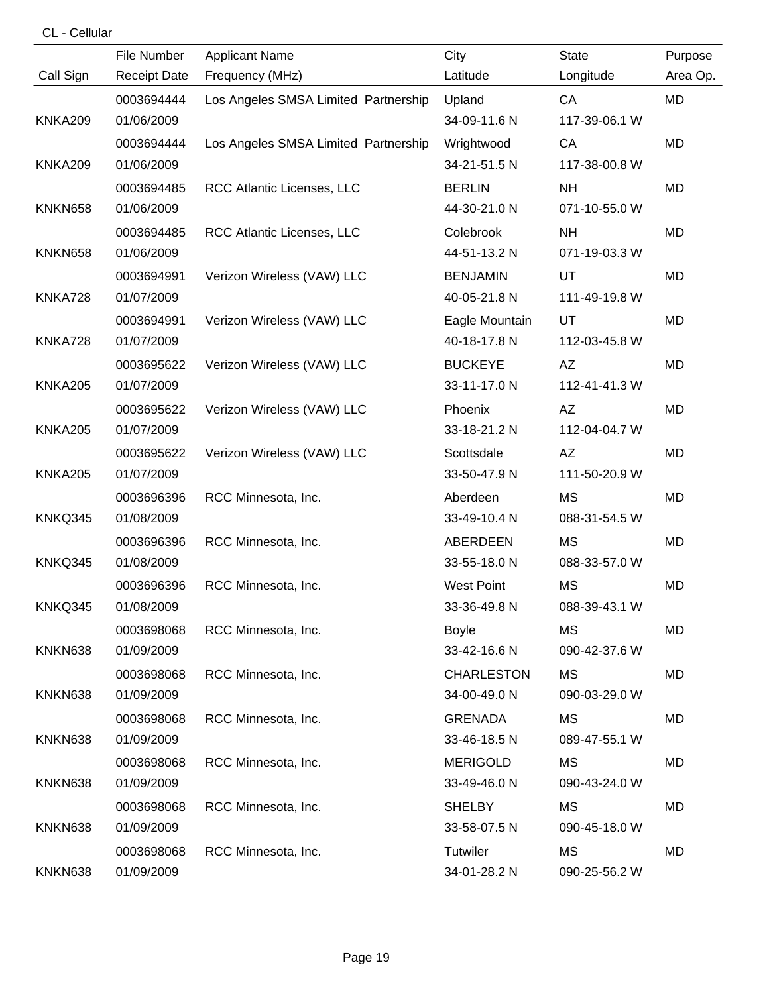| CL - Cellular |  |  |  |
|---------------|--|--|--|
|---------------|--|--|--|

|                | File Number         | <b>Applicant Name</b>                | City              | <b>State</b>  | Purpose   |
|----------------|---------------------|--------------------------------------|-------------------|---------------|-----------|
| Call Sign      | <b>Receipt Date</b> | Frequency (MHz)                      | Latitude          | Longitude     | Area Op.  |
|                | 0003694444          | Los Angeles SMSA Limited Partnership | Upland            | CA            | MD        |
| <b>KNKA209</b> | 01/06/2009          |                                      | 34-09-11.6 N      | 117-39-06.1 W |           |
|                | 0003694444          | Los Angeles SMSA Limited Partnership | Wrightwood        | CA            | MD        |
| <b>KNKA209</b> | 01/06/2009          |                                      | 34-21-51.5 N      | 117-38-00.8 W |           |
|                | 0003694485          | RCC Atlantic Licenses, LLC           | <b>BERLIN</b>     | <b>NH</b>     | MD        |
| <b>KNKN658</b> | 01/06/2009          |                                      | 44-30-21.0 N      | 071-10-55.0 W |           |
|                | 0003694485          | RCC Atlantic Licenses, LLC           | Colebrook         | <b>NH</b>     | MD        |
| <b>KNKN658</b> | 01/06/2009          |                                      | 44-51-13.2 N      | 071-19-03.3 W |           |
|                | 0003694991          | Verizon Wireless (VAW) LLC           | <b>BENJAMIN</b>   | UT            | <b>MD</b> |
| KNKA728        | 01/07/2009          |                                      | 40-05-21.8 N      | 111-49-19.8 W |           |
|                | 0003694991          | Verizon Wireless (VAW) LLC           | Eagle Mountain    | UT            | <b>MD</b> |
| KNKA728        | 01/07/2009          |                                      | 40-18-17.8 N      | 112-03-45.8 W |           |
|                | 0003695622          | Verizon Wireless (VAW) LLC           | <b>BUCKEYE</b>    | AZ            | <b>MD</b> |
| <b>KNKA205</b> | 01/07/2009          |                                      | 33-11-17.0 N      | 112-41-41.3 W |           |
|                | 0003695622          | Verizon Wireless (VAW) LLC           | Phoenix           | AZ            | MD        |
| <b>KNKA205</b> | 01/07/2009          |                                      | 33-18-21.2 N      | 112-04-04.7 W |           |
|                | 0003695622          | Verizon Wireless (VAW) LLC           | Scottsdale        | AZ            | MD        |
| <b>KNKA205</b> | 01/07/2009          |                                      | 33-50-47.9 N      | 111-50-20.9 W |           |
|                | 0003696396          | RCC Minnesota, Inc.                  | Aberdeen          | <b>MS</b>     | MD        |
| KNKQ345        | 01/08/2009          |                                      | 33-49-10.4 N      | 088-31-54.5 W |           |
|                | 0003696396          | RCC Minnesota, Inc.                  | ABERDEEN          | MS            | MD        |
| KNKQ345        | 01/08/2009          |                                      | 33-55-18.0 N      | 088-33-57.0 W |           |
|                | 0003696396          | RCC Minnesota, Inc.                  | <b>West Point</b> | MS            | MD        |
| KNKQ345        | 01/08/2009          |                                      | 33-36-49.8 N      | 088-39-43.1 W |           |
|                | 0003698068          | RCC Minnesota, Inc.                  | <b>Boyle</b>      | MS            | MD        |
| KNKN638        | 01/09/2009          |                                      | 33-42-16.6 N      | 090-42-37.6 W |           |
|                | 0003698068          | RCC Minnesota, Inc.                  | <b>CHARLESTON</b> | МS            | MD        |
| KNKN638        | 01/09/2009          |                                      | 34-00-49.0 N      | 090-03-29.0 W |           |
|                | 0003698068          | RCC Minnesota, Inc.                  | <b>GRENADA</b>    | МS            | MD        |
| KNKN638        | 01/09/2009          |                                      | 33-46-18.5 N      | 089-47-55.1 W |           |
|                | 0003698068          | RCC Minnesota, Inc.                  | <b>MERIGOLD</b>   | MS            | MD        |
| KNKN638        | 01/09/2009          |                                      | 33-49-46.0 N      | 090-43-24.0 W |           |
|                | 0003698068          | RCC Minnesota, Inc.                  | <b>SHELBY</b>     | МS            | MD        |
| KNKN638        | 01/09/2009          |                                      | 33-58-07.5 N      | 090-45-18.0 W |           |
|                | 0003698068          | RCC Minnesota, Inc.                  | <b>Tutwiler</b>   | МS            | MD        |
| KNKN638        | 01/09/2009          |                                      | 34-01-28.2 N      | 090-25-56.2 W |           |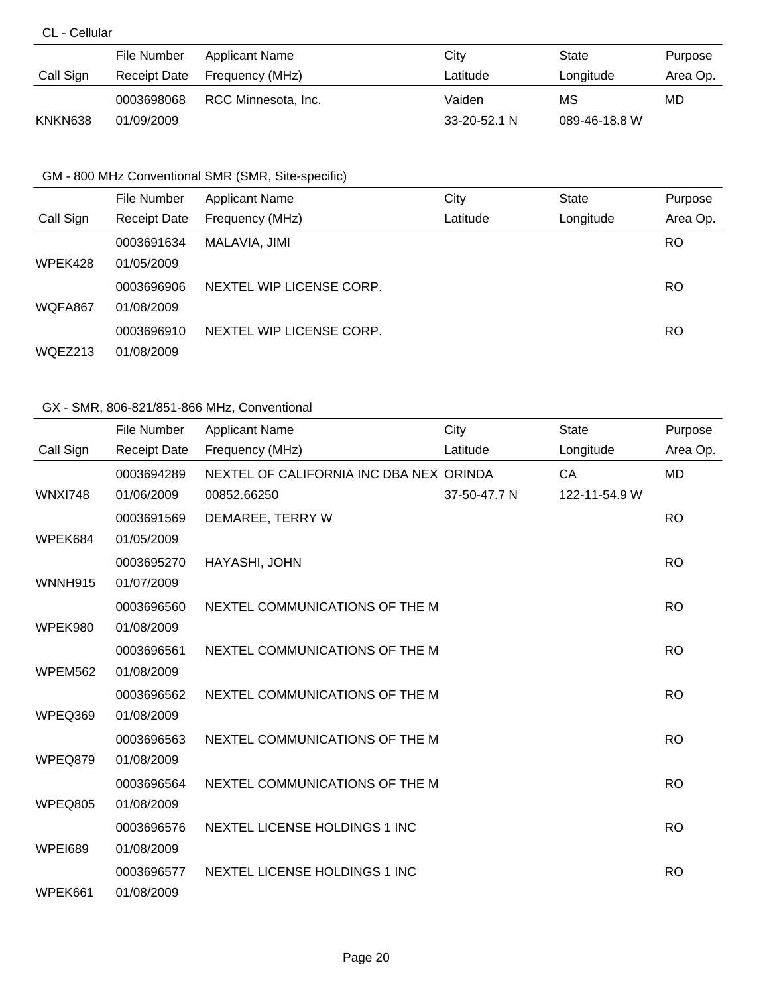# CL - Cellular

|           | File Number  | Applicant Name      | City               | State         | Purpose  |
|-----------|--------------|---------------------|--------------------|---------------|----------|
| Call Sign | Receipt Date | Frequency (MHz)     | Latitude           | Longitude     | Area Op. |
|           | 0003698068   | RCC Minnesota, Inc. | Vaiden             | МS            | MD       |
| KNKN638   | 01/09/2009   |                     | $33 - 20 - 52.1$ N | 089-46-18.8 W |          |

# GM - 800 MHz Conventional SMR (SMR, Site-specific)

|           | File Number         | <b>Applicant Name</b>    | City     | <b>State</b> | Purpose   |
|-----------|---------------------|--------------------------|----------|--------------|-----------|
| Call Sign | <b>Receipt Date</b> | Frequency (MHz)          | Latitude | Longitude    | Area Op.  |
|           | 0003691634          | MALAVIA, JIMI            |          |              | <b>RO</b> |
| WPEK428   | 01/05/2009          |                          |          |              |           |
|           | 0003696906          | NEXTEL WIP LICENSE CORP. |          |              | RO        |
| WQFA867   | 01/08/2009          |                          |          |              |           |
|           | 0003696910          | NEXTEL WIP LICENSE CORP. |          |              | RO        |
| WQEZ213   | 01/08/2009          |                          |          |              |           |

|                | File Number         | <b>Applicant Name</b>                   | City         | <b>State</b>  | Purpose   |
|----------------|---------------------|-----------------------------------------|--------------|---------------|-----------|
| Call Sign      | <b>Receipt Date</b> | Frequency (MHz)                         | Latitude     | Longitude     | Area Op.  |
|                | 0003694289          | NEXTEL OF CALIFORNIA INC DBA NEX ORINDA |              | <b>CA</b>     | <b>MD</b> |
| <b>WNXI748</b> | 01/06/2009          | 00852.66250                             | 37-50-47.7 N | 122-11-54.9 W |           |
|                | 0003691569          | DEMAREE, TERRY W                        |              |               | <b>RO</b> |
| WPEK684        | 01/05/2009          |                                         |              |               |           |
|                | 0003695270          | HAYASHI, JOHN                           |              |               | <b>RO</b> |
| WNNH915        | 01/07/2009          |                                         |              |               |           |
|                | 0003696560          | NEXTEL COMMUNICATIONS OF THE M          |              |               | <b>RO</b> |
| WPEK980        | 01/08/2009          |                                         |              |               |           |
|                | 0003696561          | NEXTEL COMMUNICATIONS OF THE M          |              |               | <b>RO</b> |
| WPEM562        | 01/08/2009          |                                         |              |               |           |
|                | 0003696562          | NEXTEL COMMUNICATIONS OF THE M          |              |               | <b>RO</b> |
| WPEQ369        | 01/08/2009          |                                         |              |               |           |
|                | 0003696563          | NEXTEL COMMUNICATIONS OF THE M          |              |               | <b>RO</b> |
| WPEQ879        | 01/08/2009          |                                         |              |               |           |
|                | 0003696564          | NEXTEL COMMUNICATIONS OF THE M          |              |               | <b>RO</b> |
| WPEQ805        | 01/08/2009          |                                         |              |               |           |
|                | 0003696576          | NEXTEL LICENSE HOLDINGS 1 INC           |              |               | <b>RO</b> |
| <b>WPEI689</b> | 01/08/2009          |                                         |              |               |           |
|                | 0003696577          | <b>NEXTEL LICENSE HOLDINGS 1 INC</b>    |              |               | <b>RO</b> |
| WPEK661        | 01/08/2009          |                                         |              |               |           |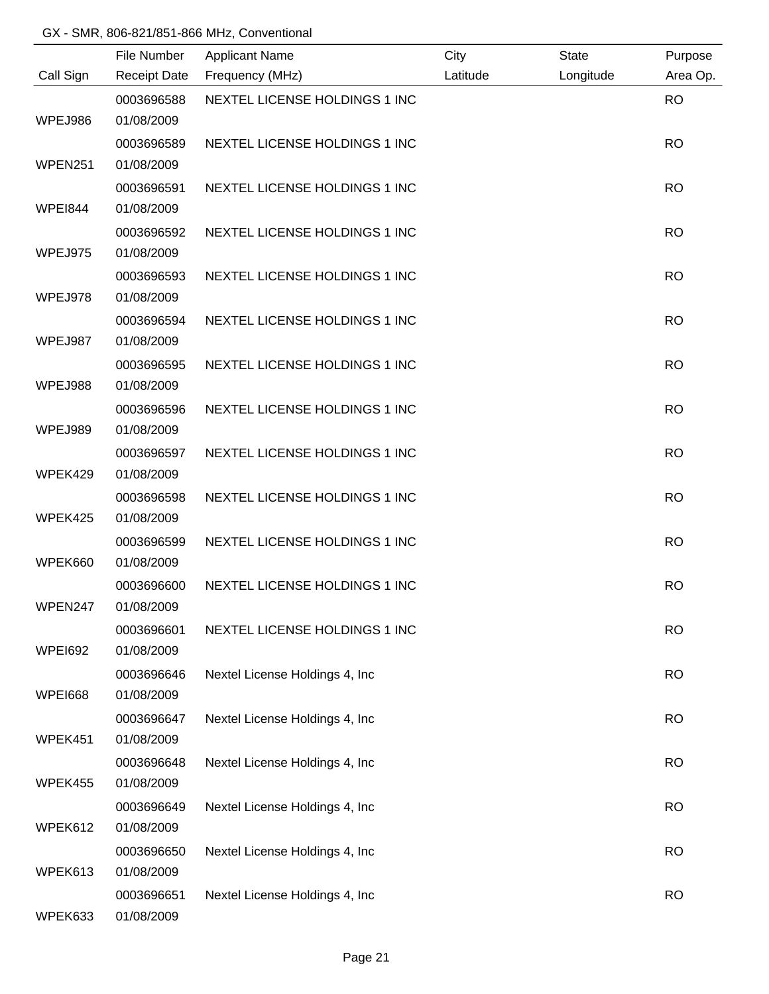|                | File Number              | <b>Applicant Name</b>          | City     | <b>State</b> | Purpose   |
|----------------|--------------------------|--------------------------------|----------|--------------|-----------|
| Call Sign      | <b>Receipt Date</b>      | Frequency (MHz)                | Latitude | Longitude    | Area Op.  |
|                | 0003696588               | NEXTEL LICENSE HOLDINGS 1 INC  |          |              | <b>RO</b> |
| WPEJ986        | 01/08/2009               |                                |          |              |           |
|                | 0003696589               | NEXTEL LICENSE HOLDINGS 1 INC  |          |              | <b>RO</b> |
| WPEN251        | 01/08/2009               |                                |          |              |           |
|                | 0003696591               | NEXTEL LICENSE HOLDINGS 1 INC  |          |              | <b>RO</b> |
| <b>WPEI844</b> | 01/08/2009               |                                |          |              |           |
|                | 0003696592               | NEXTEL LICENSE HOLDINGS 1 INC  |          |              | <b>RO</b> |
| WPEJ975        | 01/08/2009               |                                |          |              |           |
|                | 0003696593               | NEXTEL LICENSE HOLDINGS 1 INC  |          |              | <b>RO</b> |
| WPEJ978        | 01/08/2009               |                                |          |              |           |
|                | 0003696594               | NEXTEL LICENSE HOLDINGS 1 INC  |          |              | <b>RO</b> |
| WPEJ987        | 01/08/2009               |                                |          |              |           |
|                | 0003696595               | NEXTEL LICENSE HOLDINGS 1 INC  |          |              | <b>RO</b> |
| WPEJ988        | 01/08/2009               |                                |          |              |           |
|                | 0003696596               | NEXTEL LICENSE HOLDINGS 1 INC  |          |              | <b>RO</b> |
| WPEJ989        | 01/08/2009               |                                |          |              |           |
|                | 0003696597               | NEXTEL LICENSE HOLDINGS 1 INC  |          |              | <b>RO</b> |
| WPEK429        | 01/08/2009               |                                |          |              |           |
|                | 0003696598               | NEXTEL LICENSE HOLDINGS 1 INC  |          |              | <b>RO</b> |
| WPEK425        | 01/08/2009               |                                |          |              |           |
|                | 0003696599               | NEXTEL LICENSE HOLDINGS 1 INC  |          |              | <b>RO</b> |
| WPEK660        | 01/08/2009               |                                |          |              |           |
|                | 0003696600               | NEXTEL LICENSE HOLDINGS 1 INC  |          |              | <b>RO</b> |
| WPEN247        | 01/08/2009               |                                |          |              |           |
| <b>WPEI692</b> | 0003696601<br>01/08/2009 | NEXTEL LICENSE HOLDINGS 1 INC  |          |              | <b>RO</b> |
|                |                          |                                |          |              | <b>RO</b> |
| <b>WPEI668</b> | 0003696646<br>01/08/2009 | Nextel License Holdings 4, Inc |          |              |           |
|                | 0003696647               | Nextel License Holdings 4, Inc |          |              | <b>RO</b> |
| WPEK451        | 01/08/2009               |                                |          |              |           |
|                | 0003696648               | Nextel License Holdings 4, Inc |          |              | <b>RO</b> |
| WPEK455        | 01/08/2009               |                                |          |              |           |
|                | 0003696649               | Nextel License Holdings 4, Inc |          |              | <b>RO</b> |
| WPEK612        | 01/08/2009               |                                |          |              |           |
|                | 0003696650               | Nextel License Holdings 4, Inc |          |              | <b>RO</b> |
| WPEK613        | 01/08/2009               |                                |          |              |           |
|                | 0003696651               | Nextel License Holdings 4, Inc |          |              | <b>RO</b> |
| WPEK633        | 01/08/2009               |                                |          |              |           |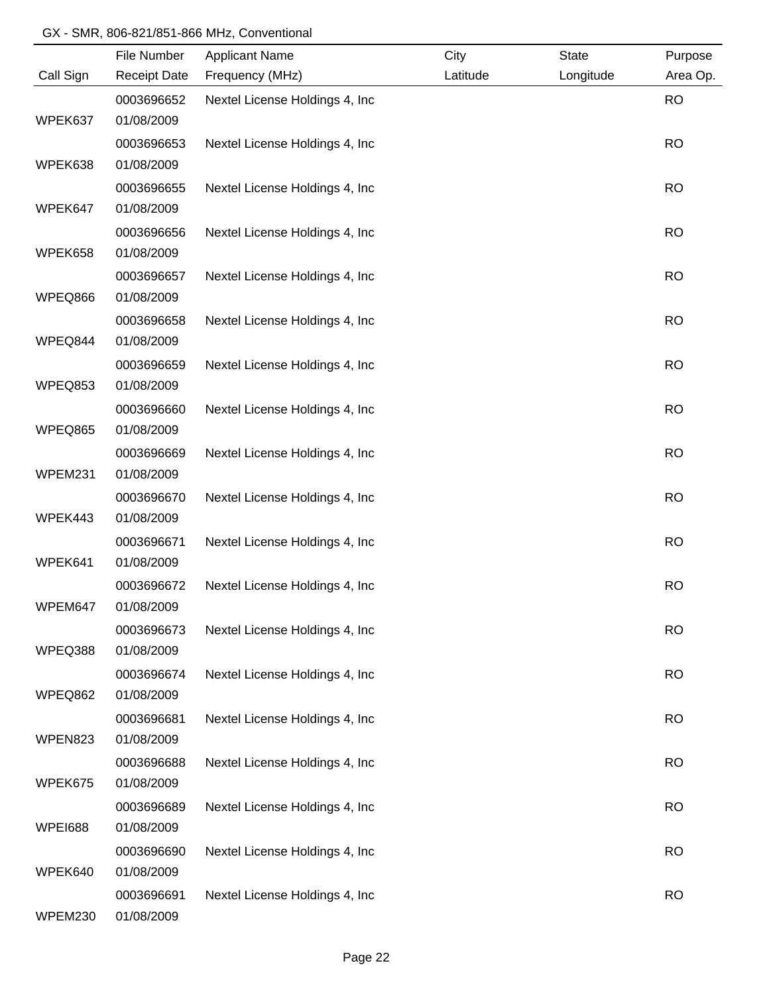|                | File Number         | <b>Applicant Name</b>           | City     | <b>State</b> | Purpose   |
|----------------|---------------------|---------------------------------|----------|--------------|-----------|
| Call Sign      | <b>Receipt Date</b> | Frequency (MHz)                 | Latitude | Longitude    | Area Op.  |
|                | 0003696652          | Nextel License Holdings 4, Inc  |          |              | <b>RO</b> |
| WPEK637        | 01/08/2009          |                                 |          |              |           |
|                | 0003696653          | Nextel License Holdings 4, Inc. |          |              | <b>RO</b> |
| WPEK638        | 01/08/2009          |                                 |          |              |           |
|                | 0003696655          | Nextel License Holdings 4, Inc. |          |              | <b>RO</b> |
| WPEK647        | 01/08/2009          |                                 |          |              |           |
|                | 0003696656          | Nextel License Holdings 4, Inc. |          |              | <b>RO</b> |
| WPEK658        | 01/08/2009          |                                 |          |              |           |
|                | 0003696657          | Nextel License Holdings 4, Inc  |          |              | <b>RO</b> |
| WPEQ866        | 01/08/2009          |                                 |          |              |           |
|                | 0003696658          | Nextel License Holdings 4, Inc. |          |              | <b>RO</b> |
| WPEQ844        | 01/08/2009          |                                 |          |              |           |
|                | 0003696659          | Nextel License Holdings 4, Inc  |          |              | <b>RO</b> |
| WPEQ853        | 01/08/2009          |                                 |          |              |           |
|                | 0003696660          | Nextel License Holdings 4, Inc  |          |              | <b>RO</b> |
| WPEQ865        | 01/08/2009          |                                 |          |              |           |
|                | 0003696669          | Nextel License Holdings 4, Inc  |          |              | <b>RO</b> |
| WPEM231        | 01/08/2009          |                                 |          |              |           |
|                | 0003696670          | Nextel License Holdings 4, Inc  |          |              | <b>RO</b> |
| WPEK443        | 01/08/2009          |                                 |          |              |           |
|                | 0003696671          | Nextel License Holdings 4, Inc  |          |              | <b>RO</b> |
| WPEK641        | 01/08/2009          |                                 |          |              |           |
|                | 0003696672          | Nextel License Holdings 4, Inc  |          |              | <b>RO</b> |
| WPEM647        | 01/08/2009          |                                 |          |              |           |
|                | 0003696673          | Nextel License Holdings 4, Inc  |          |              | <b>RO</b> |
| WPEQ388        | 01/08/2009          |                                 |          |              |           |
|                | 0003696674          | Nextel License Holdings 4, Inc  |          |              | <b>RO</b> |
| WPEQ862        | 01/08/2009          |                                 |          |              |           |
|                | 0003696681          | Nextel License Holdings 4, Inc  |          |              | <b>RO</b> |
| WPEN823        | 01/08/2009          |                                 |          |              |           |
|                | 0003696688          | Nextel License Holdings 4, Inc  |          |              | <b>RO</b> |
| WPEK675        | 01/08/2009          |                                 |          |              |           |
|                | 0003696689          | Nextel License Holdings 4, Inc  |          |              | <b>RO</b> |
| <b>WPEI688</b> | 01/08/2009          |                                 |          |              |           |
|                | 0003696690          | Nextel License Holdings 4, Inc  |          |              | <b>RO</b> |
| WPEK640        | 01/08/2009          |                                 |          |              |           |
|                | 0003696691          | Nextel License Holdings 4, Inc  |          |              | <b>RO</b> |
| WPEM230        | 01/08/2009          |                                 |          |              |           |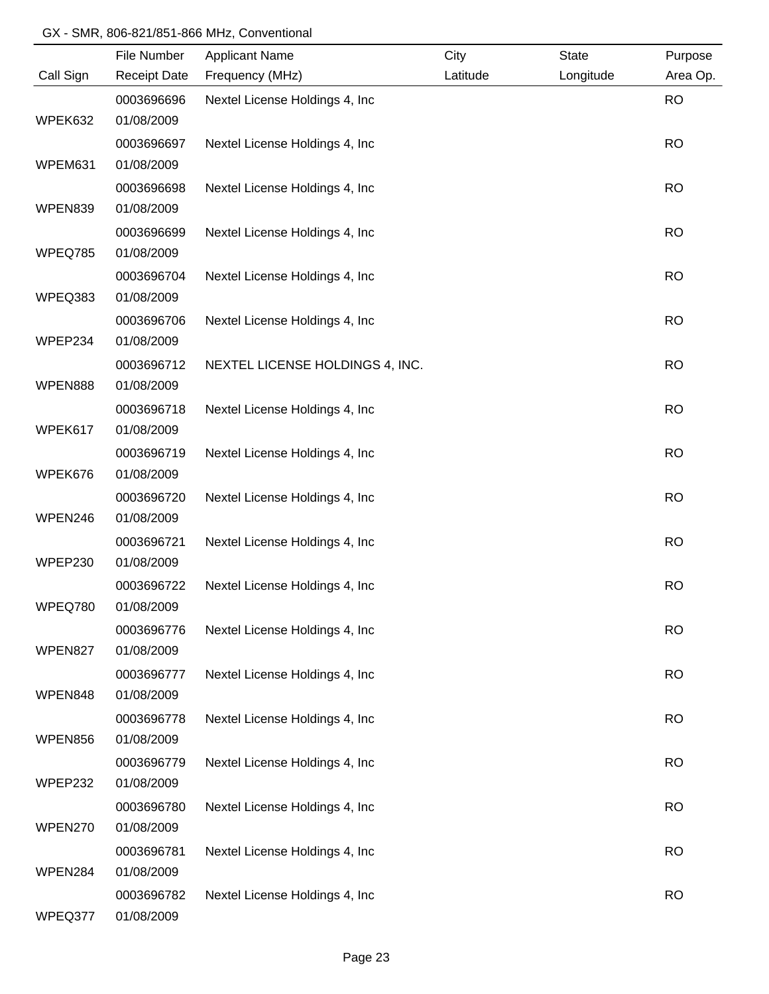|           | File Number         | <b>Applicant Name</b>           | City     | <b>State</b> | Purpose   |
|-----------|---------------------|---------------------------------|----------|--------------|-----------|
| Call Sign | <b>Receipt Date</b> | Frequency (MHz)                 | Latitude | Longitude    | Area Op.  |
|           | 0003696696          | Nextel License Holdings 4, Inc  |          |              | <b>RO</b> |
| WPEK632   | 01/08/2009          |                                 |          |              |           |
|           | 0003696697          | Nextel License Holdings 4, Inc. |          |              | <b>RO</b> |
| WPEM631   | 01/08/2009          |                                 |          |              |           |
|           | 0003696698          | Nextel License Holdings 4, Inc  |          |              | <b>RO</b> |
| WPEN839   | 01/08/2009          |                                 |          |              |           |
|           | 0003696699          | Nextel License Holdings 4, Inc. |          |              | <b>RO</b> |
| WPEQ785   | 01/08/2009          |                                 |          |              |           |
|           | 0003696704          | Nextel License Holdings 4, Inc  |          |              | <b>RO</b> |
| WPEQ383   | 01/08/2009          |                                 |          |              |           |
|           | 0003696706          | Nextel License Holdings 4, Inc  |          |              | <b>RO</b> |
| WPEP234   | 01/08/2009          |                                 |          |              |           |
|           | 0003696712          | NEXTEL LICENSE HOLDINGS 4, INC. |          |              | <b>RO</b> |
| WPEN888   | 01/08/2009          |                                 |          |              |           |
|           | 0003696718          | Nextel License Holdings 4, Inc  |          |              | <b>RO</b> |
| WPEK617   | 01/08/2009          |                                 |          |              |           |
|           | 0003696719          | Nextel License Holdings 4, Inc  |          |              | <b>RO</b> |
| WPEK676   | 01/08/2009          |                                 |          |              |           |
|           | 0003696720          | Nextel License Holdings 4, Inc  |          |              | <b>RO</b> |
| WPEN246   | 01/08/2009          |                                 |          |              |           |
|           | 0003696721          | Nextel License Holdings 4, Inc  |          |              | <b>RO</b> |
| WPEP230   | 01/08/2009          |                                 |          |              |           |
|           | 0003696722          | Nextel License Holdings 4, Inc  |          |              | <b>RO</b> |
| WPEQ780   | 01/08/2009          |                                 |          |              |           |
|           | 0003696776          | Nextel License Holdings 4, Inc  |          |              | <b>RO</b> |
| WPEN827   | 01/08/2009          |                                 |          |              |           |
|           | 0003696777          | Nextel License Holdings 4, Inc  |          |              | <b>RO</b> |
| WPEN848   | 01/08/2009          |                                 |          |              |           |
|           | 0003696778          | Nextel License Holdings 4, Inc  |          |              | <b>RO</b> |
| WPEN856   | 01/08/2009          |                                 |          |              |           |
|           | 0003696779          | Nextel License Holdings 4, Inc  |          |              | <b>RO</b> |
| WPEP232   | 01/08/2009          |                                 |          |              |           |
|           | 0003696780          | Nextel License Holdings 4, Inc  |          |              | <b>RO</b> |
| WPEN270   | 01/08/2009          |                                 |          |              |           |
|           | 0003696781          | Nextel License Holdings 4, Inc  |          |              | <b>RO</b> |
| WPEN284   | 01/08/2009          |                                 |          |              |           |
|           | 0003696782          | Nextel License Holdings 4, Inc  |          |              | <b>RO</b> |
| WPEQ377   | 01/08/2009          |                                 |          |              |           |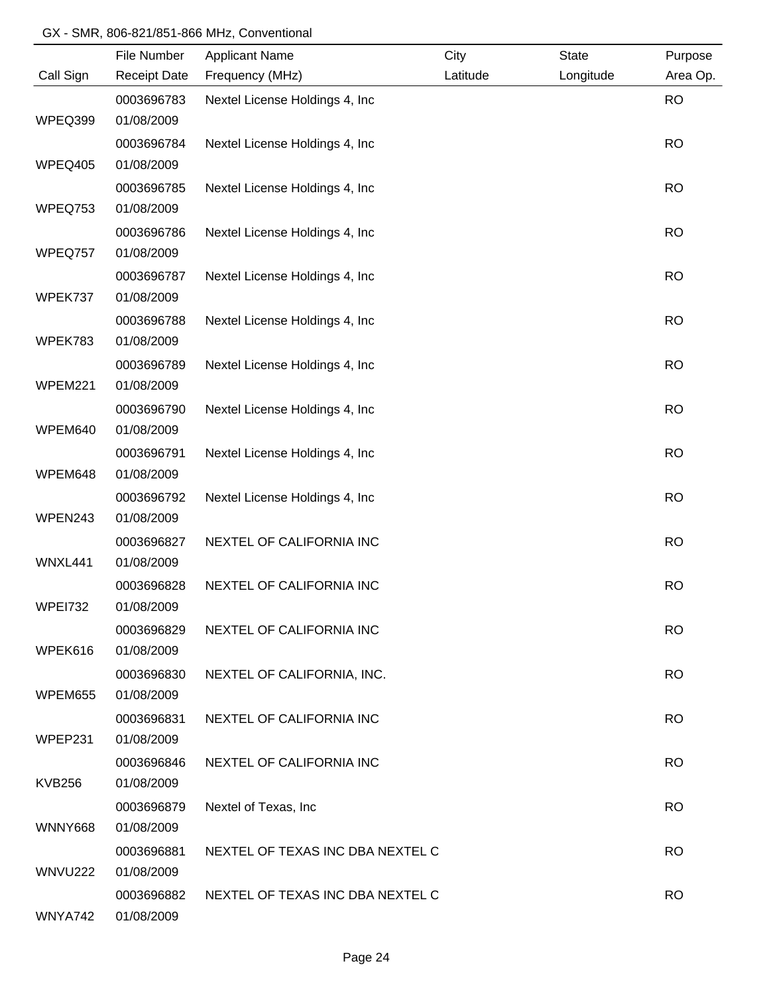|                | File Number         | <b>Applicant Name</b>            | City     | State     | Purpose   |
|----------------|---------------------|----------------------------------|----------|-----------|-----------|
| Call Sign      | <b>Receipt Date</b> | Frequency (MHz)                  | Latitude | Longitude | Area Op.  |
|                | 0003696783          | Nextel License Holdings 4, Inc   |          |           | <b>RO</b> |
| WPEQ399        | 01/08/2009          |                                  |          |           |           |
|                | 0003696784          | Nextel License Holdings 4, Inc   |          |           | <b>RO</b> |
| WPEQ405        | 01/08/2009          |                                  |          |           |           |
|                | 0003696785          | Nextel License Holdings 4, Inc.  |          |           | <b>RO</b> |
| WPEQ753        | 01/08/2009          |                                  |          |           |           |
|                | 0003696786          | Nextel License Holdings 4, Inc   |          |           | <b>RO</b> |
| WPEQ757        | 01/08/2009          |                                  |          |           |           |
|                | 0003696787          | Nextel License Holdings 4, Inc.  |          |           | <b>RO</b> |
| WPEK737        | 01/08/2009          |                                  |          |           |           |
|                | 0003696788          | Nextel License Holdings 4, Inc   |          |           | <b>RO</b> |
| WPEK783        | 01/08/2009          |                                  |          |           |           |
|                | 0003696789          | Nextel License Holdings 4, Inc   |          |           | <b>RO</b> |
| WPEM221        | 01/08/2009          |                                  |          |           |           |
|                | 0003696790          | Nextel License Holdings 4, Inc   |          |           | <b>RO</b> |
| WPEM640        | 01/08/2009          |                                  |          |           |           |
|                | 0003696791          | Nextel License Holdings 4, Inc   |          |           | <b>RO</b> |
| WPEM648        | 01/08/2009          |                                  |          |           |           |
|                | 0003696792          | Nextel License Holdings 4, Inc   |          |           | <b>RO</b> |
| WPEN243        | 01/08/2009          |                                  |          |           |           |
|                | 0003696827          | NEXTEL OF CALIFORNIA INC         |          |           | <b>RO</b> |
| WNXL441        | 01/08/2009          |                                  |          |           |           |
|                | 0003696828          | NEXTEL OF CALIFORNIA INC         |          |           | <b>RO</b> |
| WPE1732        | 01/08/2009          |                                  |          |           |           |
|                | 0003696829          | NEXTEL OF CALIFORNIA INC         |          |           | <b>RO</b> |
| WPEK616        | 01/08/2009          |                                  |          |           |           |
|                | 0003696830          | NEXTEL OF CALIFORNIA, INC.       |          |           | <b>RO</b> |
| <b>WPEM655</b> | 01/08/2009          |                                  |          |           |           |
|                | 0003696831          | NEXTEL OF CALIFORNIA INC         |          |           | <b>RO</b> |
| WPEP231        | 01/08/2009          |                                  |          |           |           |
|                | 0003696846          | NEXTEL OF CALIFORNIA INC         |          |           | <b>RO</b> |
| <b>KVB256</b>  | 01/08/2009          |                                  |          |           |           |
|                | 0003696879          | Nextel of Texas, Inc             |          |           | <b>RO</b> |
| <b>WNNY668</b> | 01/08/2009          |                                  |          |           |           |
|                | 0003696881          | NEXTEL OF TEXAS INC DBA NEXTEL C |          |           | <b>RO</b> |
| <b>WNVU222</b> | 01/08/2009          |                                  |          |           |           |
|                | 0003696882          | NEXTEL OF TEXAS INC DBA NEXTEL C |          |           | <b>RO</b> |
| WNYA742        | 01/08/2009          |                                  |          |           |           |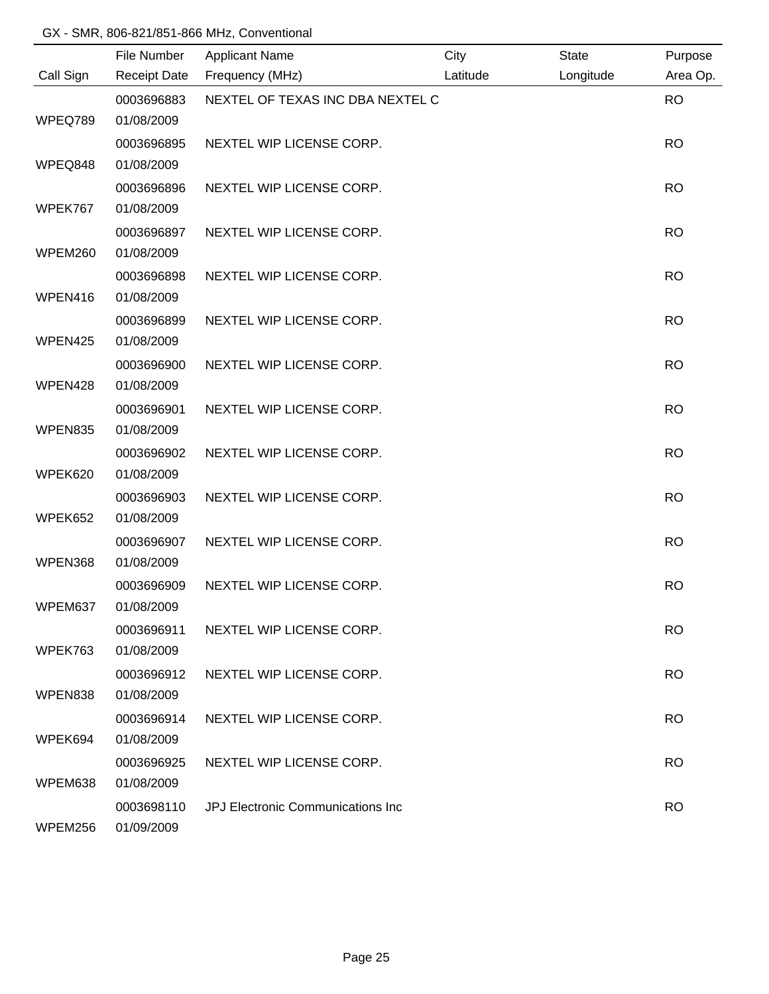|           | File Number              | <b>Applicant Name</b>             | City     | <b>State</b> | Purpose   |
|-----------|--------------------------|-----------------------------------|----------|--------------|-----------|
| Call Sign | <b>Receipt Date</b>      | Frequency (MHz)                   | Latitude | Longitude    | Area Op.  |
|           | 0003696883               | NEXTEL OF TEXAS INC DBA NEXTEL C  |          |              | <b>RO</b> |
| WPEQ789   | 01/08/2009               |                                   |          |              |           |
|           | 0003696895               | NEXTEL WIP LICENSE CORP.          |          |              | <b>RO</b> |
| WPEQ848   | 01/08/2009               |                                   |          |              |           |
|           | 0003696896               | NEXTEL WIP LICENSE CORP.          |          |              | <b>RO</b> |
| WPEK767   | 01/08/2009               |                                   |          |              |           |
|           | 0003696897               | NEXTEL WIP LICENSE CORP.          |          |              | <b>RO</b> |
| WPEM260   | 01/08/2009               |                                   |          |              |           |
|           | 0003696898               | NEXTEL WIP LICENSE CORP.          |          |              | <b>RO</b> |
| WPEN416   | 01/08/2009               |                                   |          |              |           |
|           | 0003696899               | NEXTEL WIP LICENSE CORP.          |          |              | <b>RO</b> |
| WPEN425   | 01/08/2009               |                                   |          |              |           |
|           | 0003696900               | NEXTEL WIP LICENSE CORP.          |          |              | <b>RO</b> |
| WPEN428   | 01/08/2009               |                                   |          |              |           |
|           | 0003696901               | NEXTEL WIP LICENSE CORP.          |          |              | <b>RO</b> |
| WPEN835   | 01/08/2009               |                                   |          |              |           |
|           | 0003696902               | NEXTEL WIP LICENSE CORP.          |          |              | <b>RO</b> |
| WPEK620   | 01/08/2009               |                                   |          |              |           |
|           | 0003696903               | NEXTEL WIP LICENSE CORP.          |          |              | <b>RO</b> |
| WPEK652   | 01/08/2009               |                                   |          |              |           |
|           | 0003696907               | NEXTEL WIP LICENSE CORP.          |          |              | <b>RO</b> |
| WPEN368   | 01/08/2009               |                                   |          |              |           |
|           | 0003696909               | NEXTEL WIP LICENSE CORP.          |          |              | <b>RO</b> |
| WPEM637   | 01/08/2009               |                                   |          |              |           |
|           | 0003696911               | NEXTEL WIP LICENSE CORP.          |          |              | <b>RO</b> |
| WPEK763   | 01/08/2009               |                                   |          |              |           |
|           | 0003696912               | NEXTEL WIP LICENSE CORP.          |          |              | <b>RO</b> |
| WPEN838   | 01/08/2009               |                                   |          |              |           |
|           | 0003696914               | NEXTEL WIP LICENSE CORP.          |          |              | <b>RO</b> |
| WPEK694   | 01/08/2009               |                                   |          |              |           |
|           | 0003696925               | NEXTEL WIP LICENSE CORP.          |          |              | <b>RO</b> |
| WPEM638   | 01/08/2009               |                                   |          |              |           |
| WPEM256   | 0003698110<br>01/09/2009 | JPJ Electronic Communications Inc |          |              | <b>RO</b> |
|           |                          |                                   |          |              |           |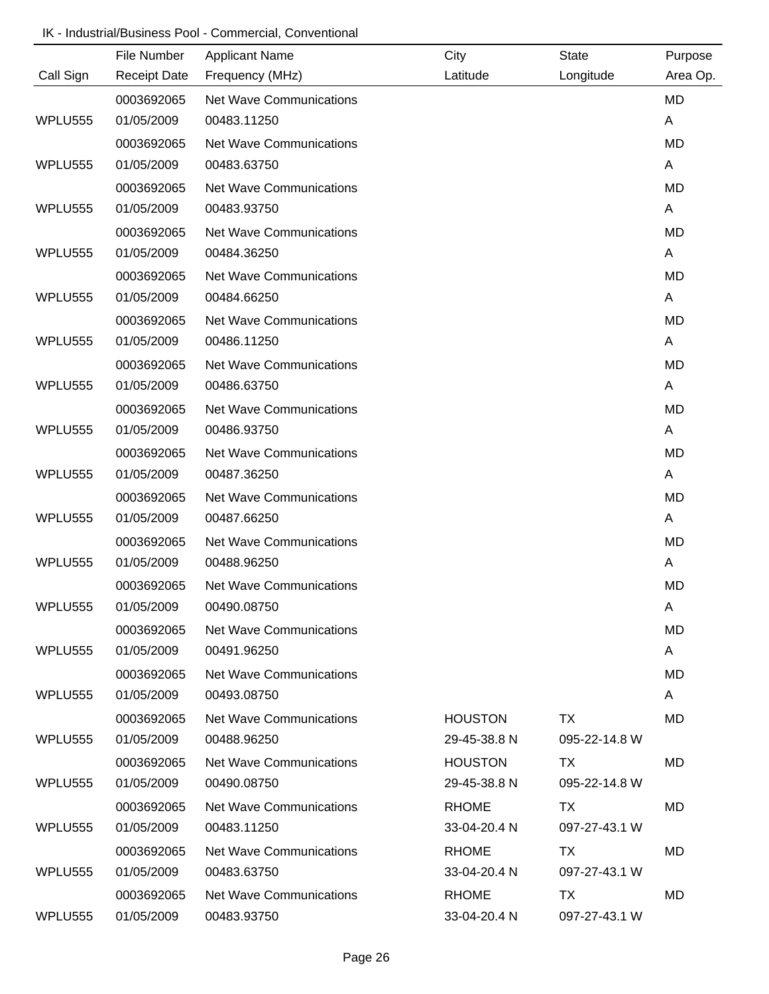# IK - Industrial/Business Pool - Commercial, Conventional

|           | File Number         | <b>Applicant Name</b>          | City           | <b>State</b>  | Purpose   |
|-----------|---------------------|--------------------------------|----------------|---------------|-----------|
| Call Sign | <b>Receipt Date</b> | Frequency (MHz)                | Latitude       | Longitude     | Area Op.  |
|           | 0003692065          | <b>Net Wave Communications</b> |                |               | <b>MD</b> |
| WPLU555   | 01/05/2009          | 00483.11250                    |                |               | A         |
|           | 0003692065          | <b>Net Wave Communications</b> |                |               | <b>MD</b> |
| WPLU555   | 01/05/2009          | 00483.63750                    |                |               | A         |
|           | 0003692065          | <b>Net Wave Communications</b> |                |               | <b>MD</b> |
| WPLU555   | 01/05/2009          | 00483.93750                    |                |               | A         |
|           | 0003692065          | <b>Net Wave Communications</b> |                |               | <b>MD</b> |
| WPLU555   | 01/05/2009          | 00484.36250                    |                |               | A         |
|           | 0003692065          | <b>Net Wave Communications</b> |                |               | <b>MD</b> |
| WPLU555   | 01/05/2009          | 00484.66250                    |                |               | A         |
|           | 0003692065          | <b>Net Wave Communications</b> |                |               | <b>MD</b> |
| WPLU555   | 01/05/2009          | 00486.11250                    |                |               | A         |
|           | 0003692065          | Net Wave Communications        |                |               | <b>MD</b> |
| WPLU555   | 01/05/2009          | 00486.63750                    |                |               | A         |
|           | 0003692065          | <b>Net Wave Communications</b> |                |               | <b>MD</b> |
| WPLU555   | 01/05/2009          | 00486.93750                    |                |               | A         |
|           | 0003692065          | <b>Net Wave Communications</b> |                |               | <b>MD</b> |
| WPLU555   | 01/05/2009          | 00487.36250                    |                |               | A         |
|           | 0003692065          | <b>Net Wave Communications</b> |                |               | <b>MD</b> |
| WPLU555   | 01/05/2009          | 00487.66250                    |                |               | A         |
|           | 0003692065          | <b>Net Wave Communications</b> |                |               | <b>MD</b> |
| WPLU555   | 01/05/2009          | 00488.96250                    |                |               | A         |
|           | 0003692065          | <b>Net Wave Communications</b> |                |               | <b>MD</b> |
| WPLU555   | 01/05/2009          | 00490.08750                    |                |               | A         |
|           | 0003692065          | <b>Net Wave Communications</b> |                |               | <b>MD</b> |
| WPLU555   | 01/05/2009          | 00491.96250                    |                |               | A         |
|           | 0003692065          | Net Wave Communications        |                |               | MD        |
| WPLU555   | 01/05/2009          | 00493.08750                    |                |               | A         |
|           | 0003692065          | Net Wave Communications        | <b>HOUSTON</b> | TX            | MD        |
| WPLU555   | 01/05/2009          | 00488.96250                    | 29-45-38.8 N   | 095-22-14.8 W |           |
|           | 0003692065          | Net Wave Communications        | <b>HOUSTON</b> | TX            | MD        |
| WPLU555   | 01/05/2009          | 00490.08750                    | 29-45-38.8 N   | 095-22-14.8 W |           |
|           | 0003692065          | <b>Net Wave Communications</b> | <b>RHOME</b>   | TX.           | MD        |
| WPLU555   | 01/05/2009          | 00483.11250                    | 33-04-20.4 N   | 097-27-43.1 W |           |
|           | 0003692065          | <b>Net Wave Communications</b> | <b>RHOME</b>   | TX            | MD        |
| WPLU555   | 01/05/2009          | 00483.63750                    | 33-04-20.4 N   | 097-27-43.1 W |           |
|           | 0003692065          | <b>Net Wave Communications</b> | <b>RHOME</b>   | TX            | MD        |
| WPLU555   | 01/05/2009          | 00483.93750                    | 33-04-20.4 N   | 097-27-43.1 W |           |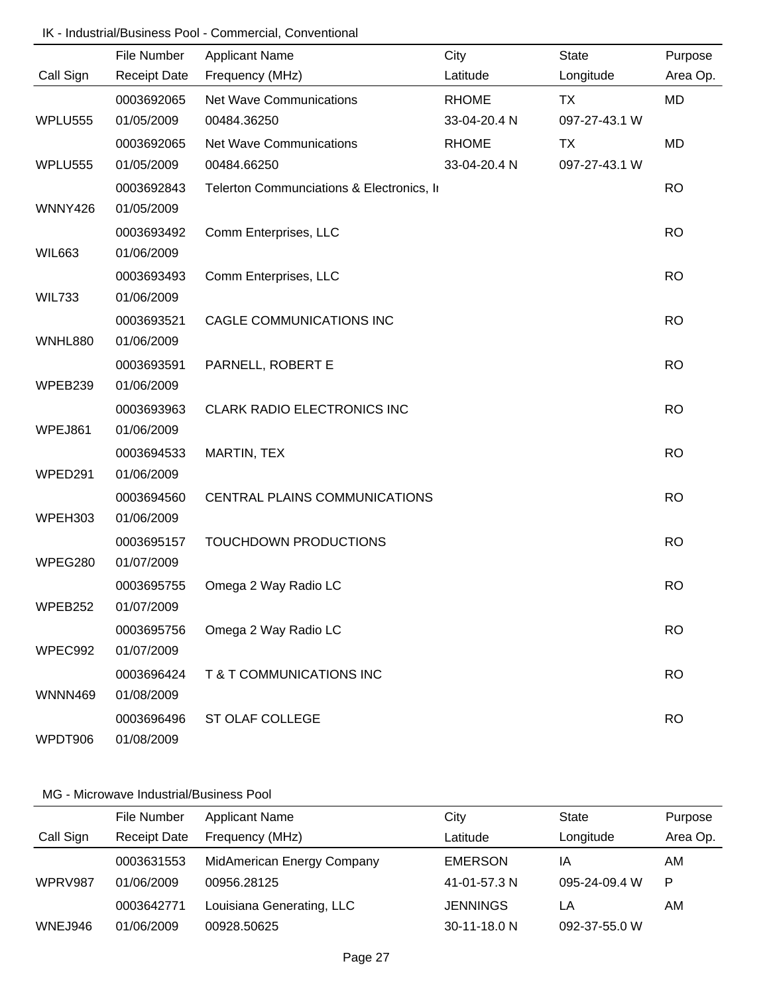# IK - Industrial/Business Pool - Commercial, Conventional

|                | File Number         | <b>Applicant Name</b>                     | City         | <b>State</b>  | Purpose   |
|----------------|---------------------|-------------------------------------------|--------------|---------------|-----------|
| Call Sign      | <b>Receipt Date</b> | Frequency (MHz)                           | Latitude     | Longitude     | Area Op.  |
|                | 0003692065          | Net Wave Communications                   | <b>RHOME</b> | <b>TX</b>     | MD        |
| <b>WPLU555</b> | 01/05/2009          | 00484.36250                               | 33-04-20.4 N | 097-27-43.1 W |           |
|                | 0003692065          | Net Wave Communications                   | <b>RHOME</b> | TX            | <b>MD</b> |
| <b>WPLU555</b> | 01/05/2009          | 00484.66250                               | 33-04-20.4 N | 097-27-43.1 W |           |
|                | 0003692843          | Telerton Communciations & Electronics, In |              |               | <b>RO</b> |
| WNNY426        | 01/05/2009          |                                           |              |               |           |
|                | 0003693492          | Comm Enterprises, LLC                     |              |               | <b>RO</b> |
| <b>WIL663</b>  | 01/06/2009          |                                           |              |               |           |
|                | 0003693493          | Comm Enterprises, LLC                     |              |               | <b>RO</b> |
| <b>WIL733</b>  | 01/06/2009          |                                           |              |               |           |
|                | 0003693521          | CAGLE COMMUNICATIONS INC                  |              |               | <b>RO</b> |
| <b>WNHL880</b> | 01/06/2009          |                                           |              |               |           |
|                | 0003693591          | PARNELL, ROBERT E                         |              |               | <b>RO</b> |
| WPEB239        | 01/06/2009          |                                           |              |               |           |
|                | 0003693963          | <b>CLARK RADIO ELECTRONICS INC</b>        |              |               | <b>RO</b> |
| WPEJ861        | 01/06/2009          |                                           |              |               |           |
|                | 0003694533          | MARTIN, TEX                               |              |               | <b>RO</b> |
| WPED291        | 01/06/2009          |                                           |              |               |           |
|                | 0003694560          | CENTRAL PLAINS COMMUNICATIONS             |              |               | <b>RO</b> |
| WPEH303        | 01/06/2009          |                                           |              |               |           |
|                | 0003695157          | TOUCHDOWN PRODUCTIONS                     |              |               | <b>RO</b> |
| WPEG280        | 01/07/2009          |                                           |              |               |           |
|                | 0003695755          | Omega 2 Way Radio LC                      |              |               | <b>RO</b> |
| WPEB252        | 01/07/2009          |                                           |              |               |           |
|                | 0003695756          | Omega 2 Way Radio LC                      |              |               | <b>RO</b> |
| WPEC992        | 01/07/2009          |                                           |              |               |           |
|                | 0003696424          | T & T COMMUNICATIONS INC                  |              |               | <b>RO</b> |
| WNNN469        | 01/08/2009          |                                           |              |               |           |
|                | 0003696496          | ST OLAF COLLEGE                           |              |               | <b>RO</b> |
| WPDT906        | 01/08/2009          |                                           |              |               |           |

|           | File Number         | <b>Applicant Name</b>      | City            | <b>State</b>  | Purpose  |
|-----------|---------------------|----------------------------|-----------------|---------------|----------|
| Call Sign | <b>Receipt Date</b> | Frequency (MHz)            | Latitude        | Longitude     | Area Op. |
|           | 0003631553          | MidAmerican Energy Company | <b>EMERSON</b>  | ΙA            | AM       |
| WPRV987   | 01/06/2009          | 00956.28125                | 41-01-57.3 N    | 095-24-09.4 W | P        |
|           | 0003642771          | Louisiana Generating, LLC  | <b>JENNINGS</b> | LA            | AM       |
| WNEJ946   | 01/06/2009          | 00928.50625                | 30-11-18.0 N    | 092-37-55.0 W |          |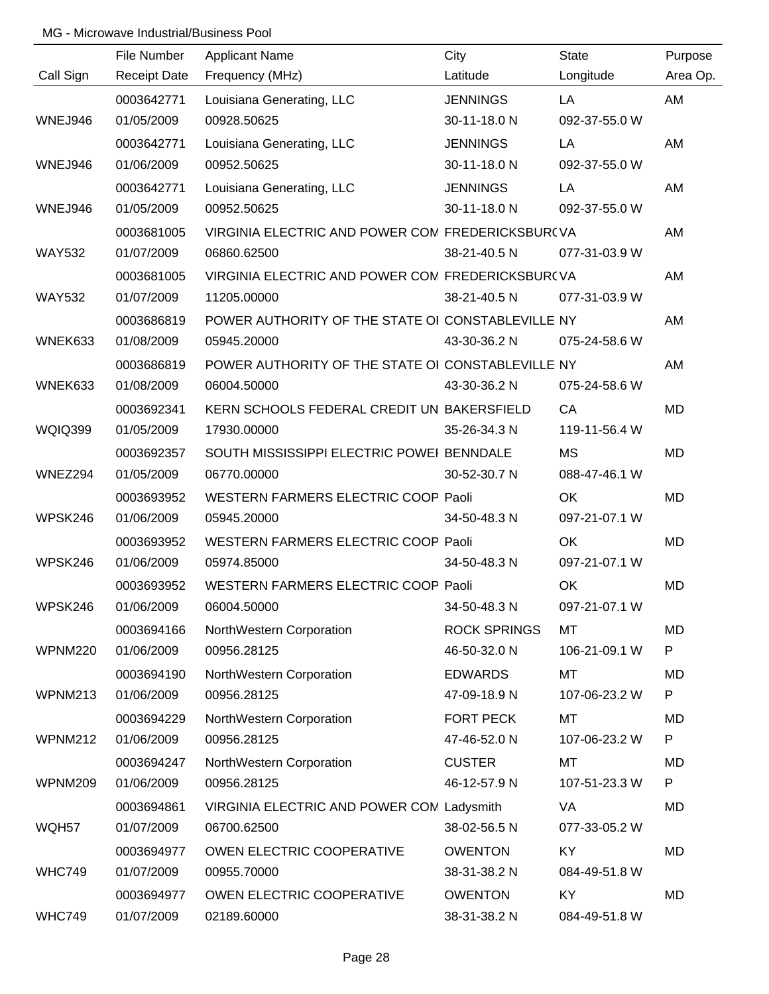|                | File Number         | <b>Applicant Name</b>                             | City                | <b>State</b>  | Purpose   |
|----------------|---------------------|---------------------------------------------------|---------------------|---------------|-----------|
| Call Sign      | <b>Receipt Date</b> | Frequency (MHz)                                   | Latitude            | Longitude     | Area Op.  |
|                | 0003642771          | Louisiana Generating, LLC                         | <b>JENNINGS</b>     | LA            | AM        |
| WNEJ946        | 01/05/2009          | 00928.50625                                       | 30-11-18.0 N        | 092-37-55.0 W |           |
|                | 0003642771          | Louisiana Generating, LLC                         | <b>JENNINGS</b>     | LA            | AM        |
| WNEJ946        | 01/06/2009          | 00952.50625                                       | 30-11-18.0 N        | 092-37-55.0 W |           |
|                | 0003642771          | Louisiana Generating, LLC                         | <b>JENNINGS</b>     | LA            | AM        |
| WNEJ946        | 01/05/2009          | 00952.50625                                       | 30-11-18.0 N        | 092-37-55.0 W |           |
|                | 0003681005          | VIRGINIA ELECTRIC AND POWER CON FREDERICKSBUR(VA  |                     |               | AM        |
| <b>WAY532</b>  | 01/07/2009          | 06860.62500                                       | 38-21-40.5 N        | 077-31-03.9 W |           |
|                | 0003681005          | VIRGINIA ELECTRIC AND POWER CON FREDERICKSBUR(VA  |                     |               | AM        |
| <b>WAY532</b>  | 01/07/2009          | 11205.00000                                       | 38-21-40.5 N        | 077-31-03.9 W |           |
|                | 0003686819          | POWER AUTHORITY OF THE STATE OI CONSTABLEVILLE NY |                     |               | AM        |
| WNEK633        | 01/08/2009          | 05945.20000                                       | 43-30-36.2 N        | 075-24-58.6 W |           |
|                | 0003686819          | POWER AUTHORITY OF THE STATE OI CONSTABLEVILLE NY |                     |               | AM        |
| WNEK633        | 01/08/2009          | 06004.50000                                       | 43-30-36.2 N        | 075-24-58.6 W |           |
|                | 0003692341          | KERN SCHOOLS FEDERAL CREDIT UN BAKERSFIELD        |                     | CA            | <b>MD</b> |
| <b>WQIQ399</b> | 01/05/2009          | 17930.00000                                       | 35-26-34.3 N        | 119-11-56.4 W |           |
|                | 0003692357          | SOUTH MISSISSIPPI ELECTRIC POWEI BENNDALE         |                     | <b>MS</b>     | <b>MD</b> |
| WNEZ294        | 01/05/2009          | 06770.00000                                       | 30-52-30.7 N        | 088-47-46.1 W |           |
|                | 0003693952          | WESTERN FARMERS ELECTRIC COOP Paoli               |                     | OK            | <b>MD</b> |
| WPSK246        | 01/06/2009          | 05945.20000                                       | 34-50-48.3 N        | 097-21-07.1 W |           |
|                | 0003693952          | WESTERN FARMERS ELECTRIC COOP Paoli               |                     | <b>OK</b>     | <b>MD</b> |
| WPSK246        | 01/06/2009          | 05974.85000                                       | 34-50-48.3 N        | 097-21-07.1 W |           |
|                | 0003693952          | WESTERN FARMERS ELECTRIC COOP Paoli               |                     | OK            | <b>MD</b> |
| WPSK246        | 01/06/2009          | 06004.50000                                       | 34-50-48.3 N        | 097-21-07.1 W |           |
|                | 0003694166          | NorthWestern Corporation                          | <b>ROCK SPRINGS</b> | MT            | MD        |
| <b>WPNM220</b> | 01/06/2009          | 00956.28125                                       | 46-50-32.0 N        | 106-21-09.1 W | P         |
|                | 0003694190          | NorthWestern Corporation                          | <b>EDWARDS</b>      | MT            | MD        |
| WPNM213        | 01/06/2009          | 00956.28125                                       | 47-09-18.9 N        | 107-06-23.2 W | P         |
|                | 0003694229          | NorthWestern Corporation                          | <b>FORT PECK</b>    | MT            | MD        |
| <b>WPNM212</b> | 01/06/2009          | 00956.28125                                       | 47-46-52.0 N        | 107-06-23.2 W | P         |
|                | 0003694247          | NorthWestern Corporation                          | <b>CUSTER</b>       | МT            | <b>MD</b> |
| WPNM209        | 01/06/2009          | 00956.28125                                       | 46-12-57.9 N        | 107-51-23.3 W | P         |
|                | 0003694861          | VIRGINIA ELECTRIC AND POWER COM Ladysmith         |                     | VA            | MD        |
| WQH57          | 01/07/2009          | 06700.62500                                       | 38-02-56.5 N        | 077-33-05.2 W |           |
|                | 0003694977          | OWEN ELECTRIC COOPERATIVE                         | <b>OWENTON</b>      | KY            | MD        |
| <b>WHC749</b>  | 01/07/2009          | 00955.70000                                       | 38-31-38.2 N        | 084-49-51.8 W |           |
|                | 0003694977          | OWEN ELECTRIC COOPERATIVE                         | <b>OWENTON</b>      | KY            | MD        |
| <b>WHC749</b>  | 01/07/2009          | 02189.60000                                       | 38-31-38.2 N        | 084-49-51.8 W |           |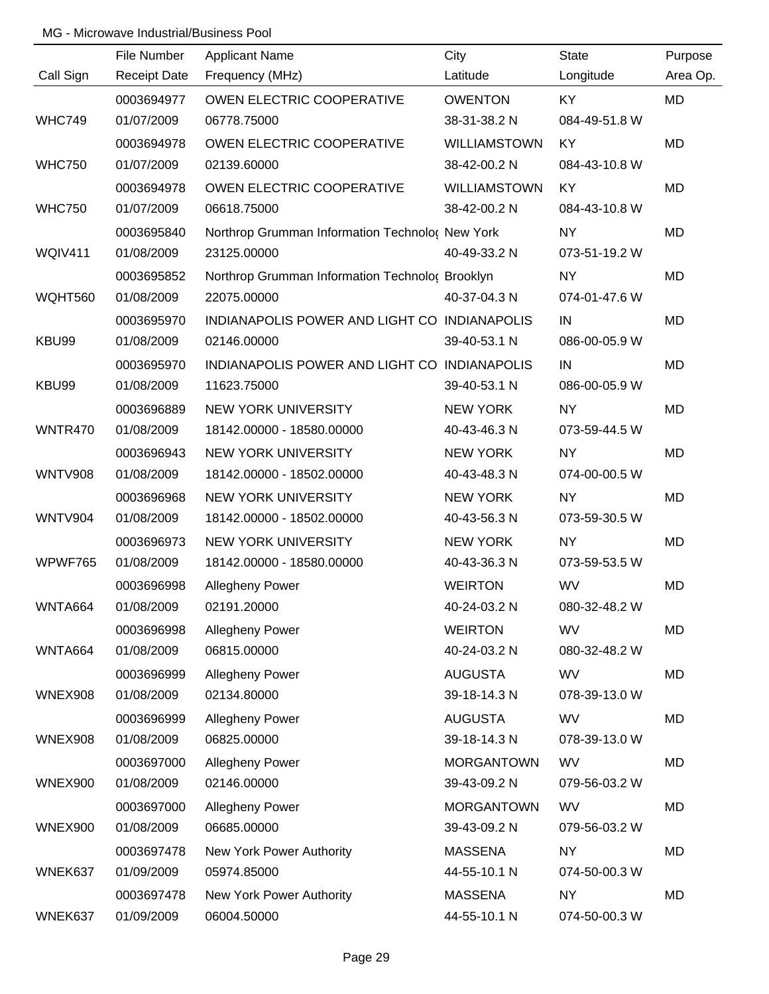|                | File Number         | <b>Applicant Name</b>                           | City              | <b>State</b>  | Purpose   |
|----------------|---------------------|-------------------------------------------------|-------------------|---------------|-----------|
| Call Sign      | <b>Receipt Date</b> | Frequency (MHz)                                 | Latitude          | Longitude     | Area Op.  |
|                | 0003694977          | OWEN ELECTRIC COOPERATIVE                       | <b>OWENTON</b>    | KY            | MD        |
| <b>WHC749</b>  | 01/07/2009          | 06778.75000                                     | 38-31-38.2 N      | 084-49-51.8 W |           |
|                | 0003694978          | OWEN ELECTRIC COOPERATIVE                       | WILLIAMSTOWN      | <b>KY</b>     | <b>MD</b> |
| <b>WHC750</b>  | 01/07/2009          | 02139.60000                                     | 38-42-00.2 N      | 084-43-10.8 W |           |
|                | 0003694978          | OWEN ELECTRIC COOPERATIVE                       | WILLIAMSTOWN      | <b>KY</b>     | MD        |
| <b>WHC750</b>  | 01/07/2009          | 06618.75000                                     | 38-42-00.2 N      | 084-43-10.8 W |           |
|                | 0003695840          | Northrop Grumman Information Technolo( New York |                   | <b>NY</b>     | MD        |
| <b>WQIV411</b> | 01/08/2009          | 23125.00000                                     | 40-49-33.2 N      | 073-51-19.2 W |           |
|                | 0003695852          | Northrop Grumman Information Technolo( Brooklyn |                   | <b>NY</b>     | MD        |
| WQHT560        | 01/08/2009          | 22075.00000                                     | 40-37-04.3 N      | 074-01-47.6 W |           |
|                | 0003695970          | INDIANAPOLIS POWER AND LIGHT CO INDIANAPOLIS    |                   | IN            | MD        |
| KBU99          | 01/08/2009          | 02146.00000                                     | 39-40-53.1 N      | 086-00-05.9 W |           |
|                | 0003695970          | INDIANAPOLIS POWER AND LIGHT CO INDIANAPOLIS    |                   | IN            | MD        |
| KBU99          | 01/08/2009          | 11623.75000                                     | 39-40-53.1 N      | 086-00-05.9 W |           |
|                | 0003696889          | <b>NEW YORK UNIVERSITY</b>                      | <b>NEW YORK</b>   | <b>NY</b>     | MD        |
| WNTR470        | 01/08/2009          | 18142.00000 - 18580.00000                       | 40-43-46.3 N      | 073-59-44.5 W |           |
|                | 0003696943          | <b>NEW YORK UNIVERSITY</b>                      | <b>NEW YORK</b>   | <b>NY</b>     | MD        |
| <b>WNTV908</b> | 01/08/2009          | 18142.00000 - 18502.00000                       | 40-43-48.3 N      | 074-00-00.5 W |           |
|                | 0003696968          | <b>NEW YORK UNIVERSITY</b>                      | <b>NEW YORK</b>   | <b>NY</b>     | MD        |
| <b>WNTV904</b> | 01/08/2009          | 18142.00000 - 18502.00000                       | 40-43-56.3 N      | 073-59-30.5 W |           |
|                | 0003696973          | <b>NEW YORK UNIVERSITY</b>                      | <b>NEW YORK</b>   | <b>NY</b>     | MD        |
| WPWF765        | 01/08/2009          | 18142.00000 - 18580.00000                       | 40-43-36.3 N      | 073-59-53.5 W |           |
|                | 0003696998          | <b>Allegheny Power</b>                          | <b>WEIRTON</b>    | <b>WV</b>     | MD        |
| WNTA664        | 01/08/2009          | 02191.20000                                     | 40-24-03.2 N      | 080-32-48.2 W |           |
|                | 0003696998          | Allegheny Power                                 | <b>WEIRTON</b>    | <b>WV</b>     | MD        |
| WNTA664        | 01/08/2009          | 06815.00000                                     | 40-24-03.2 N      | 080-32-48.2 W |           |
|                | 0003696999          | Allegheny Power                                 | <b>AUGUSTA</b>    | <b>WV</b>     | MD        |
| <b>WNEX908</b> | 01/08/2009          | 02134.80000                                     | 39-18-14.3 N      | 078-39-13.0 W |           |
|                | 0003696999          | Allegheny Power                                 | <b>AUGUSTA</b>    | <b>WV</b>     | MD        |
| <b>WNEX908</b> | 01/08/2009          | 06825.00000                                     | 39-18-14.3 N      | 078-39-13.0 W |           |
|                | 0003697000          | Allegheny Power                                 | <b>MORGANTOWN</b> | <b>WV</b>     | MD        |
| <b>WNEX900</b> | 01/08/2009          | 02146.00000                                     | 39-43-09.2 N      | 079-56-03.2 W |           |
|                | 0003697000          | Allegheny Power                                 | <b>MORGANTOWN</b> | <b>WV</b>     | MD        |
| <b>WNEX900</b> | 01/08/2009          | 06685.00000                                     | 39-43-09.2 N      | 079-56-03.2 W |           |
|                | 0003697478          | New York Power Authority                        | <b>MASSENA</b>    | <b>NY</b>     | MD        |
| WNEK637        | 01/09/2009          | 05974.85000                                     | 44-55-10.1 N      | 074-50-00.3 W |           |
|                | 0003697478          | New York Power Authority                        | <b>MASSENA</b>    | <b>NY</b>     | MD        |
| WNEK637        | 01/09/2009          | 06004.50000                                     | 44-55-10.1 N      | 074-50-00.3 W |           |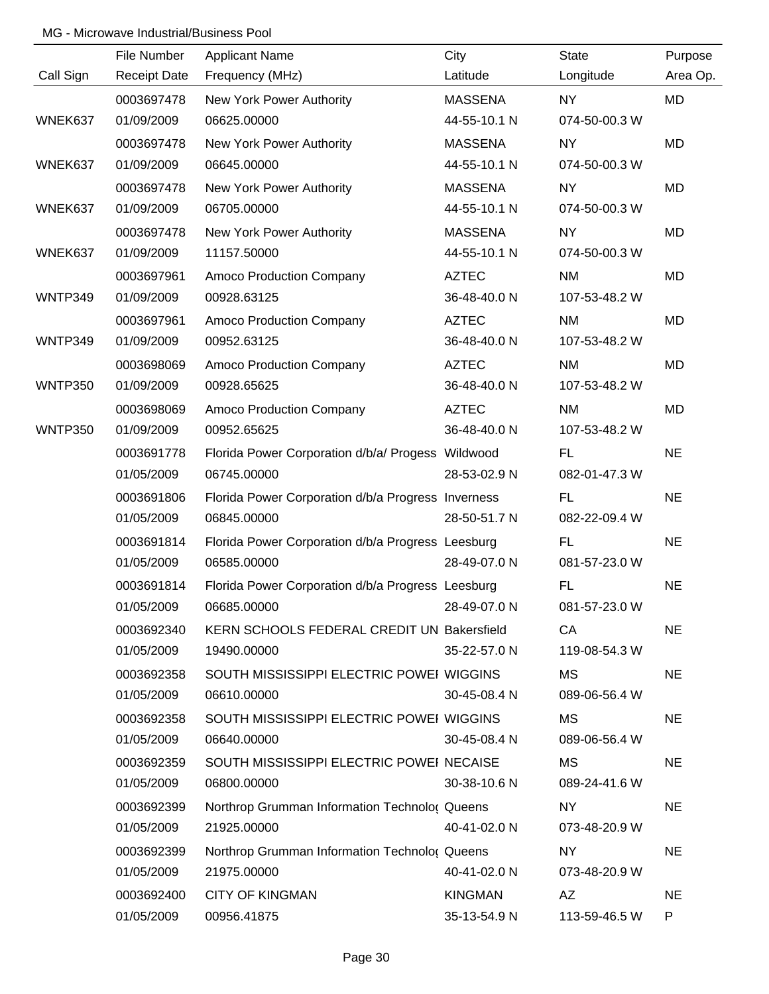|                | File Number         | <b>Applicant Name</b>                              | City           | <b>State</b>  | Purpose   |
|----------------|---------------------|----------------------------------------------------|----------------|---------------|-----------|
| Call Sign      | <b>Receipt Date</b> | Frequency (MHz)                                    | Latitude       | Longitude     | Area Op.  |
|                | 0003697478          | New York Power Authority                           | <b>MASSENA</b> | NY            | MD        |
| WNEK637        | 01/09/2009          | 06625.00000                                        | 44-55-10.1 N   | 074-50-00.3 W |           |
|                | 0003697478          | New York Power Authority                           | <b>MASSENA</b> | <b>NY</b>     | <b>MD</b> |
| WNEK637        | 01/09/2009          | 06645.00000                                        | 44-55-10.1 N   | 074-50-00.3 W |           |
|                | 0003697478          | New York Power Authority                           | <b>MASSENA</b> | <b>NY</b>     | MD        |
| WNEK637        | 01/09/2009          | 06705.00000                                        | 44-55-10.1 N   | 074-50-00.3 W |           |
|                | 0003697478          | New York Power Authority                           | <b>MASSENA</b> | <b>NY</b>     | MD        |
| WNEK637        | 01/09/2009          | 11157.50000                                        | 44-55-10.1 N   | 074-50-00.3 W |           |
|                | 0003697961          | Amoco Production Company                           | <b>AZTEC</b>   | <b>NM</b>     | MD        |
| WNTP349        | 01/09/2009          | 00928.63125                                        | 36-48-40.0 N   | 107-53-48.2 W |           |
|                | 0003697961          | Amoco Production Company                           | <b>AZTEC</b>   | <b>NM</b>     | MD        |
| WNTP349        | 01/09/2009          | 00952.63125                                        | 36-48-40.0 N   | 107-53-48.2 W |           |
|                | 0003698069          | Amoco Production Company                           | <b>AZTEC</b>   | <b>NM</b>     | MD        |
| <b>WNTP350</b> | 01/09/2009          | 00928.65625                                        | 36-48-40.0 N   | 107-53-48.2 W |           |
|                | 0003698069          | Amoco Production Company                           | <b>AZTEC</b>   | <b>NM</b>     | MD        |
| <b>WNTP350</b> | 01/09/2009          | 00952.65625                                        | 36-48-40.0 N   | 107-53-48.2 W |           |
|                | 0003691778          | Florida Power Corporation d/b/a/ Progess Wildwood  |                | FL            | <b>NE</b> |
|                | 01/05/2009          | 06745.00000                                        | 28-53-02.9 N   | 082-01-47.3 W |           |
|                | 0003691806          | Florida Power Corporation d/b/a Progress Inverness |                | FL.           | <b>NE</b> |
|                | 01/05/2009          | 06845.00000                                        | 28-50-51.7 N   | 082-22-09.4 W |           |
|                | 0003691814          | Florida Power Corporation d/b/a Progress Leesburg  |                | <b>FL</b>     | <b>NE</b> |
|                | 01/05/2009          | 06585.00000                                        | 28-49-07.0 N   | 081-57-23.0 W |           |
|                | 0003691814          | Florida Power Corporation d/b/a Progress Leesburg  |                | FL            | <b>NE</b> |
|                | 01/05/2009          | 06685.00000                                        | 28-49-07.0 N   | 081-57-23.0 W |           |
|                | 0003692340          | KERN SCHOOLS FEDERAL CREDIT UN Bakersfield         |                | CA            | <b>NE</b> |
|                | 01/05/2009          | 19490.00000                                        | 35-22-57.0 N   | 119-08-54.3 W |           |
|                | 0003692358          | SOUTH MISSISSIPPI ELECTRIC POWEI WIGGINS           |                | MS            | <b>NE</b> |
|                | 01/05/2009          | 06610.00000                                        | 30-45-08.4 N   | 089-06-56.4 W |           |
|                | 0003692358          | SOUTH MISSISSIPPI ELECTRIC POWEI WIGGINS           |                | MS            | <b>NE</b> |
|                | 01/05/2009          | 06640.00000                                        | 30-45-08.4 N   | 089-06-56.4 W |           |
|                | 0003692359          | SOUTH MISSISSIPPI ELECTRIC POWEI NECAISE           |                | <b>MS</b>     | <b>NE</b> |
|                | 01/05/2009          | 06800.00000                                        | 30-38-10.6 N   | 089-24-41.6 W |           |
|                | 0003692399          | Northrop Grumman Information Technolo( Queens      |                | NY            | <b>NE</b> |
|                | 01/05/2009          | 21925.00000                                        | 40-41-02.0 N   | 073-48-20.9 W |           |
|                | 0003692399          | Northrop Grumman Information Technolo( Queens      |                | NY            | <b>NE</b> |
|                | 01/05/2009          | 21975.00000                                        | 40-41-02.0 N   | 073-48-20.9 W |           |
|                | 0003692400          | <b>CITY OF KINGMAN</b>                             | <b>KINGMAN</b> | AZ            | <b>NE</b> |
|                | 01/05/2009          | 00956.41875                                        | 35-13-54.9 N   | 113-59-46.5 W | P         |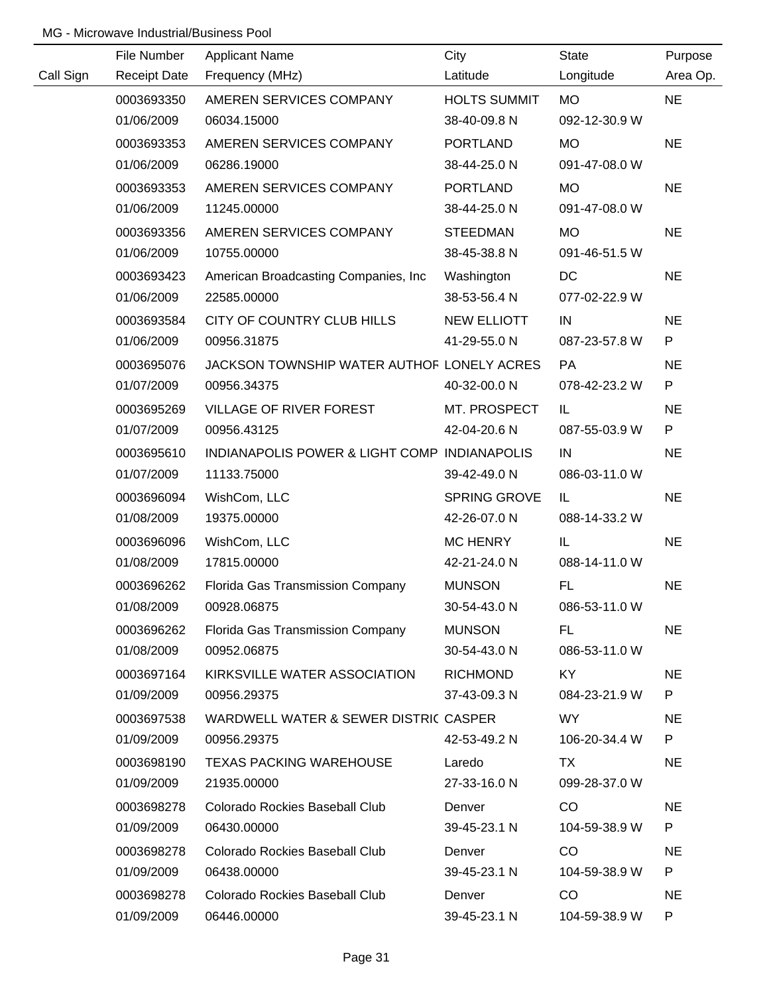|           | File Number         | <b>Applicant Name</b>                        | City                | <b>State</b>  | Purpose   |
|-----------|---------------------|----------------------------------------------|---------------------|---------------|-----------|
| Call Sign | <b>Receipt Date</b> | Frequency (MHz)                              | Latitude            | Longitude     | Area Op.  |
|           | 0003693350          | AMEREN SERVICES COMPANY                      | <b>HOLTS SUMMIT</b> | <b>MO</b>     | <b>NE</b> |
|           | 01/06/2009          | 06034.15000                                  | 38-40-09.8 N        | 092-12-30.9 W |           |
|           | 0003693353          | AMEREN SERVICES COMPANY                      | <b>PORTLAND</b>     | <b>MO</b>     | <b>NE</b> |
|           | 01/06/2009          | 06286.19000                                  | 38-44-25.0 N        | 091-47-08.0 W |           |
|           | 0003693353          | AMEREN SERVICES COMPANY                      | <b>PORTLAND</b>     | <b>MO</b>     | <b>NE</b> |
|           | 01/06/2009          | 11245.00000                                  | 38-44-25.0 N        | 091-47-08.0 W |           |
|           | 0003693356          | AMEREN SERVICES COMPANY                      | <b>STEEDMAN</b>     | <b>MO</b>     | <b>NE</b> |
|           | 01/06/2009          | 10755.00000                                  | 38-45-38.8 N        | 091-46-51.5 W |           |
|           | 0003693423          | American Broadcasting Companies, Inc.        | Washington          | DC            | <b>NE</b> |
|           | 01/06/2009          | 22585.00000                                  | 38-53-56.4 N        | 077-02-22.9 W |           |
|           | 0003693584          | CITY OF COUNTRY CLUB HILLS                   | <b>NEW ELLIOTT</b>  | IN            | <b>NE</b> |
|           | 01/06/2009          | 00956.31875                                  | 41-29-55.0 N        | 087-23-57.8 W | P         |
|           | 0003695076          | JACKSON TOWNSHIP WATER AUTHOF LONELY ACRES   |                     | PA            | <b>NE</b> |
|           | 01/07/2009          | 00956.34375                                  | 40-32-00.0 N        | 078-42-23.2 W | P         |
|           | 0003695269          | VILLAGE OF RIVER FOREST                      | MT. PROSPECT        | IL.           | <b>NE</b> |
|           | 01/07/2009          | 00956.43125                                  | 42-04-20.6 N        | 087-55-03.9 W | P         |
|           | 0003695610          | INDIANAPOLIS POWER & LIGHT COMP INDIANAPOLIS |                     | IN            | <b>NE</b> |
|           | 01/07/2009          | 11133.75000                                  | 39-42-49.0 N        | 086-03-11.0 W |           |
|           | 0003696094          | WishCom, LLC                                 | SPRING GROVE        | IL            | <b>NE</b> |
|           | 01/08/2009          | 19375.00000                                  | 42-26-07.0 N        | 088-14-33.2 W |           |
|           | 0003696096          | WishCom, LLC                                 | <b>MC HENRY</b>     | IL            | <b>NE</b> |
|           | 01/08/2009          | 17815.00000                                  | 42-21-24.0 N        | 088-14-11.0 W |           |
|           | 0003696262          | Florida Gas Transmission Company             | <b>MUNSON</b>       | FL            | <b>NE</b> |
|           | 01/08/2009          | 00928.06875                                  | 30-54-43.0 N        | 086-53-11.0 W |           |
|           | 0003696262          | Florida Gas Transmission Company             | <b>MUNSON</b>       | FL            | <b>NE</b> |
|           | 01/08/2009          | 00952.06875                                  | 30-54-43.0 N        | 086-53-11.0 W |           |
|           | 0003697164          | KIRKSVILLE WATER ASSOCIATION                 | <b>RICHMOND</b>     | KY.           | <b>NE</b> |
|           | 01/09/2009          | 00956.29375                                  | 37-43-09.3 N        | 084-23-21.9 W | P         |
|           | 0003697538          | WARDWELL WATER & SEWER DISTRIC CASPER        |                     | WY.           | <b>NE</b> |
|           | 01/09/2009          | 00956.29375                                  | 42-53-49.2 N        | 106-20-34.4 W | P         |
|           | 0003698190          | <b>TEXAS PACKING WAREHOUSE</b>               | Laredo              | TX            | <b>NE</b> |
|           | 01/09/2009          | 21935.00000                                  | 27-33-16.0 N        | 099-28-37.0 W |           |
|           | 0003698278          | Colorado Rockies Baseball Club               | Denver              | CO            | <b>NE</b> |
|           | 01/09/2009          | 06430.00000                                  | 39-45-23.1 N        | 104-59-38.9 W | P         |
|           | 0003698278          | Colorado Rockies Baseball Club               | Denver              | CO            | <b>NE</b> |
|           | 01/09/2009          | 06438.00000                                  | 39-45-23.1 N        | 104-59-38.9 W | P         |
|           | 0003698278          | Colorado Rockies Baseball Club               | Denver              | CO            | <b>NE</b> |
|           | 01/09/2009          | 06446.00000                                  | 39-45-23.1 N        | 104-59-38.9 W | P         |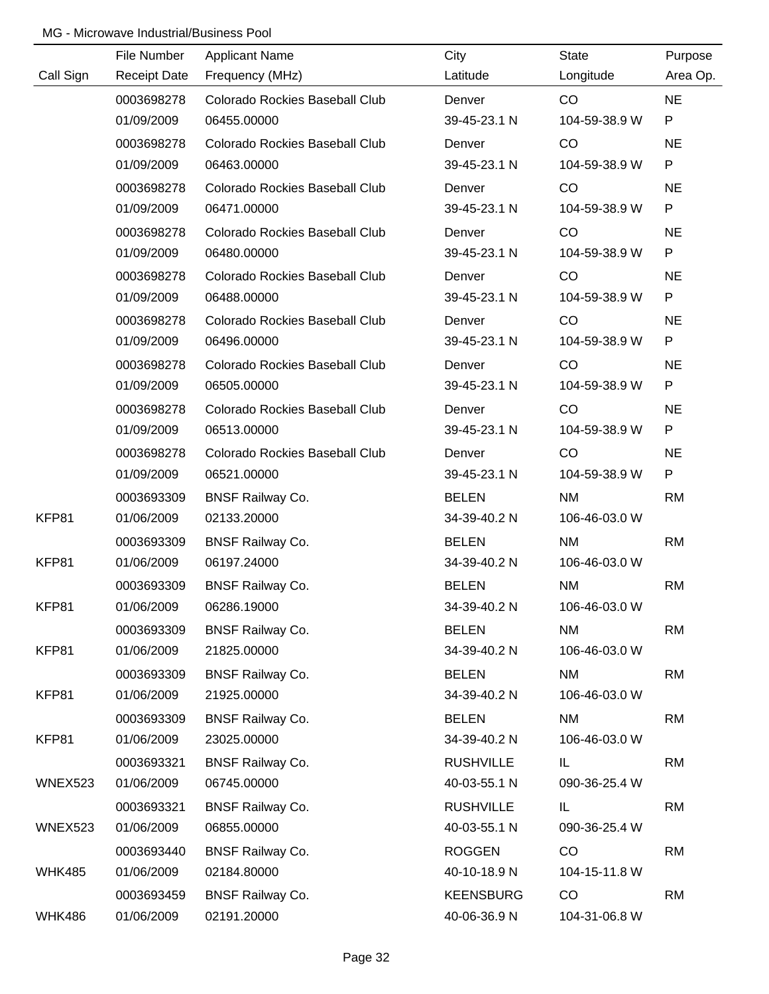|               | File Number         | <b>Applicant Name</b>                 | City             | <b>State</b>  | Purpose   |
|---------------|---------------------|---------------------------------------|------------------|---------------|-----------|
| Call Sign     | <b>Receipt Date</b> | Frequency (MHz)                       | Latitude         | Longitude     | Area Op.  |
|               | 0003698278          | Colorado Rockies Baseball Club        | Denver           | CO            | <b>NE</b> |
|               | 01/09/2009          | 06455.00000                           | 39-45-23.1 N     | 104-59-38.9 W | P         |
|               | 0003698278          | <b>Colorado Rockies Baseball Club</b> | Denver           | CO            | <b>NE</b> |
|               | 01/09/2009          | 06463.00000                           | 39-45-23.1 N     | 104-59-38.9 W | P         |
|               | 0003698278          | <b>Colorado Rockies Baseball Club</b> | Denver           | CO            | <b>NE</b> |
|               | 01/09/2009          | 06471.00000                           | 39-45-23.1 N     | 104-59-38.9 W | P         |
|               | 0003698278          | <b>Colorado Rockies Baseball Club</b> | Denver           | CO            | <b>NE</b> |
|               | 01/09/2009          | 06480.00000                           | 39-45-23.1 N     | 104-59-38.9 W | P         |
|               | 0003698278          | <b>Colorado Rockies Baseball Club</b> | Denver           | CO            | <b>NE</b> |
|               | 01/09/2009          | 06488.00000                           | 39-45-23.1 N     | 104-59-38.9 W | P         |
|               | 0003698278          | <b>Colorado Rockies Baseball Club</b> | Denver           | CO            | <b>NE</b> |
|               | 01/09/2009          | 06496.00000                           | 39-45-23.1 N     | 104-59-38.9 W | P         |
|               | 0003698278          | Colorado Rockies Baseball Club        | Denver           | CO            | <b>NE</b> |
|               | 01/09/2009          | 06505.00000                           | 39-45-23.1 N     | 104-59-38.9 W | P         |
|               | 0003698278          | Colorado Rockies Baseball Club        | Denver           | CO            | <b>NE</b> |
|               | 01/09/2009          | 06513.00000                           | 39-45-23.1 N     | 104-59-38.9 W | P         |
|               | 0003698278          | <b>Colorado Rockies Baseball Club</b> | Denver           | CO            | <b>NE</b> |
|               | 01/09/2009          | 06521.00000                           | 39-45-23.1 N     | 104-59-38.9 W | P         |
|               | 0003693309          | <b>BNSF Railway Co.</b>               | <b>BELEN</b>     | <b>NM</b>     | <b>RM</b> |
| KFP81         | 01/06/2009          | 02133.20000                           | 34-39-40.2 N     | 106-46-03.0 W |           |
|               | 0003693309          | <b>BNSF Railway Co.</b>               | <b>BELEN</b>     | <b>NM</b>     | <b>RM</b> |
| KFP81         | 01/06/2009          | 06197.24000                           | 34-39-40.2 N     | 106-46-03.0 W |           |
|               | 0003693309          | <b>BNSF Railway Co.</b>               | <b>BELEN</b>     | <b>NM</b>     | <b>RM</b> |
| KFP81         | 01/06/2009          | 06286.19000                           | 34-39-40.2 N     | 106-46-03.0 W |           |
|               | 0003693309          | <b>BNSF Railway Co.</b>               | <b>BELEN</b>     | <b>NM</b>     | <b>RM</b> |
| KFP81         | 01/06/2009          | 21825.00000                           | 34-39-40.2 N     | 106-46-03.0 W |           |
|               | 0003693309          | <b>BNSF Railway Co.</b>               | <b>BELEN</b>     | <b>NM</b>     | <b>RM</b> |
| KFP81         | 01/06/2009          | 21925.00000                           | 34-39-40.2 N     | 106-46-03.0 W |           |
|               | 0003693309          | <b>BNSF Railway Co.</b>               | <b>BELEN</b>     | NM            | <b>RM</b> |
| KFP81         | 01/06/2009          | 23025.00000                           | 34-39-40.2 N     | 106-46-03.0 W |           |
|               | 0003693321          | <b>BNSF Railway Co.</b>               | <b>RUSHVILLE</b> | IL.           | <b>RM</b> |
| WNEX523       | 01/06/2009          | 06745.00000                           | 40-03-55.1 N     | 090-36-25.4 W |           |
|               | 0003693321          | <b>BNSF Railway Co.</b>               | <b>RUSHVILLE</b> | IL.           | <b>RM</b> |
| WNEX523       | 01/06/2009          | 06855.00000                           | 40-03-55.1 N     | 090-36-25.4 W |           |
|               | 0003693440          | <b>BNSF Railway Co.</b>               | <b>ROGGEN</b>    | CO            | <b>RM</b> |
| <b>WHK485</b> | 01/06/2009          | 02184.80000                           | 40-10-18.9 N     | 104-15-11.8 W |           |
|               | 0003693459          | <b>BNSF Railway Co.</b>               | <b>KEENSBURG</b> | CO            | <b>RM</b> |
| <b>WHK486</b> | 01/06/2009          | 02191.20000                           | 40-06-36.9 N     | 104-31-06.8 W |           |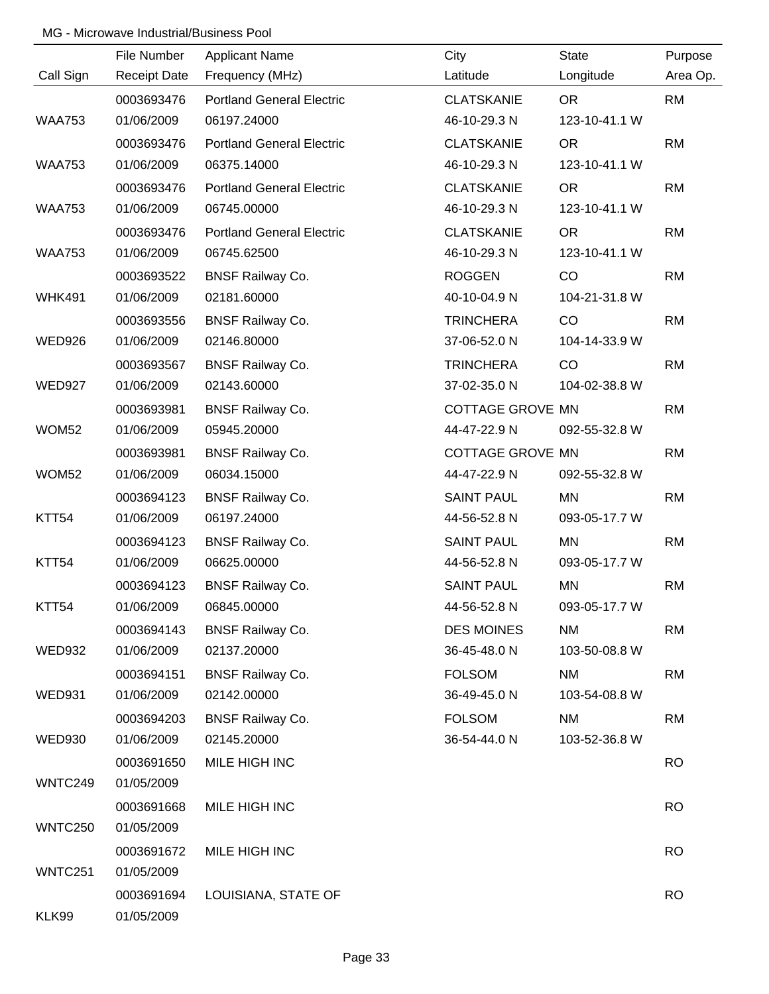|                | File Number         | <b>Applicant Name</b>            | City                    | State         | Purpose   |
|----------------|---------------------|----------------------------------|-------------------------|---------------|-----------|
| Call Sign      | <b>Receipt Date</b> | Frequency (MHz)                  | Latitude                | Longitude     | Area Op.  |
|                | 0003693476          | <b>Portland General Electric</b> | <b>CLATSKANIE</b>       | <b>OR</b>     | <b>RM</b> |
| <b>WAA753</b>  | 01/06/2009          | 06197.24000                      | 46-10-29.3 N            | 123-10-41.1 W |           |
|                | 0003693476          | <b>Portland General Electric</b> | <b>CLATSKANIE</b>       | <b>OR</b>     | <b>RM</b> |
| <b>WAA753</b>  | 01/06/2009          | 06375.14000                      | 46-10-29.3 N            | 123-10-41.1 W |           |
|                | 0003693476          | <b>Portland General Electric</b> | <b>CLATSKANIE</b>       | <b>OR</b>     | <b>RM</b> |
| <b>WAA753</b>  | 01/06/2009          | 06745.00000                      | 46-10-29.3 N            | 123-10-41.1 W |           |
|                | 0003693476          | <b>Portland General Electric</b> | <b>CLATSKANIE</b>       | <b>OR</b>     | <b>RM</b> |
| <b>WAA753</b>  | 01/06/2009          | 06745.62500                      | 46-10-29.3 N            | 123-10-41.1 W |           |
|                | 0003693522          | <b>BNSF Railway Co.</b>          | <b>ROGGEN</b>           | CO            | <b>RM</b> |
| <b>WHK491</b>  | 01/06/2009          | 02181.60000                      | 40-10-04.9 N            | 104-21-31.8 W |           |
|                | 0003693556          | <b>BNSF Railway Co.</b>          | <b>TRINCHERA</b>        | CO            | <b>RM</b> |
| <b>WED926</b>  | 01/06/2009          | 02146.80000                      | 37-06-52.0 N            | 104-14-33.9 W |           |
|                | 0003693567          | <b>BNSF Railway Co.</b>          | <b>TRINCHERA</b>        | CO            | <b>RM</b> |
| <b>WED927</b>  | 01/06/2009          | 02143.60000                      | 37-02-35.0 N            | 104-02-38.8 W |           |
|                | 0003693981          | <b>BNSF Railway Co.</b>          | <b>COTTAGE GROVE MN</b> |               | <b>RM</b> |
| WOM52          | 01/06/2009          | 05945.20000                      | 44-47-22.9 N            | 092-55-32.8 W |           |
|                | 0003693981          | <b>BNSF Railway Co.</b>          | <b>COTTAGE GROVE MN</b> |               | <b>RM</b> |
| WOM52          | 01/06/2009          | 06034.15000                      | 44-47-22.9 N            | 092-55-32.8 W |           |
|                | 0003694123          | <b>BNSF Railway Co.</b>          | <b>SAINT PAUL</b>       | <b>MN</b>     | <b>RM</b> |
| KTT54          | 01/06/2009          | 06197.24000                      | 44-56-52.8 N            | 093-05-17.7 W |           |
|                | 0003694123          | <b>BNSF Railway Co.</b>          | <b>SAINT PAUL</b>       | MN            | <b>RM</b> |
| KTT54          | 01/06/2009          | 06625.00000                      | 44-56-52.8 N            | 093-05-17.7 W |           |
|                | 0003694123          | <b>BNSF Railway Co.</b>          | <b>SAINT PAUL</b>       | MN            | <b>RM</b> |
| KTT54          | 01/06/2009          | 06845.00000                      | 44-56-52.8 N            | 093-05-17.7 W |           |
|                | 0003694143          | <b>BNSF Railway Co.</b>          | <b>DES MOINES</b>       | <b>NM</b>     | <b>RM</b> |
| <b>WED932</b>  | 01/06/2009          | 02137.20000                      | 36-45-48.0 N            | 103-50-08.8 W |           |
|                | 0003694151          | <b>BNSF Railway Co.</b>          | <b>FOLSOM</b>           | <b>NM</b>     | <b>RM</b> |
| <b>WED931</b>  | 01/06/2009          | 02142.00000                      | 36-49-45.0 N            | 103-54-08.8 W |           |
|                | 0003694203          | <b>BNSF Railway Co.</b>          | <b>FOLSOM</b>           | <b>NM</b>     | <b>RM</b> |
| <b>WED930</b>  | 01/06/2009          | 02145.20000                      | 36-54-44.0 N            | 103-52-36.8 W |           |
|                | 0003691650          | MILE HIGH INC                    |                         |               | <b>RO</b> |
| WNTC249        | 01/05/2009          |                                  |                         |               |           |
|                | 0003691668          | MILE HIGH INC                    |                         |               | <b>RO</b> |
| WNTC250        | 01/05/2009          |                                  |                         |               |           |
|                | 0003691672          | MILE HIGH INC                    |                         |               | <b>RO</b> |
| <b>WNTC251</b> | 01/05/2009          |                                  |                         |               |           |
|                | 0003691694          | LOUISIANA, STATE OF              |                         |               | <b>RO</b> |
| KLK99          | 01/05/2009          |                                  |                         |               |           |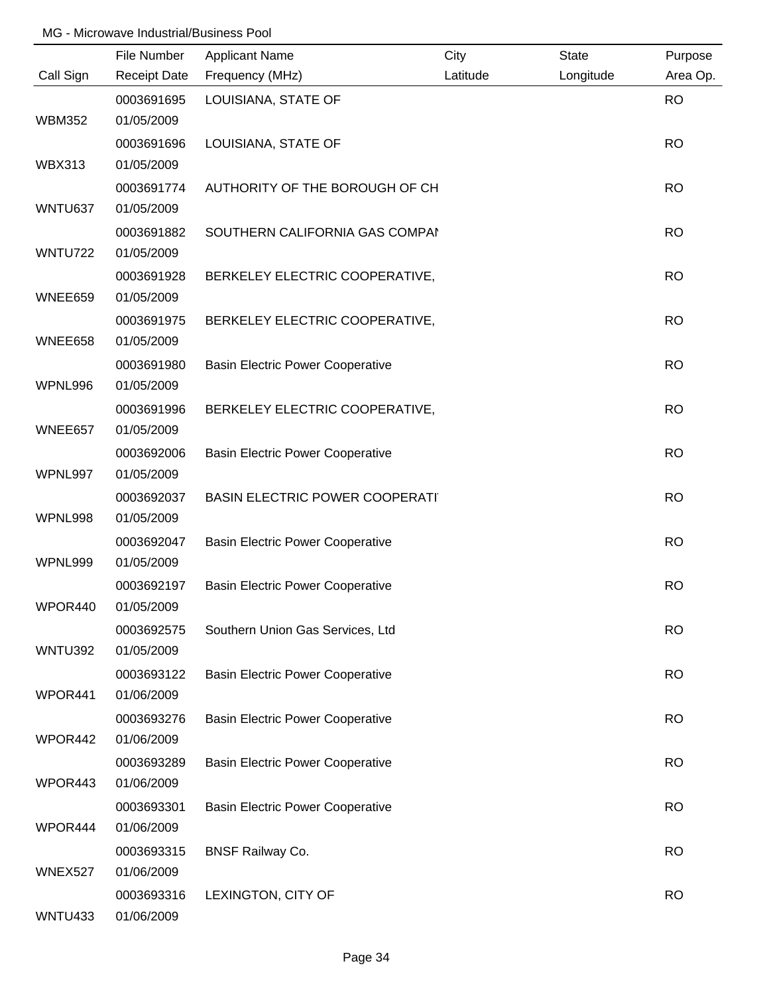|                | File Number         | <b>Applicant Name</b>                   | City     | <b>State</b> | Purpose   |
|----------------|---------------------|-----------------------------------------|----------|--------------|-----------|
| Call Sign      | <b>Receipt Date</b> | Frequency (MHz)                         | Latitude | Longitude    | Area Op.  |
|                | 0003691695          | LOUISIANA, STATE OF                     |          |              | <b>RO</b> |
| <b>WBM352</b>  | 01/05/2009          |                                         |          |              |           |
|                | 0003691696          | LOUISIANA, STATE OF                     |          |              | <b>RO</b> |
| <b>WBX313</b>  | 01/05/2009          |                                         |          |              |           |
|                | 0003691774          | AUTHORITY OF THE BOROUGH OF CH          |          |              | <b>RO</b> |
| WNTU637        | 01/05/2009          |                                         |          |              |           |
|                | 0003691882          | SOUTHERN CALIFORNIA GAS COMPAI          |          |              | <b>RO</b> |
| <b>WNTU722</b> | 01/05/2009          |                                         |          |              |           |
|                | 0003691928          | BERKELEY ELECTRIC COOPERATIVE,          |          |              | <b>RO</b> |
| WNEE659        | 01/05/2009          |                                         |          |              |           |
|                | 0003691975          | BERKELEY ELECTRIC COOPERATIVE,          |          |              | <b>RO</b> |
| WNEE658        | 01/05/2009          |                                         |          |              |           |
|                | 0003691980          | <b>Basin Electric Power Cooperative</b> |          |              | <b>RO</b> |
| WPNL996        | 01/05/2009          |                                         |          |              |           |
|                | 0003691996          | BERKELEY ELECTRIC COOPERATIVE,          |          |              | <b>RO</b> |
| WNEE657        | 01/05/2009          |                                         |          |              |           |
|                | 0003692006          | <b>Basin Electric Power Cooperative</b> |          |              | <b>RO</b> |
| WPNL997        | 01/05/2009          |                                         |          |              |           |
|                | 0003692037          | <b>BASIN ELECTRIC POWER COOPERATI</b>   |          |              | <b>RO</b> |
| WPNL998        | 01/05/2009          |                                         |          |              |           |
|                | 0003692047          | <b>Basin Electric Power Cooperative</b> |          |              | <b>RO</b> |
| WPNL999        | 01/05/2009          |                                         |          |              |           |
|                | 0003692197          | <b>Basin Electric Power Cooperative</b> |          |              | <b>RO</b> |
| WPOR440        | 01/05/2009          |                                         |          |              |           |
|                | 0003692575          | Southern Union Gas Services, Ltd        |          |              | <b>RO</b> |
| WNTU392        | 01/05/2009          |                                         |          |              |           |
|                | 0003693122          | <b>Basin Electric Power Cooperative</b> |          |              | <b>RO</b> |
| WPOR441        | 01/06/2009          |                                         |          |              |           |
|                | 0003693276          | <b>Basin Electric Power Cooperative</b> |          |              | <b>RO</b> |
| WPOR442        | 01/06/2009          |                                         |          |              |           |
|                | 0003693289          | <b>Basin Electric Power Cooperative</b> |          |              | <b>RO</b> |
| WPOR443        | 01/06/2009          |                                         |          |              |           |
|                | 0003693301          | <b>Basin Electric Power Cooperative</b> |          |              | <b>RO</b> |
| WPOR444        | 01/06/2009          |                                         |          |              |           |
|                | 0003693315          | <b>BNSF Railway Co.</b>                 |          |              | <b>RO</b> |
| WNEX527        | 01/06/2009          |                                         |          |              |           |
|                | 0003693316          | LEXINGTON, CITY OF                      |          |              | <b>RO</b> |
| WNTU433        | 01/06/2009          |                                         |          |              |           |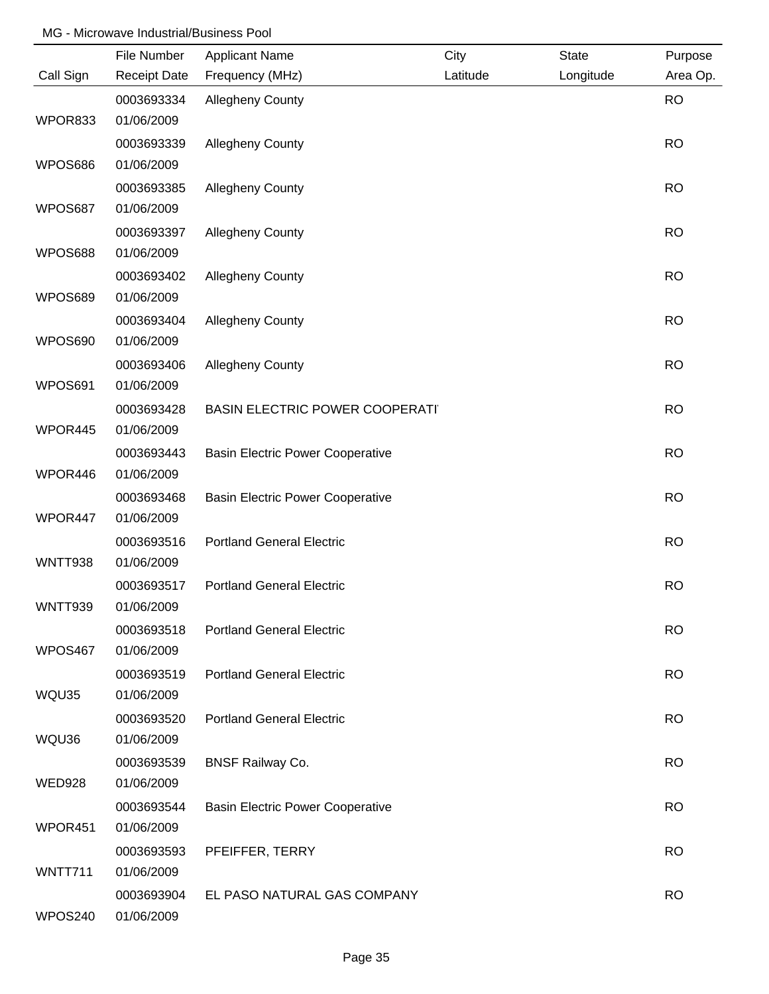|               | File Number         | <b>Applicant Name</b>                   | City     | <b>State</b> | Purpose   |
|---------------|---------------------|-----------------------------------------|----------|--------------|-----------|
| Call Sign     | <b>Receipt Date</b> | Frequency (MHz)                         | Latitude | Longitude    | Area Op.  |
|               | 0003693334          | <b>Allegheny County</b>                 |          |              | <b>RO</b> |
| WPOR833       | 01/06/2009          |                                         |          |              |           |
|               | 0003693339          | <b>Allegheny County</b>                 |          |              | <b>RO</b> |
| WPOS686       | 01/06/2009          |                                         |          |              |           |
|               | 0003693385          | <b>Allegheny County</b>                 |          |              | <b>RO</b> |
| WPOS687       | 01/06/2009          |                                         |          |              |           |
|               | 0003693397          | <b>Allegheny County</b>                 |          |              | <b>RO</b> |
| WPOS688       | 01/06/2009          |                                         |          |              |           |
|               | 0003693402          | <b>Allegheny County</b>                 |          |              | <b>RO</b> |
| WPOS689       | 01/06/2009          |                                         |          |              |           |
|               | 0003693404          | <b>Allegheny County</b>                 |          |              | <b>RO</b> |
| WPOS690       | 01/06/2009          |                                         |          |              |           |
|               | 0003693406          | <b>Allegheny County</b>                 |          |              | <b>RO</b> |
| WPOS691       | 01/06/2009          |                                         |          |              |           |
|               | 0003693428          | <b>BASIN ELECTRIC POWER COOPERATI</b>   |          |              | <b>RO</b> |
| WPOR445       | 01/06/2009          |                                         |          |              |           |
|               | 0003693443          | <b>Basin Electric Power Cooperative</b> |          |              | <b>RO</b> |
| WPOR446       | 01/06/2009          |                                         |          |              |           |
|               | 0003693468          | <b>Basin Electric Power Cooperative</b> |          |              | <b>RO</b> |
| WPOR447       | 01/06/2009          |                                         |          |              |           |
|               | 0003693516          | <b>Portland General Electric</b>        |          |              | <b>RO</b> |
| WNTT938       | 01/06/2009          |                                         |          |              |           |
|               | 0003693517          | <b>Portland General Electric</b>        |          |              | <b>RO</b> |
| WNTT939       | 01/06/2009          |                                         |          |              |           |
|               | 0003693518          | <b>Portland General Electric</b>        |          |              | <b>RO</b> |
| WPOS467       | 01/06/2009          |                                         |          |              |           |
|               | 0003693519          | <b>Portland General Electric</b>        |          |              | <b>RO</b> |
| WQU35         | 01/06/2009          |                                         |          |              |           |
|               | 0003693520          | <b>Portland General Electric</b>        |          |              | <b>RO</b> |
| WQU36         | 01/06/2009          |                                         |          |              |           |
|               | 0003693539          | <b>BNSF Railway Co.</b>                 |          |              | <b>RO</b> |
| <b>WED928</b> | 01/06/2009          |                                         |          |              |           |
|               | 0003693544          | <b>Basin Electric Power Cooperative</b> |          |              | <b>RO</b> |
| WPOR451       | 01/06/2009          |                                         |          |              |           |
|               | 0003693593          | PFEIFFER, TERRY                         |          |              | <b>RO</b> |
| WNTT711       | 01/06/2009          |                                         |          |              |           |
|               | 0003693904          | EL PASO NATURAL GAS COMPANY             |          |              | <b>RO</b> |
| WPOS240       | 01/06/2009          |                                         |          |              |           |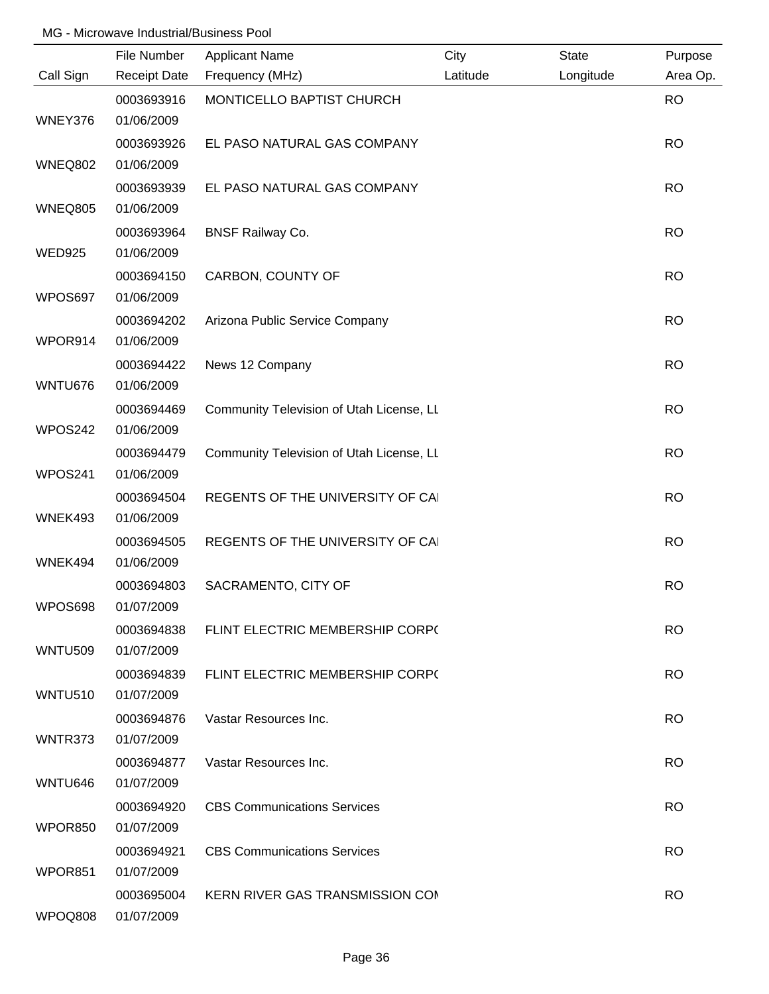|                | File Number              | <b>Applicant Name</b>                    | City     | <b>State</b> | Purpose   |
|----------------|--------------------------|------------------------------------------|----------|--------------|-----------|
| Call Sign      | <b>Receipt Date</b>      | Frequency (MHz)                          | Latitude | Longitude    | Area Op.  |
| WNEY376        | 0003693916<br>01/06/2009 | MONTICELLO BAPTIST CHURCH                |          |              | <b>RO</b> |
|                | 0003693926               | EL PASO NATURAL GAS COMPANY              |          |              | <b>RO</b> |
| <b>WNEQ802</b> | 01/06/2009               |                                          |          |              |           |
| <b>WNEQ805</b> | 0003693939<br>01/06/2009 | EL PASO NATURAL GAS COMPANY              |          |              | <b>RO</b> |
|                | 0003693964               | <b>BNSF Railway Co.</b>                  |          |              | <b>RO</b> |
| <b>WED925</b>  | 01/06/2009               |                                          |          |              |           |
|                | 0003694150               | CARBON, COUNTY OF                        |          |              | <b>RO</b> |
| WPOS697        | 01/06/2009               |                                          |          |              |           |
| WPOR914        | 0003694202<br>01/06/2009 | Arizona Public Service Company           |          |              | <b>RO</b> |
| WNTU676        | 0003694422<br>01/06/2009 | News 12 Company                          |          |              | <b>RO</b> |
| WPOS242        | 0003694469<br>01/06/2009 | Community Television of Utah License, LL |          |              | <b>RO</b> |
| WPOS241        | 0003694479<br>01/06/2009 | Community Television of Utah License, LL |          |              | <b>RO</b> |
|                | 0003694504               | REGENTS OF THE UNIVERSITY OF CAI         |          |              | <b>RO</b> |
| WNEK493        | 01/06/2009               |                                          |          |              |           |
| WNEK494        | 0003694505<br>01/06/2009 | REGENTS OF THE UNIVERSITY OF CAI         |          |              | <b>RO</b> |
|                | 0003694803               | SACRAMENTO, CITY OF                      |          |              | <b>RO</b> |
| WPOS698        | 01/07/2009               |                                          |          |              |           |
|                | 0003694838               | FLINT ELECTRIC MEMBERSHIP CORP(          |          |              | <b>RO</b> |
| <b>WNTU509</b> | 01/07/2009               |                                          |          |              |           |
|                | 0003694839               | FLINT ELECTRIC MEMBERSHIP CORP(          |          |              | <b>RO</b> |
| <b>WNTU510</b> | 01/07/2009               |                                          |          |              |           |
|                | 0003694876               | Vastar Resources Inc.                    |          |              | <b>RO</b> |
| WNTR373        | 01/07/2009               |                                          |          |              |           |
| WNTU646        | 0003694877<br>01/07/2009 | Vastar Resources Inc.                    |          |              | <b>RO</b> |
|                | 0003694920               | <b>CBS Communications Services</b>       |          |              | <b>RO</b> |
| WPOR850        | 01/07/2009               |                                          |          |              |           |
| WPOR851        | 0003694921<br>01/07/2009 | <b>CBS Communications Services</b>       |          |              | <b>RO</b> |
|                | 0003695004               | KERN RIVER GAS TRANSMISSION COM          |          |              | <b>RO</b> |
| WPOQ808        | 01/07/2009               |                                          |          |              |           |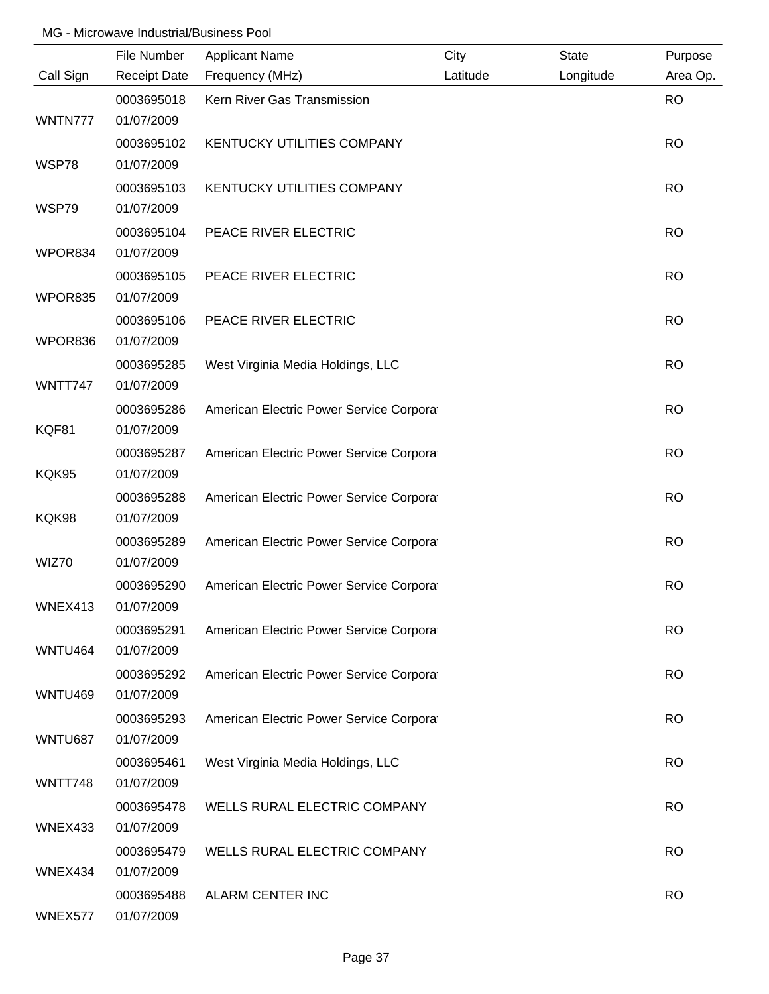|                | File Number         | <b>Applicant Name</b>                    | City     | <b>State</b> | Purpose   |
|----------------|---------------------|------------------------------------------|----------|--------------|-----------|
| Call Sign      | <b>Receipt Date</b> | Frequency (MHz)                          | Latitude | Longitude    | Area Op.  |
|                | 0003695018          | Kern River Gas Transmission              |          |              | <b>RO</b> |
| WNTN777        | 01/07/2009          |                                          |          |              |           |
|                | 0003695102          | KENTUCKY UTILITIES COMPANY               |          |              | <b>RO</b> |
| WSP78          | 01/07/2009          |                                          |          |              |           |
|                | 0003695103          | KENTUCKY UTILITIES COMPANY               |          |              | <b>RO</b> |
| WSP79          | 01/07/2009          |                                          |          |              |           |
|                | 0003695104          | PEACE RIVER ELECTRIC                     |          |              | <b>RO</b> |
| WPOR834        | 01/07/2009          |                                          |          |              |           |
|                | 0003695105          | PEACE RIVER ELECTRIC                     |          |              | <b>RO</b> |
| WPOR835        | 01/07/2009          |                                          |          |              |           |
|                | 0003695106          | PEACE RIVER ELECTRIC                     |          |              | <b>RO</b> |
| WPOR836        | 01/07/2009          |                                          |          |              |           |
|                | 0003695285          | West Virginia Media Holdings, LLC        |          |              | <b>RO</b> |
| WNTT747        | 01/07/2009          |                                          |          |              |           |
|                | 0003695286          | American Electric Power Service Corporat |          |              | <b>RO</b> |
| KQF81          | 01/07/2009          |                                          |          |              |           |
|                | 0003695287          | American Electric Power Service Corporat |          |              | <b>RO</b> |
| KQK95          | 01/07/2009          |                                          |          |              |           |
|                | 0003695288          | American Electric Power Service Corporat |          |              | <b>RO</b> |
| KQK98          | 01/07/2009          |                                          |          |              |           |
|                | 0003695289          | American Electric Power Service Corporat |          |              | <b>RO</b> |
| WIZ70          | 01/07/2009          |                                          |          |              |           |
|                | 0003695290          | American Electric Power Service Corporat |          |              | <b>RO</b> |
| WNEX413        | 01/07/2009          |                                          |          |              |           |
|                | 0003695291          | American Electric Power Service Corporat |          |              | <b>RO</b> |
| <b>WNTU464</b> | 01/07/2009          |                                          |          |              |           |
|                | 0003695292          | American Electric Power Service Corporat |          |              | <b>RO</b> |
| WNTU469        | 01/07/2009          |                                          |          |              |           |
|                | 0003695293          | American Electric Power Service Corporat |          |              | <b>RO</b> |
| WNTU687        | 01/07/2009          |                                          |          |              |           |
|                | 0003695461          | West Virginia Media Holdings, LLC        |          |              | <b>RO</b> |
| WNTT748        | 01/07/2009          |                                          |          |              |           |
|                | 0003695478          | WELLS RURAL ELECTRIC COMPANY             |          |              | <b>RO</b> |
| WNEX433        | 01/07/2009          |                                          |          |              |           |
|                | 0003695479          | WELLS RURAL ELECTRIC COMPANY             |          |              | <b>RO</b> |
| WNEX434        | 01/07/2009          |                                          |          |              |           |
|                | 0003695488          | ALARM CENTER INC                         |          |              | <b>RO</b> |
| WNEX577        | 01/07/2009          |                                          |          |              |           |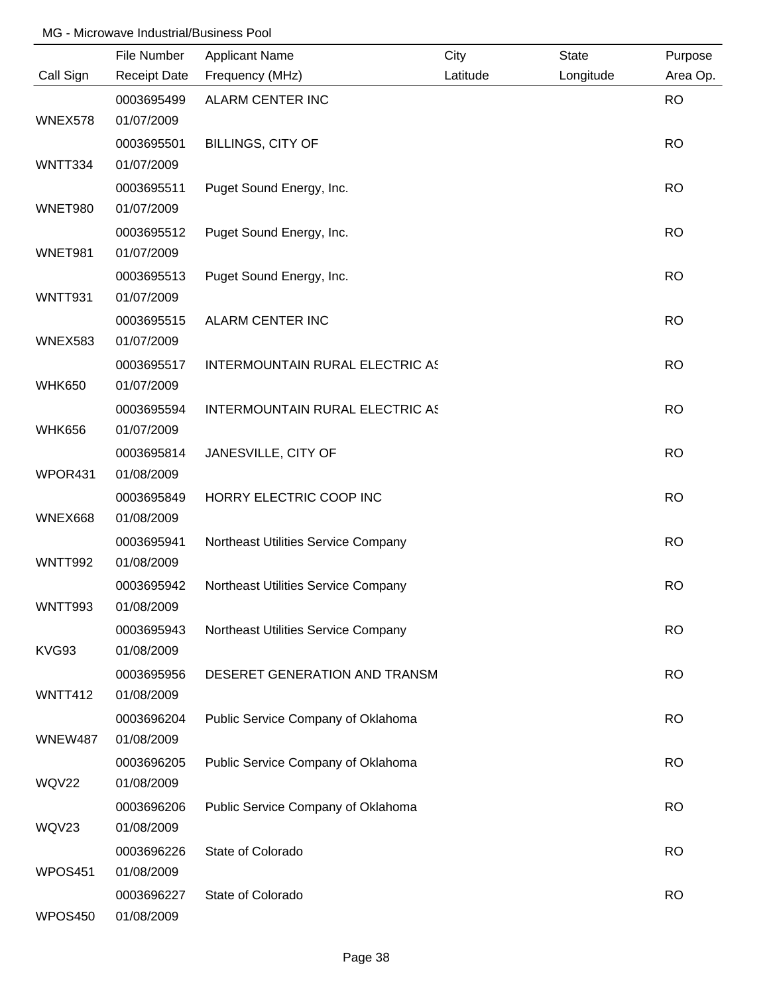|                | File Number              | <b>Applicant Name</b>                  | City     | <b>State</b> | Purpose   |
|----------------|--------------------------|----------------------------------------|----------|--------------|-----------|
| Call Sign      | <b>Receipt Date</b>      | Frequency (MHz)                        | Latitude | Longitude    | Area Op.  |
|                | 0003695499               | ALARM CENTER INC                       |          |              | <b>RO</b> |
| WNEX578        | 01/07/2009               |                                        |          |              |           |
|                | 0003695501               | <b>BILLINGS, CITY OF</b>               |          |              | <b>RO</b> |
| WNTT334        | 01/07/2009               |                                        |          |              |           |
|                | 0003695511               | Puget Sound Energy, Inc.               |          |              | <b>RO</b> |
| <b>WNET980</b> | 01/07/2009               |                                        |          |              |           |
|                | 0003695512               | Puget Sound Energy, Inc.               |          |              | <b>RO</b> |
| WNET981        | 01/07/2009               |                                        |          |              |           |
|                | 0003695513               | Puget Sound Energy, Inc.               |          |              | <b>RO</b> |
| WNTT931        | 01/07/2009               |                                        |          |              |           |
|                | 0003695515               | ALARM CENTER INC                       |          |              | <b>RO</b> |
| <b>WNEX583</b> | 01/07/2009               |                                        |          |              |           |
|                | 0003695517               | <b>INTERMOUNTAIN RURAL ELECTRIC AS</b> |          |              | <b>RO</b> |
| <b>WHK650</b>  | 01/07/2009               |                                        |          |              |           |
|                | 0003695594               | INTERMOUNTAIN RURAL ELECTRIC AS        |          |              | <b>RO</b> |
| <b>WHK656</b>  | 01/07/2009               |                                        |          |              |           |
| WPOR431        | 0003695814<br>01/08/2009 | JANESVILLE, CITY OF                    |          |              | <b>RO</b> |
|                |                          |                                        |          |              |           |
| <b>WNEX668</b> | 0003695849<br>01/08/2009 | HORRY ELECTRIC COOP INC                |          |              | <b>RO</b> |
|                | 0003695941               | Northeast Utilities Service Company    |          |              | <b>RO</b> |
| WNTT992        | 01/08/2009               |                                        |          |              |           |
|                | 0003695942               | Northeast Utilities Service Company    |          |              | <b>RO</b> |
| WNTT993        | 01/08/2009               |                                        |          |              |           |
|                | 0003695943               | Northeast Utilities Service Company    |          |              | <b>RO</b> |
| KVG93          | 01/08/2009               |                                        |          |              |           |
|                | 0003695956               | DESERET GENERATION AND TRANSM          |          |              | <b>RO</b> |
| WNTT412        | 01/08/2009               |                                        |          |              |           |
|                | 0003696204               | Public Service Company of Oklahoma     |          |              | <b>RO</b> |
| <b>WNEW487</b> | 01/08/2009               |                                        |          |              |           |
|                | 0003696205               | Public Service Company of Oklahoma     |          |              | <b>RO</b> |
| <b>WQV22</b>   | 01/08/2009               |                                        |          |              |           |
|                | 0003696206               | Public Service Company of Oklahoma     |          |              | <b>RO</b> |
| WQV23          | 01/08/2009               |                                        |          |              |           |
|                | 0003696226               | State of Colorado                      |          |              | <b>RO</b> |
| WPOS451        | 01/08/2009               |                                        |          |              |           |
|                | 0003696227               | State of Colorado                      |          |              | <b>RO</b> |
| WPOS450        | 01/08/2009               |                                        |          |              |           |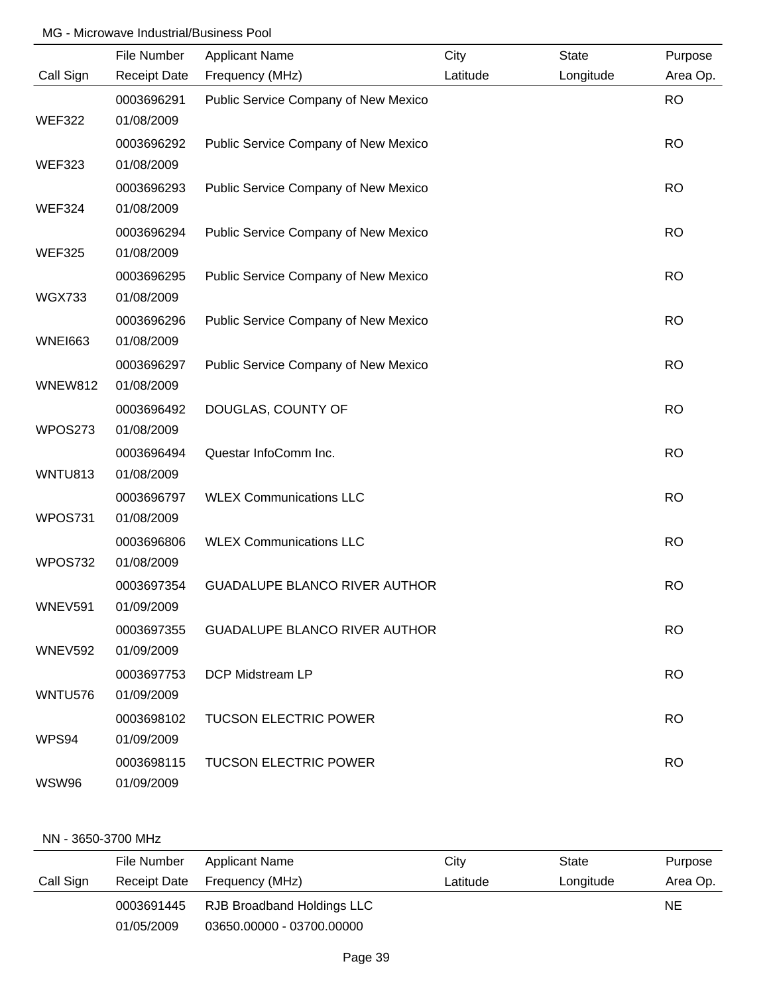|                | File Number              | <b>Applicant Name</b>                | City     | State     | Purpose   |
|----------------|--------------------------|--------------------------------------|----------|-----------|-----------|
| Call Sign      | <b>Receipt Date</b>      | Frequency (MHz)                      | Latitude | Longitude | Area Op.  |
| <b>WEF322</b>  | 0003696291<br>01/08/2009 | Public Service Company of New Mexico |          |           | <b>RO</b> |
| <b>WEF323</b>  | 0003696292<br>01/08/2009 | Public Service Company of New Mexico |          |           | <b>RO</b> |
| <b>WEF324</b>  | 0003696293<br>01/08/2009 | Public Service Company of New Mexico |          |           | <b>RO</b> |
| <b>WEF325</b>  | 0003696294<br>01/08/2009 | Public Service Company of New Mexico |          |           | <b>RO</b> |
| <b>WGX733</b>  | 0003696295<br>01/08/2009 | Public Service Company of New Mexico |          |           | <b>RO</b> |
| <b>WNEI663</b> | 0003696296<br>01/08/2009 | Public Service Company of New Mexico |          |           | <b>RO</b> |
| <b>WNEW812</b> | 0003696297<br>01/08/2009 | Public Service Company of New Mexico |          |           | <b>RO</b> |
| WPOS273        | 0003696492<br>01/08/2009 | DOUGLAS, COUNTY OF                   |          |           | <b>RO</b> |
|                | 0003696494               | Questar InfoComm Inc.                |          |           | <b>RO</b> |
| WNTU813        | 01/08/2009<br>0003696797 | <b>WLEX Communications LLC</b>       |          |           | <b>RO</b> |
| WPOS731        | 01/08/2009<br>0003696806 | <b>WLEX Communications LLC</b>       |          |           | <b>RO</b> |
| WPOS732        | 01/08/2009<br>0003697354 | <b>GUADALUPE BLANCO RIVER AUTHOR</b> |          |           | <b>RO</b> |
| <b>WNEV591</b> | 01/09/2009<br>0003697355 | <b>GUADALUPE BLANCO RIVER AUTHOR</b> |          |           | <b>RO</b> |
| <b>WNEV592</b> | 01/09/2009<br>0003697753 | DCP Midstream LP                     |          |           | <b>RO</b> |
| WNTU576        | 01/09/2009<br>0003698102 | <b>TUCSON ELECTRIC POWER</b>         |          |           | <b>RO</b> |
| WPS94          | 01/09/2009<br>0003698115 | <b>TUCSON ELECTRIC POWER</b>         |          |           | <b>RO</b> |
| <b>WSW96</b>   | 01/09/2009               |                                      |          |           |           |

#### NN - 3650-3700 MHz

|           | File Number         | <b>Applicant Name</b>      | City     | State     | Purpose  |
|-----------|---------------------|----------------------------|----------|-----------|----------|
| Call Sign | <b>Receipt Date</b> | Frequency (MHz)            | Latitude | Longitude | Area Op. |
|           | 0003691445          | RJB Broadband Holdings LLC |          |           | NE.      |
|           | 01/05/2009          | 03650.00000 - 03700.00000  |          |           |          |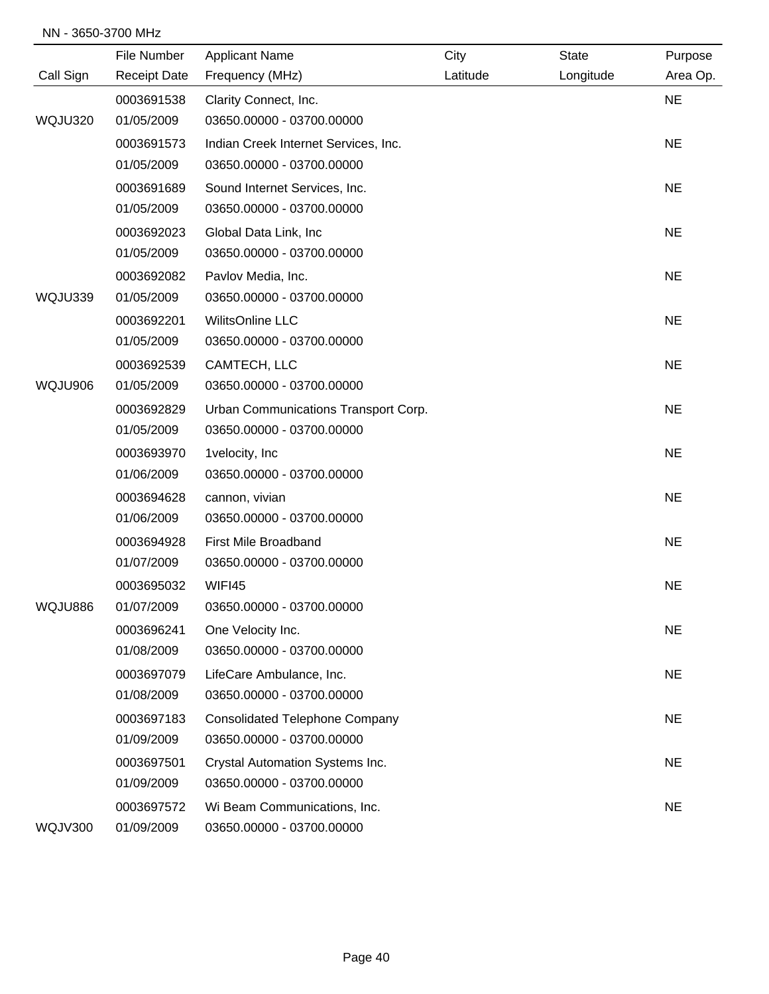#### NN - 3650-3700 MHz

|                | File Number         | <b>Applicant Name</b>                 | City     | <b>State</b> | Purpose   |
|----------------|---------------------|---------------------------------------|----------|--------------|-----------|
| Call Sign      | <b>Receipt Date</b> | Frequency (MHz)                       | Latitude | Longitude    | Area Op.  |
|                | 0003691538          | Clarity Connect, Inc.                 |          |              | <b>NE</b> |
| WQJU320        | 01/05/2009          | 03650.00000 - 03700.00000             |          |              |           |
|                | 0003691573          | Indian Creek Internet Services, Inc.  |          |              | <b>NE</b> |
|                | 01/05/2009          | 03650.00000 - 03700.00000             |          |              |           |
|                | 0003691689          | Sound Internet Services, Inc.         |          |              | <b>NE</b> |
|                | 01/05/2009          | 03650.00000 - 03700.00000             |          |              |           |
|                | 0003692023          | Global Data Link, Inc                 |          |              | <b>NE</b> |
|                | 01/05/2009          | 03650.00000 - 03700.00000             |          |              |           |
|                | 0003692082          | Pavlov Media, Inc.                    |          |              | <b>NE</b> |
| WQJU339        | 01/05/2009          | 03650.00000 - 03700.00000             |          |              |           |
|                | 0003692201          | <b>WilitsOnline LLC</b>               |          |              | <b>NE</b> |
|                | 01/05/2009          | 03650.00000 - 03700.00000             |          |              |           |
|                | 0003692539          | CAMTECH, LLC                          |          |              | <b>NE</b> |
| WQJU906        | 01/05/2009          | 03650.00000 - 03700.00000             |          |              |           |
|                | 0003692829          | Urban Communications Transport Corp.  |          |              | <b>NE</b> |
|                | 01/05/2009          | 03650.00000 - 03700.00000             |          |              |           |
|                | 0003693970          | 1velocity, Inc                        |          |              | <b>NE</b> |
|                | 01/06/2009          | 03650.00000 - 03700.00000             |          |              |           |
|                | 0003694628          | cannon, vivian                        |          |              | <b>NE</b> |
|                | 01/06/2009          | 03650.00000 - 03700.00000             |          |              |           |
|                | 0003694928          | First Mile Broadband                  |          |              | <b>NE</b> |
|                | 01/07/2009          | 03650.00000 - 03700.00000             |          |              |           |
|                | 0003695032          | WIFI45                                |          |              | <b>NE</b> |
| WQJU886        | 01/07/2009          | 03650.00000 - 03700.00000             |          |              |           |
|                | 0003696241          | One Velocity Inc.                     |          |              | <b>NE</b> |
|                | 01/08/2009          | 03650.00000 - 03700.00000             |          |              |           |
|                | 0003697079          | LifeCare Ambulance, Inc.              |          |              | <b>NE</b> |
|                | 01/08/2009          | 03650.00000 - 03700.00000             |          |              |           |
|                | 0003697183          | <b>Consolidated Telephone Company</b> |          |              | <b>NE</b> |
|                | 01/09/2009          | 03650.00000 - 03700.00000             |          |              |           |
|                | 0003697501          | Crystal Automation Systems Inc.       |          |              | <b>NE</b> |
|                | 01/09/2009          | 03650.00000 - 03700.00000             |          |              |           |
|                | 0003697572          | Wi Beam Communications, Inc.          |          |              | <b>NE</b> |
| <b>WQJV300</b> | 01/09/2009          | 03650.00000 - 03700.00000             |          |              |           |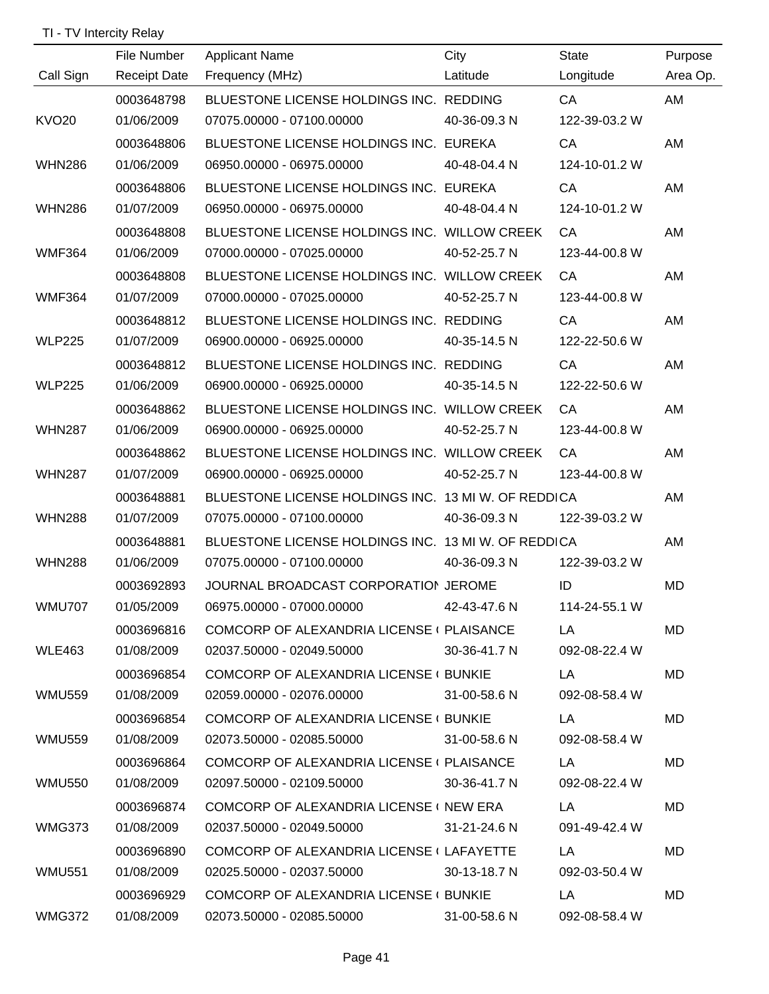# TI - TV Intercity Relay

|            |                                                                                                                                                                                              |                                          |                                                                                                                                                                                                                                                                                                                                                                                                                                                                                                                                                                                                                                                                                                                                                                                                                                                                                                                                                                                                   | Purpose                                                                                                                                                                                                                                                                                                                                                                                                                                                                                                                                                                  |
|------------|----------------------------------------------------------------------------------------------------------------------------------------------------------------------------------------------|------------------------------------------|---------------------------------------------------------------------------------------------------------------------------------------------------------------------------------------------------------------------------------------------------------------------------------------------------------------------------------------------------------------------------------------------------------------------------------------------------------------------------------------------------------------------------------------------------------------------------------------------------------------------------------------------------------------------------------------------------------------------------------------------------------------------------------------------------------------------------------------------------------------------------------------------------------------------------------------------------------------------------------------------------|--------------------------------------------------------------------------------------------------------------------------------------------------------------------------------------------------------------------------------------------------------------------------------------------------------------------------------------------------------------------------------------------------------------------------------------------------------------------------------------------------------------------------------------------------------------------------|
|            |                                                                                                                                                                                              |                                          |                                                                                                                                                                                                                                                                                                                                                                                                                                                                                                                                                                                                                                                                                                                                                                                                                                                                                                                                                                                                   | Area Op.                                                                                                                                                                                                                                                                                                                                                                                                                                                                                                                                                                 |
|            |                                                                                                                                                                                              |                                          |                                                                                                                                                                                                                                                                                                                                                                                                                                                                                                                                                                                                                                                                                                                                                                                                                                                                                                                                                                                                   | AM                                                                                                                                                                                                                                                                                                                                                                                                                                                                                                                                                                       |
|            |                                                                                                                                                                                              |                                          |                                                                                                                                                                                                                                                                                                                                                                                                                                                                                                                                                                                                                                                                                                                                                                                                                                                                                                                                                                                                   |                                                                                                                                                                                                                                                                                                                                                                                                                                                                                                                                                                          |
|            |                                                                                                                                                                                              |                                          |                                                                                                                                                                                                                                                                                                                                                                                                                                                                                                                                                                                                                                                                                                                                                                                                                                                                                                                                                                                                   | AM                                                                                                                                                                                                                                                                                                                                                                                                                                                                                                                                                                       |
|            |                                                                                                                                                                                              |                                          |                                                                                                                                                                                                                                                                                                                                                                                                                                                                                                                                                                                                                                                                                                                                                                                                                                                                                                                                                                                                   |                                                                                                                                                                                                                                                                                                                                                                                                                                                                                                                                                                          |
|            |                                                                                                                                                                                              |                                          |                                                                                                                                                                                                                                                                                                                                                                                                                                                                                                                                                                                                                                                                                                                                                                                                                                                                                                                                                                                                   | AM                                                                                                                                                                                                                                                                                                                                                                                                                                                                                                                                                                       |
|            |                                                                                                                                                                                              |                                          |                                                                                                                                                                                                                                                                                                                                                                                                                                                                                                                                                                                                                                                                                                                                                                                                                                                                                                                                                                                                   |                                                                                                                                                                                                                                                                                                                                                                                                                                                                                                                                                                          |
|            |                                                                                                                                                                                              |                                          |                                                                                                                                                                                                                                                                                                                                                                                                                                                                                                                                                                                                                                                                                                                                                                                                                                                                                                                                                                                                   | AM                                                                                                                                                                                                                                                                                                                                                                                                                                                                                                                                                                       |
|            |                                                                                                                                                                                              |                                          |                                                                                                                                                                                                                                                                                                                                                                                                                                                                                                                                                                                                                                                                                                                                                                                                                                                                                                                                                                                                   |                                                                                                                                                                                                                                                                                                                                                                                                                                                                                                                                                                          |
| 0003648808 |                                                                                                                                                                                              |                                          | CA                                                                                                                                                                                                                                                                                                                                                                                                                                                                                                                                                                                                                                                                                                                                                                                                                                                                                                                                                                                                | AM                                                                                                                                                                                                                                                                                                                                                                                                                                                                                                                                                                       |
|            |                                                                                                                                                                                              |                                          |                                                                                                                                                                                                                                                                                                                                                                                                                                                                                                                                                                                                                                                                                                                                                                                                                                                                                                                                                                                                   |                                                                                                                                                                                                                                                                                                                                                                                                                                                                                                                                                                          |
| 0003648812 |                                                                                                                                                                                              |                                          | CA                                                                                                                                                                                                                                                                                                                                                                                                                                                                                                                                                                                                                                                                                                                                                                                                                                                                                                                                                                                                | AM                                                                                                                                                                                                                                                                                                                                                                                                                                                                                                                                                                       |
| 01/07/2009 |                                                                                                                                                                                              | 40-35-14.5 N                             | 122-22-50.6 W                                                                                                                                                                                                                                                                                                                                                                                                                                                                                                                                                                                                                                                                                                                                                                                                                                                                                                                                                                                     |                                                                                                                                                                                                                                                                                                                                                                                                                                                                                                                                                                          |
| 0003648812 |                                                                                                                                                                                              |                                          | CA                                                                                                                                                                                                                                                                                                                                                                                                                                                                                                                                                                                                                                                                                                                                                                                                                                                                                                                                                                                                | AM                                                                                                                                                                                                                                                                                                                                                                                                                                                                                                                                                                       |
| 01/06/2009 |                                                                                                                                                                                              |                                          | 122-22-50.6 W                                                                                                                                                                                                                                                                                                                                                                                                                                                                                                                                                                                                                                                                                                                                                                                                                                                                                                                                                                                     |                                                                                                                                                                                                                                                                                                                                                                                                                                                                                                                                                                          |
| 0003648862 |                                                                                                                                                                                              |                                          | CA                                                                                                                                                                                                                                                                                                                                                                                                                                                                                                                                                                                                                                                                                                                                                                                                                                                                                                                                                                                                | AM                                                                                                                                                                                                                                                                                                                                                                                                                                                                                                                                                                       |
| 01/06/2009 |                                                                                                                                                                                              | 40-52-25.7 N                             | 123-44-00.8 W                                                                                                                                                                                                                                                                                                                                                                                                                                                                                                                                                                                                                                                                                                                                                                                                                                                                                                                                                                                     |                                                                                                                                                                                                                                                                                                                                                                                                                                                                                                                                                                          |
| 0003648862 |                                                                                                                                                                                              |                                          | CA                                                                                                                                                                                                                                                                                                                                                                                                                                                                                                                                                                                                                                                                                                                                                                                                                                                                                                                                                                                                | AM                                                                                                                                                                                                                                                                                                                                                                                                                                                                                                                                                                       |
| 01/07/2009 |                                                                                                                                                                                              |                                          | 123-44-00.8 W                                                                                                                                                                                                                                                                                                                                                                                                                                                                                                                                                                                                                                                                                                                                                                                                                                                                                                                                                                                     |                                                                                                                                                                                                                                                                                                                                                                                                                                                                                                                                                                          |
| 0003648881 |                                                                                                                                                                                              |                                          |                                                                                                                                                                                                                                                                                                                                                                                                                                                                                                                                                                                                                                                                                                                                                                                                                                                                                                                                                                                                   | AM                                                                                                                                                                                                                                                                                                                                                                                                                                                                                                                                                                       |
| 01/07/2009 |                                                                                                                                                                                              |                                          | 122-39-03.2 W                                                                                                                                                                                                                                                                                                                                                                                                                                                                                                                                                                                                                                                                                                                                                                                                                                                                                                                                                                                     |                                                                                                                                                                                                                                                                                                                                                                                                                                                                                                                                                                          |
| 0003648881 |                                                                                                                                                                                              |                                          |                                                                                                                                                                                                                                                                                                                                                                                                                                                                                                                                                                                                                                                                                                                                                                                                                                                                                                                                                                                                   | AM                                                                                                                                                                                                                                                                                                                                                                                                                                                                                                                                                                       |
| 01/06/2009 |                                                                                                                                                                                              |                                          | 122-39-03.2 W                                                                                                                                                                                                                                                                                                                                                                                                                                                                                                                                                                                                                                                                                                                                                                                                                                                                                                                                                                                     |                                                                                                                                                                                                                                                                                                                                                                                                                                                                                                                                                                          |
| 0003692893 |                                                                                                                                                                                              |                                          | ID                                                                                                                                                                                                                                                                                                                                                                                                                                                                                                                                                                                                                                                                                                                                                                                                                                                                                                                                                                                                | MD                                                                                                                                                                                                                                                                                                                                                                                                                                                                                                                                                                       |
| 01/05/2009 | 06975.00000 - 07000.00000                                                                                                                                                                    | 42-43-47.6 N                             | 114-24-55.1 W                                                                                                                                                                                                                                                                                                                                                                                                                                                                                                                                                                                                                                                                                                                                                                                                                                                                                                                                                                                     |                                                                                                                                                                                                                                                                                                                                                                                                                                                                                                                                                                          |
| 0003696816 |                                                                                                                                                                                              |                                          | LA                                                                                                                                                                                                                                                                                                                                                                                                                                                                                                                                                                                                                                                                                                                                                                                                                                                                                                                                                                                                | MD                                                                                                                                                                                                                                                                                                                                                                                                                                                                                                                                                                       |
| 01/08/2009 | 02037.50000 - 02049.50000                                                                                                                                                                    | 30-36-41.7 N                             | 092-08-22.4 W                                                                                                                                                                                                                                                                                                                                                                                                                                                                                                                                                                                                                                                                                                                                                                                                                                                                                                                                                                                     |                                                                                                                                                                                                                                                                                                                                                                                                                                                                                                                                                                          |
| 0003696854 |                                                                                                                                                                                              |                                          | LA                                                                                                                                                                                                                                                                                                                                                                                                                                                                                                                                                                                                                                                                                                                                                                                                                                                                                                                                                                                                | MD                                                                                                                                                                                                                                                                                                                                                                                                                                                                                                                                                                       |
| 01/08/2009 | 02059.00000 - 02076.00000                                                                                                                                                                    | 31-00-58.6 N                             | 092-08-58.4 W                                                                                                                                                                                                                                                                                                                                                                                                                                                                                                                                                                                                                                                                                                                                                                                                                                                                                                                                                                                     |                                                                                                                                                                                                                                                                                                                                                                                                                                                                                                                                                                          |
| 0003696854 |                                                                                                                                                                                              |                                          | LA                                                                                                                                                                                                                                                                                                                                                                                                                                                                                                                                                                                                                                                                                                                                                                                                                                                                                                                                                                                                | MD                                                                                                                                                                                                                                                                                                                                                                                                                                                                                                                                                                       |
| 01/08/2009 | 02073.50000 - 02085.50000                                                                                                                                                                    | 31-00-58.6 N                             | 092-08-58.4 W                                                                                                                                                                                                                                                                                                                                                                                                                                                                                                                                                                                                                                                                                                                                                                                                                                                                                                                                                                                     |                                                                                                                                                                                                                                                                                                                                                                                                                                                                                                                                                                          |
| 0003696864 |                                                                                                                                                                                              |                                          | LA                                                                                                                                                                                                                                                                                                                                                                                                                                                                                                                                                                                                                                                                                                                                                                                                                                                                                                                                                                                                | MD                                                                                                                                                                                                                                                                                                                                                                                                                                                                                                                                                                       |
| 01/08/2009 | 02097.50000 - 02109.50000                                                                                                                                                                    | 30-36-41.7 N                             | 092-08-22.4 W                                                                                                                                                                                                                                                                                                                                                                                                                                                                                                                                                                                                                                                                                                                                                                                                                                                                                                                                                                                     |                                                                                                                                                                                                                                                                                                                                                                                                                                                                                                                                                                          |
| 0003696874 |                                                                                                                                                                                              |                                          | LA                                                                                                                                                                                                                                                                                                                                                                                                                                                                                                                                                                                                                                                                                                                                                                                                                                                                                                                                                                                                | MD                                                                                                                                                                                                                                                                                                                                                                                                                                                                                                                                                                       |
| 01/08/2009 | 02037.50000 - 02049.50000                                                                                                                                                                    | 31-21-24.6 N                             | 091-49-42.4 W                                                                                                                                                                                                                                                                                                                                                                                                                                                                                                                                                                                                                                                                                                                                                                                                                                                                                                                                                                                     |                                                                                                                                                                                                                                                                                                                                                                                                                                                                                                                                                                          |
| 0003696890 |                                                                                                                                                                                              |                                          | LA                                                                                                                                                                                                                                                                                                                                                                                                                                                                                                                                                                                                                                                                                                                                                                                                                                                                                                                                                                                                | MD                                                                                                                                                                                                                                                                                                                                                                                                                                                                                                                                                                       |
| 01/08/2009 | 02025.50000 - 02037.50000                                                                                                                                                                    | 30-13-18.7 N                             | 092-03-50.4 W                                                                                                                                                                                                                                                                                                                                                                                                                                                                                                                                                                                                                                                                                                                                                                                                                                                                                                                                                                                     |                                                                                                                                                                                                                                                                                                                                                                                                                                                                                                                                                                          |
|            |                                                                                                                                                                                              |                                          |                                                                                                                                                                                                                                                                                                                                                                                                                                                                                                                                                                                                                                                                                                                                                                                                                                                                                                                                                                                                   | MD                                                                                                                                                                                                                                                                                                                                                                                                                                                                                                                                                                       |
|            |                                                                                                                                                                                              |                                          |                                                                                                                                                                                                                                                                                                                                                                                                                                                                                                                                                                                                                                                                                                                                                                                                                                                                                                                                                                                                   |                                                                                                                                                                                                                                                                                                                                                                                                                                                                                                                                                                          |
|            | File Number<br><b>Receipt Date</b><br>0003648798<br>01/06/2009<br>0003648806<br>01/06/2009<br>0003648806<br>01/07/2009<br>0003648808<br>01/06/2009<br>01/07/2009<br>0003696929<br>01/08/2009 | <b>Applicant Name</b><br>Frequency (MHz) | City<br>Latitude<br>BLUESTONE LICENSE HOLDINGS INC. REDDING<br>07075.00000 - 07100.00000 40-36-09.3 N<br>BLUESTONE LICENSE HOLDINGS INC. EUREKA<br>06950.00000 - 06975.00000 40-48-04.4 N<br>BLUESTONE LICENSE HOLDINGS INC. EUREKA<br>06950.00000 - 06975.00000 40-48-04.4 N<br>07000.00000 - 07025.00000<br>40-52-25.7 N<br>07000.00000 - 07025.00000<br>40-52-25.7 N<br>BLUESTONE LICENSE HOLDINGS INC. REDDING<br>06900.00000 - 06925.00000<br>BLUESTONE LICENSE HOLDINGS INC. REDDING<br>06900.00000 - 06925.00000 40-35-14.5 N<br>06900.00000 - 06925.00000<br>06900.00000 - 06925.00000<br>JOURNAL BROADCAST CORPORATION JEROME<br>COMCORP OF ALEXANDRIA LICENSE ( PLAISANCE<br>COMCORP OF ALEXANDRIA LICENSE ( BUNKIE<br>COMCORP OF ALEXANDRIA LICENSE ( BUNKIE<br>COMCORP OF ALEXANDRIA LICENSE (PLAISANCE<br>COMCORP OF ALEXANDRIA LICENSE ( NEW ERA<br>COMCORP OF ALEXANDRIA LICENSE (LAFAYETTE<br>COMCORP OF ALEXANDRIA LICENSE ( BUNKIE<br>02073.50000 - 02085.50000<br>31-00-58.6 N | State<br>Longitude<br>CA<br>122-39-03.2 W<br>CA<br>124-10-01.2 W<br>CA<br>124-10-01.2 W<br>BLUESTONE LICENSE HOLDINGS INC. WILLOW CREEK<br>CA<br>123-44-00.8 W<br>BLUESTONE LICENSE HOLDINGS INC. WILLOW CREEK<br>123-44-00.8 W<br>BLUESTONE LICENSE HOLDINGS INC. WILLOW CREEK<br>BLUESTONE LICENSE HOLDINGS INC. WILLOW CREEK<br>40-52-25.7 N<br>BLUESTONE LICENSE HOLDINGS INC. 13 MI W. OF REDDICA<br>07075.00000 - 07100.00000 40-36-09.3 N<br>BLUESTONE LICENSE HOLDINGS INC. 13 MI W. OF REDDICA<br>07075.00000 - 07100.00000 40-36-09.3 N<br>LA<br>092-08-58.4 W |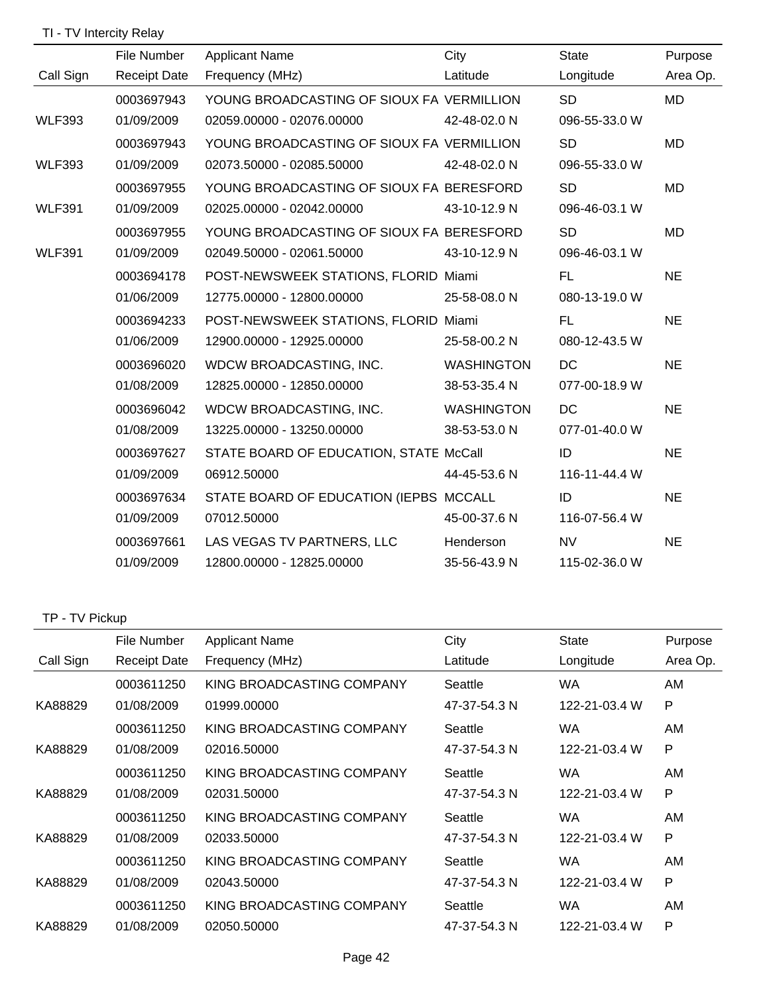### TI - TV Intercity Relay

|               | File Number         | <b>Applicant Name</b>                     | City              | <b>State</b>  | Purpose   |
|---------------|---------------------|-------------------------------------------|-------------------|---------------|-----------|
| Call Sign     | <b>Receipt Date</b> | Frequency (MHz)                           | Latitude          | Longitude     | Area Op.  |
|               | 0003697943          | YOUNG BROADCASTING OF SIOUX FA VERMILLION |                   | <b>SD</b>     | <b>MD</b> |
| <b>WLF393</b> | 01/09/2009          | 02059.00000 - 02076.00000                 | 42-48-02.0 N      | 096-55-33.0 W |           |
|               | 0003697943          | YOUNG BROADCASTING OF SIOUX FA VERMILLION |                   | <b>SD</b>     | MD        |
| <b>WLF393</b> | 01/09/2009          | 02073.50000 - 02085.50000                 | 42-48-02.0 N      | 096-55-33.0 W |           |
|               | 0003697955          | YOUNG BROADCASTING OF SIOUX FA BERESFORD  |                   | <b>SD</b>     | MD        |
| <b>WLF391</b> | 01/09/2009          | 02025.00000 - 02042.00000                 | 43-10-12.9 N      | 096-46-03.1 W |           |
|               | 0003697955          | YOUNG BROADCASTING OF SIOUX FA BERESFORD  |                   | <b>SD</b>     | <b>MD</b> |
| <b>WLF391</b> | 01/09/2009          | 02049.50000 - 02061.50000                 | 43-10-12.9 N      | 096-46-03.1 W |           |
|               | 0003694178          | POST-NEWSWEEK STATIONS, FLORID Miami      |                   | FL.           | <b>NE</b> |
|               | 01/06/2009          | 12775.00000 - 12800.00000                 | 25-58-08.0 N      | 080-13-19.0 W |           |
|               | 0003694233          | POST-NEWSWEEK STATIONS, FLORID Miami      |                   | FL.           | <b>NE</b> |
|               | 01/06/2009          | 12900.00000 - 12925.00000                 | 25-58-00.2 N      | 080-12-43.5 W |           |
|               | 0003696020          | WDCW BROADCASTING, INC.                   | WASHINGTON        | DC.           | <b>NE</b> |
|               | 01/08/2009          | 12825.00000 - 12850.00000                 | 38-53-35.4 N      | 077-00-18.9 W |           |
|               | 0003696042          | WDCW BROADCASTING, INC.                   | <b>WASHINGTON</b> | DC.           | <b>NE</b> |
|               | 01/08/2009          | 13225.00000 - 13250.00000                 | 38-53-53.0 N      | 077-01-40.0 W |           |
|               | 0003697627          | STATE BOARD OF EDUCATION, STATE McCall    |                   | ID            | <b>NE</b> |
|               | 01/09/2009          | 06912.50000                               | 44-45-53.6 N      | 116-11-44.4 W |           |
|               | 0003697634          | STATE BOARD OF EDUCATION (IEPBS MCCALL    |                   | ID            | <b>NE</b> |
|               | 01/09/2009          | 07012.50000                               | 45-00-37.6 N      | 116-07-56.4 W |           |
|               | 0003697661          | LAS VEGAS TV PARTNERS, LLC                | Henderson         | <b>NV</b>     | <b>NE</b> |
|               | 01/09/2009          | 12800.00000 - 12825.00000                 | 35-56-43.9 N      | 115-02-36.0 W |           |

# TP - TV Pickup

|           | File Number         | <b>Applicant Name</b>     | City         | <b>State</b>  | Purpose  |
|-----------|---------------------|---------------------------|--------------|---------------|----------|
| Call Sign | <b>Receipt Date</b> | Frequency (MHz)           | Latitude     | Longitude     | Area Op. |
|           | 0003611250          | KING BROADCASTING COMPANY | Seattle      | WA            | AM       |
| KA88829   | 01/08/2009          | 01999.00000               | 47-37-54.3 N | 122-21-03.4 W | P        |
|           | 0003611250          | KING BROADCASTING COMPANY | Seattle      | WA            | AM       |
| KA88829   | 01/08/2009          | 02016.50000               | 47-37-54.3 N | 122-21-03.4 W | P        |
|           | 0003611250          | KING BROADCASTING COMPANY | Seattle      | WA            | AM       |
| KA88829   | 01/08/2009          | 02031.50000               | 47-37-54.3 N | 122-21-03.4 W | P        |
|           | 0003611250          | KING BROADCASTING COMPANY | Seattle      | WA            | AM       |
| KA88829   | 01/08/2009          | 02033.50000               | 47-37-54.3 N | 122-21-03.4 W | P        |
|           | 0003611250          | KING BROADCASTING COMPANY | Seattle      | WA.           | AM       |
| KA88829   | 01/08/2009          | 02043.50000               | 47-37-54.3 N | 122-21-03.4 W | P        |
|           | 0003611250          | KING BROADCASTING COMPANY | Seattle      | <b>WA</b>     | AM       |
| KA88829   | 01/08/2009          | 02050.50000               | 47-37-54.3 N | 122-21-03.4 W | P        |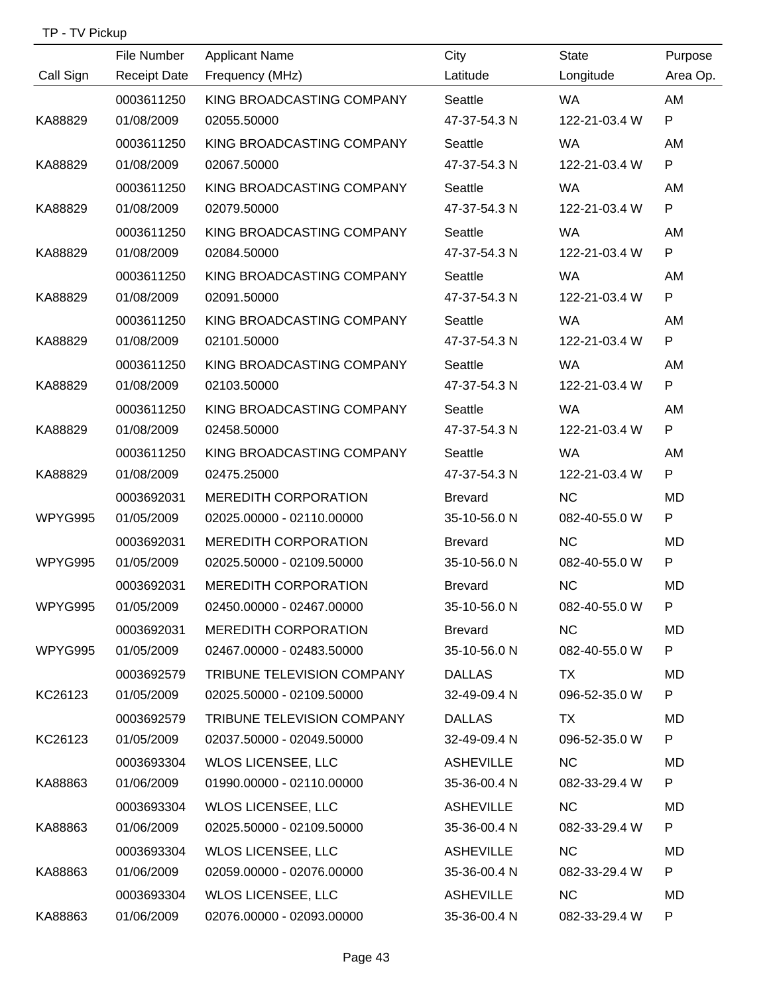|           | File Number         | <b>Applicant Name</b>       | City             | <b>State</b>  | Purpose      |
|-----------|---------------------|-----------------------------|------------------|---------------|--------------|
| Call Sign | <b>Receipt Date</b> | Frequency (MHz)             | Latitude         | Longitude     | Area Op.     |
|           | 0003611250          | KING BROADCASTING COMPANY   | Seattle          | <b>WA</b>     | AM           |
| KA88829   | 01/08/2009          | 02055.50000                 | 47-37-54.3 N     | 122-21-03.4 W | P            |
|           | 0003611250          | KING BROADCASTING COMPANY   | Seattle          | <b>WA</b>     | AM           |
| KA88829   | 01/08/2009          | 02067.50000                 | 47-37-54.3 N     | 122-21-03.4 W | P            |
|           | 0003611250          | KING BROADCASTING COMPANY   | Seattle          | <b>WA</b>     | AM           |
| KA88829   | 01/08/2009          | 02079.50000                 | 47-37-54.3 N     | 122-21-03.4 W | P            |
|           | 0003611250          | KING BROADCASTING COMPANY   | Seattle          | <b>WA</b>     | AM           |
| KA88829   | 01/08/2009          | 02084.50000                 | 47-37-54.3 N     | 122-21-03.4 W | P            |
|           | 0003611250          | KING BROADCASTING COMPANY   | Seattle          | <b>WA</b>     | AM           |
| KA88829   | 01/08/2009          | 02091.50000                 | 47-37-54.3 N     | 122-21-03.4 W | P            |
|           | 0003611250          | KING BROADCASTING COMPANY   | Seattle          | WA.           | AM           |
| KA88829   | 01/08/2009          | 02101.50000                 | 47-37-54.3 N     | 122-21-03.4 W | P            |
|           | 0003611250          | KING BROADCASTING COMPANY   | Seattle          | <b>WA</b>     | AM           |
| KA88829   | 01/08/2009          | 02103.50000                 | 47-37-54.3 N     | 122-21-03.4 W | P            |
|           | 0003611250          | KING BROADCASTING COMPANY   | Seattle          | <b>WA</b>     | AM           |
| KA88829   | 01/08/2009          | 02458.50000                 | 47-37-54.3 N     | 122-21-03.4 W | P            |
|           | 0003611250          | KING BROADCASTING COMPANY   | Seattle          | <b>WA</b>     | AM           |
| KA88829   | 01/08/2009          | 02475.25000                 | 47-37-54.3 N     | 122-21-03.4 W | $\mathsf{P}$ |
|           | 0003692031          | <b>MEREDITH CORPORATION</b> | <b>Brevard</b>   | <b>NC</b>     | <b>MD</b>    |
| WPYG995   | 01/05/2009          | 02025.00000 - 02110.00000   | 35-10-56.0 N     | 082-40-55.0 W | $\mathsf{P}$ |
|           | 0003692031          | <b>MEREDITH CORPORATION</b> | <b>Brevard</b>   | <b>NC</b>     | MD           |
| WPYG995   | 01/05/2009          | 02025.50000 - 02109.50000   | 35-10-56.0 N     | 082-40-55.0 W | P            |
|           | 0003692031          | <b>MEREDITH CORPORATION</b> | <b>Brevard</b>   | NC            | <b>MD</b>    |
| WPYG995   | 01/05/2009          | 02450.00000 - 02467.00000   | 35-10-56.0 N     | 082-40-55.0 W | P            |
|           | 0003692031          | <b>MEREDITH CORPORATION</b> | <b>Brevard</b>   | <b>NC</b>     | MD           |
| WPYG995   | 01/05/2009          | 02467.00000 - 02483.50000   | 35-10-56.0 N     | 082-40-55.0 W | P            |
|           | 0003692579          | TRIBUNE TELEVISION COMPANY  | <b>DALLAS</b>    | TX            | MD           |
| KC26123   | 01/05/2009          | 02025.50000 - 02109.50000   | 32-49-09.4 N     | 096-52-35.0 W | P            |
|           | 0003692579          | TRIBUNE TELEVISION COMPANY  | <b>DALLAS</b>    | TX            | MD.          |
| KC26123   | 01/05/2009          | 02037.50000 - 02049.50000   | 32-49-09.4 N     | 096-52-35.0 W | P            |
|           | 0003693304          | <b>WLOS LICENSEE, LLC</b>   | <b>ASHEVILLE</b> | <b>NC</b>     | MD           |
| KA88863   | 01/06/2009          | 01990.00000 - 02110.00000   | 35-36-00.4 N     | 082-33-29.4 W | P            |
|           | 0003693304          | <b>WLOS LICENSEE, LLC</b>   | <b>ASHEVILLE</b> | <b>NC</b>     | MD.          |
| KA88863   | 01/06/2009          | 02025.50000 - 02109.50000   | 35-36-00.4 N     | 082-33-29.4 W | P            |
|           | 0003693304          | <b>WLOS LICENSEE, LLC</b>   | <b>ASHEVILLE</b> | <b>NC</b>     | MD           |
| KA88863   | 01/06/2009          | 02059.00000 - 02076.00000   | 35-36-00.4 N     | 082-33-29.4 W | P            |
|           | 0003693304          | <b>WLOS LICENSEE, LLC</b>   | <b>ASHEVILLE</b> | NC            | MD           |
| KA88863   | 01/06/2009          | 02076.00000 - 02093.00000   | 35-36-00.4 N     | 082-33-29.4 W | P            |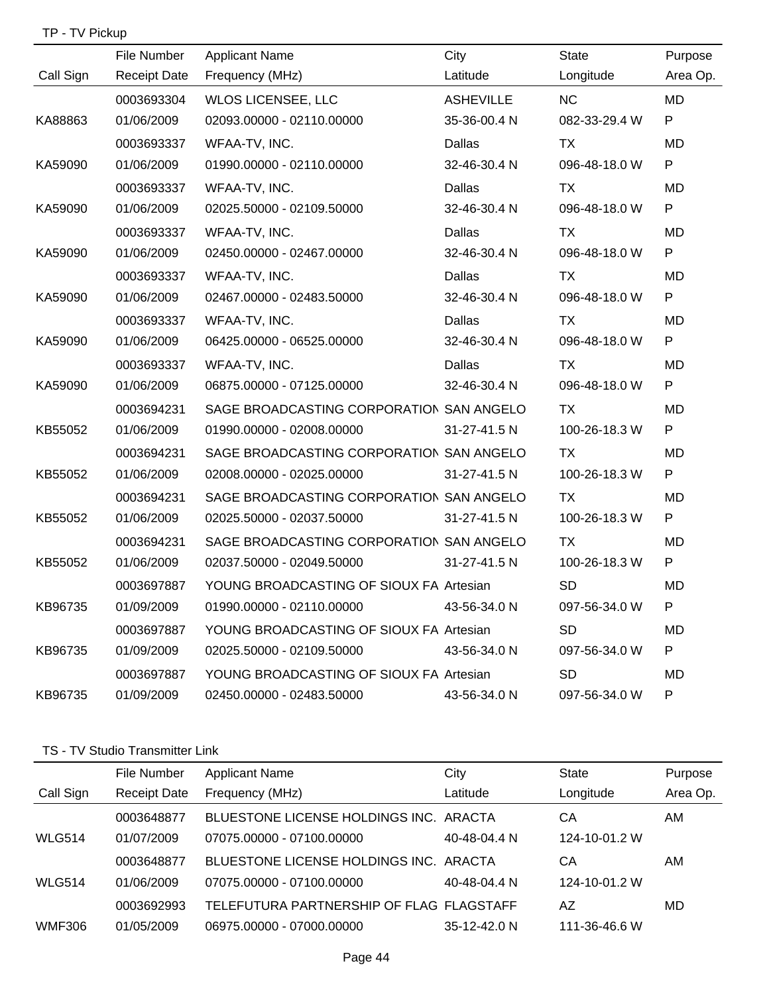| TP - TV Pickup |                     |                                          |                  |               |              |
|----------------|---------------------|------------------------------------------|------------------|---------------|--------------|
|                | File Number         | <b>Applicant Name</b>                    | City             | <b>State</b>  | Purpose      |
| Call Sign      | <b>Receipt Date</b> | Frequency (MHz)                          | Latitude         | Longitude     | Area Op.     |
|                | 0003693304          | <b>WLOS LICENSEE, LLC</b>                | <b>ASHEVILLE</b> | <b>NC</b>     | <b>MD</b>    |
| KA88863        | 01/06/2009          | 02093.00000 - 02110.00000                | 35-36-00.4 N     | 082-33-29.4 W | ${\sf P}$    |
|                | 0003693337          | WFAA-TV, INC.                            | Dallas           | <b>TX</b>     | <b>MD</b>    |
| KA59090        | 01/06/2009          | 01990.00000 - 02110.00000                | 32-46-30.4 N     | 096-48-18.0 W | P            |
|                | 0003693337          | WFAA-TV, INC.                            | Dallas           | <b>TX</b>     | <b>MD</b>    |
| KA59090        | 01/06/2009          | 02025.50000 - 02109.50000                | 32-46-30.4 N     | 096-48-18.0 W | P            |
|                | 0003693337          | WFAA-TV, INC.                            | Dallas           | TX            | <b>MD</b>    |
| KA59090        | 01/06/2009          | 02450.00000 - 02467.00000                | 32-46-30.4 N     | 096-48-18.0 W | P            |
|                | 0003693337          | WFAA-TV, INC.                            | Dallas           | TX            | MD           |
| KA59090        | 01/06/2009          | 02467.00000 - 02483.50000                | 32-46-30.4 N     | 096-48-18.0 W | ${\sf P}$    |
|                | 0003693337          | WFAA-TV, INC.                            | Dallas           | TX            | MD           |
| KA59090        | 01/06/2009          | 06425.00000 - 06525.00000                | 32-46-30.4 N     | 096-48-18.0 W | ${\sf P}$    |
|                | 0003693337          | WFAA-TV, INC.                            | <b>Dallas</b>    | TX            | <b>MD</b>    |
| KA59090        | 01/06/2009          | 06875.00000 - 07125.00000                | 32-46-30.4 N     | 096-48-18.0 W | ${\sf P}$    |
|                | 0003694231          | SAGE BROADCASTING CORPORATION SAN ANGELO |                  | TX            | MD           |
| KB55052        | 01/06/2009          | 01990.00000 - 02008.00000                | 31-27-41.5 N     | 100-26-18.3 W | $\mathsf{P}$ |
|                | 0003694231          | SAGE BROADCASTING CORPORATION SAN ANGELO |                  | <b>TX</b>     | <b>MD</b>    |
| KB55052        | 01/06/2009          | 02008.00000 - 02025.00000                | 31-27-41.5 N     | 100-26-18.3 W | ${\sf P}$    |
|                | 0003694231          | SAGE BROADCASTING CORPORATION SAN ANGELO |                  | <b>TX</b>     | MD.          |
| KB55052        | 01/06/2009          | 02025.50000 - 02037.50000                | 31-27-41.5 N     | 100-26-18.3 W | P            |
|                | 0003694231          | SAGE BROADCASTING CORPORATION SAN ANGELO |                  | <b>TX</b>     | <b>MD</b>    |
| KB55052        | 01/06/2009          | 02037.50000 - 02049.50000                | 31-27-41.5 N     | 100-26-18.3 W | P            |
|                | 0003697887          | YOUNG BROADCASTING OF SIOUX FA Artesian  |                  | SD.           | MD           |
| KB96735        | 01/09/2009          | 01990.00000 - 02110.00000                | 43-56-34.0 N     | 097-56-34.0 W | P            |
|                | 0003697887          | YOUNG BROADCASTING OF SIOUX FA Artesian  |                  | <b>SD</b>     | MD           |
| KB96735        | 01/09/2009          | 02025.50000 - 02109.50000                | 43-56-34.0 N     | 097-56-34.0 W | P            |
|                | 0003697887          | YOUNG BROADCASTING OF SIOUX FA Artesian  |                  | <b>SD</b>     | MD           |
| KB96735        | 01/09/2009          | 02450.00000 - 02483.50000                | 43-56-34.0 N     | 097-56-34.0 W | P            |

#### TS - TV Studio Transmitter Link

|               | File Number         | <b>Applicant Name</b>                    | City         | <b>State</b>  | Purpose  |
|---------------|---------------------|------------------------------------------|--------------|---------------|----------|
| Call Sign     | <b>Receipt Date</b> | Frequency (MHz)                          | Latitude     | Longitude     | Area Op. |
|               | 0003648877          | BLUESTONE LICENSE HOLDINGS INC. ARACTA   |              | CА            | AM       |
| <b>WLG514</b> | 01/07/2009          | 07075.00000 - 07100.00000                | 40-48-04.4 N | 124-10-01.2 W |          |
|               | 0003648877          | BLUESTONE LICENSE HOLDINGS INC. ARACTA   |              | CА            | AM       |
| <b>WLG514</b> | 01/06/2009          | 07075.00000 - 07100.00000                | 40-48-04.4 N | 124-10-01.2 W |          |
|               | 0003692993          | TELEFUTURA PARTNERSHIP OF FLAG FLAGSTAFF |              | AZ            | MD       |
| <b>WMF306</b> | 01/05/2009          | 06975.00000 - 07000.00000                | 35-12-42.0 N | 111-36-46.6 W |          |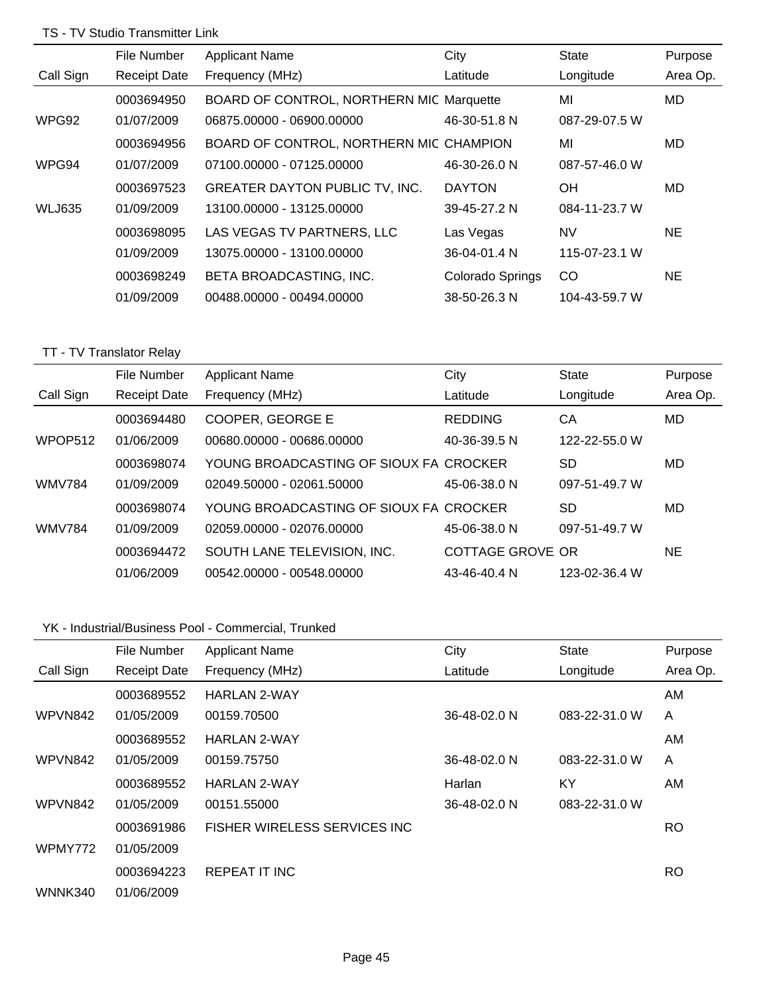# TS - TV Studio Transmitter Link

|               | File Number         | <b>Applicant Name</b>                    | City             | <b>State</b>  | Purpose   |
|---------------|---------------------|------------------------------------------|------------------|---------------|-----------|
| Call Sign     | <b>Receipt Date</b> | Frequency (MHz)                          | Latitude         | Longitude     | Area Op.  |
|               | 0003694950          | BOARD OF CONTROL, NORTHERN MIC Marquette |                  | MI            | <b>MD</b> |
| WPG92         | 01/07/2009          | 06875.00000 - 06900.00000                | 46-30-51.8 N     | 087-29-07.5 W |           |
|               | 0003694956          | BOARD OF CONTROL, NORTHERN MIC CHAMPION  |                  | MI            | MD.       |
| WPG94         | 01/07/2009          | 07100.00000 - 07125.00000                | 46-30-26.0 N     | 087-57-46.0 W |           |
|               | 0003697523          | <b>GREATER DAYTON PUBLIC TV, INC.</b>    | <b>DAYTON</b>    | <b>OH</b>     | MD.       |
| <b>WLJ635</b> | 01/09/2009          | 13100.00000 - 13125.00000                | 39-45-27.2 N     | 084-11-23.7 W |           |
|               | 0003698095          | LAS VEGAS TV PARTNERS, LLC               | Las Vegas        | <b>NV</b>     | NE.       |
|               | 01/09/2009          | 13075.00000 - 13100.00000                | 36-04-01.4 N     | 115-07-23.1 W |           |
|               | 0003698249          | BETA BROADCASTING, INC.                  | Colorado Springs | CO            | NE.       |
|               | 01/09/2009          | 00488.00000 - 00494.00000                | 38-50-26.3 N     | 104-43-59.7 W |           |

## TT - TV Translator Relay

|               | File Number         | <b>Applicant Name</b>                  | City             | <b>State</b>  | Purpose  |
|---------------|---------------------|----------------------------------------|------------------|---------------|----------|
| Call Sign     | <b>Receipt Date</b> | Frequency (MHz)                        | Latitude         | Longitude     | Area Op. |
|               | 0003694480          | COOPER, GEORGE E                       | <b>REDDING</b>   | СA            | MD       |
| WPOP512       | 01/06/2009          | 00680.00000 - 00686.00000              | 40-36-39.5 N     | 122-22-55.0 W |          |
|               | 0003698074          | YOUNG BROADCASTING OF SIOUX FA CROCKER |                  | SD            | MD       |
| <b>WMV784</b> | 01/09/2009          | 02049.50000 - 02061.50000              | 45-06-38.0 N     | 097-51-49.7 W |          |
|               | 0003698074          | YOUNG BROADCASTING OF SIOUX FA CROCKER |                  | <b>SD</b>     | MD       |
| <b>WMV784</b> | 01/09/2009          | 02059.00000 - 02076.00000              | 45-06-38.0 N     | 097-51-49.7 W |          |
|               | 0003694472          | SOUTH LANE TELEVISION, INC.            | COTTAGE GROVE OR |               | NE       |
|               | 01/06/2009          | 00542,00000 - 00548,00000              | 43-46-40.4 N     | 123-02-36.4 W |          |

### YK - Industrial/Business Pool - Commercial, Trunked

|           | File Number         | <b>Applicant Name</b>                | City         | <b>State</b>  | Purpose   |
|-----------|---------------------|--------------------------------------|--------------|---------------|-----------|
| Call Sign | <b>Receipt Date</b> | Frequency (MHz)                      | Latitude     | Longitude     | Area Op.  |
|           | 0003689552          | <b>HARLAN 2-WAY</b>                  |              |               | AM        |
| WPVN842   | 01/05/2009          | 00159.70500                          | 36-48-02.0 N | 083-22-31.0 W | A         |
|           | 0003689552          | <b>HARLAN 2-WAY</b>                  |              |               | AM.       |
| WPVN842   | 01/05/2009          | 00159.75750                          | 36-48-02.0 N | 083-22-31.0 W | A         |
|           | 0003689552          | <b>HARLAN 2-WAY</b>                  | Harlan       | KY            | AM        |
| WPVN842   | 01/05/2009          | 00151.55000                          | 36-48-02.0 N | 083-22-31.0 W |           |
|           | 0003691986          | <b>FISHER WIRELESS SERVICES INC.</b> |              |               | RO.       |
| WPMY772   | 01/05/2009          |                                      |              |               |           |
|           | 0003694223          | REPEAT IT INC                        |              |               | <b>RO</b> |
| WNNK340   | 01/06/2009          |                                      |              |               |           |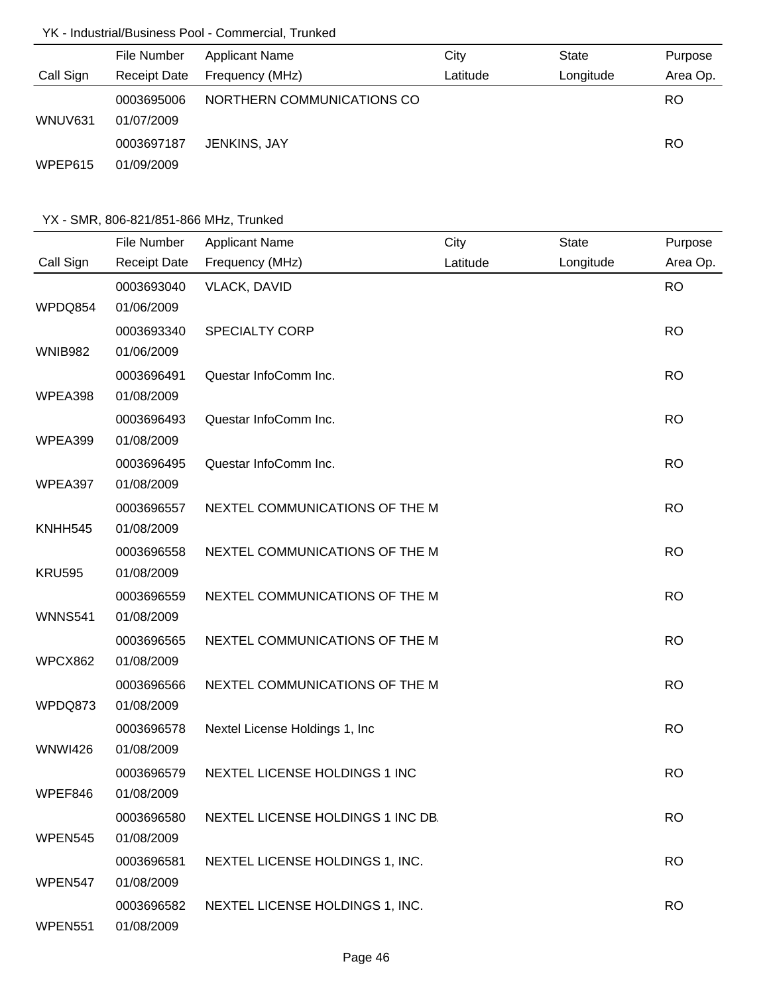# YK - Industrial/Business Pool - Commercial, Trunked

|           | File Number              | <b>Applicant Name</b>      | City     | <b>State</b> | Purpose   |
|-----------|--------------------------|----------------------------|----------|--------------|-----------|
| Call Sign | <b>Receipt Date</b>      | Frequency (MHz)            | Latitude | Longitude    | Area Op.  |
| WNUV631   | 0003695006<br>01/07/2009 | NORTHERN COMMUNICATIONS CO |          |              | <b>RO</b> |
| WPEP615   | 0003697187<br>01/09/2009 | JENKINS, JAY               |          |              | RO.       |

|                | File Number         | <b>Applicant Name</b>             | City     | <b>State</b> | Purpose   |
|----------------|---------------------|-----------------------------------|----------|--------------|-----------|
| Call Sign      | <b>Receipt Date</b> | Frequency (MHz)                   | Latitude | Longitude    | Area Op.  |
|                | 0003693040          | <b>VLACK, DAVID</b>               |          |              | <b>RO</b> |
| WPDQ854        | 01/06/2009          |                                   |          |              |           |
|                | 0003693340          | <b>SPECIALTY CORP</b>             |          |              | <b>RO</b> |
| <b>WNIB982</b> | 01/06/2009          |                                   |          |              |           |
|                | 0003696491          | Questar InfoComm Inc.             |          |              | <b>RO</b> |
| WPEA398        | 01/08/2009          |                                   |          |              |           |
|                | 0003696493          | Questar InfoComm Inc.             |          |              | <b>RO</b> |
| WPEA399        | 01/08/2009          |                                   |          |              |           |
|                | 0003696495          | Questar InfoComm Inc.             |          |              | <b>RO</b> |
| WPEA397        | 01/08/2009          |                                   |          |              |           |
|                | 0003696557          | NEXTEL COMMUNICATIONS OF THE M    |          |              | <b>RO</b> |
| KNHH545        | 01/08/2009          |                                   |          |              |           |
|                | 0003696558          | NEXTEL COMMUNICATIONS OF THE M    |          |              | <b>RO</b> |
| <b>KRU595</b>  | 01/08/2009          |                                   |          |              |           |
|                | 0003696559          | NEXTEL COMMUNICATIONS OF THE M    |          |              | <b>RO</b> |
| <b>WNNS541</b> | 01/08/2009          |                                   |          |              |           |
|                | 0003696565          | NEXTEL COMMUNICATIONS OF THE M    |          |              | <b>RO</b> |
| WPCX862        | 01/08/2009          |                                   |          |              |           |
|                | 0003696566          | NEXTEL COMMUNICATIONS OF THE M    |          |              | <b>RO</b> |
| WPDQ873        | 01/08/2009          |                                   |          |              |           |
|                | 0003696578          | Nextel License Holdings 1, Inc    |          |              | <b>RO</b> |
| <b>WNWI426</b> | 01/08/2009          |                                   |          |              |           |
|                | 0003696579          | NEXTEL LICENSE HOLDINGS 1 INC     |          |              | <b>RO</b> |
| WPEF846        | 01/08/2009          |                                   |          |              |           |
|                | 0003696580          | NEXTEL LICENSE HOLDINGS 1 INC DB. |          |              | <b>RO</b> |
| WPEN545        | 01/08/2009          |                                   |          |              |           |
|                | 0003696581          | NEXTEL LICENSE HOLDINGS 1, INC.   |          |              | <b>RO</b> |
| WPEN547        | 01/08/2009          |                                   |          |              |           |
|                | 0003696582          | NEXTEL LICENSE HOLDINGS 1, INC.   |          |              | <b>RO</b> |
| <b>WPEN551</b> | 01/08/2009          |                                   |          |              |           |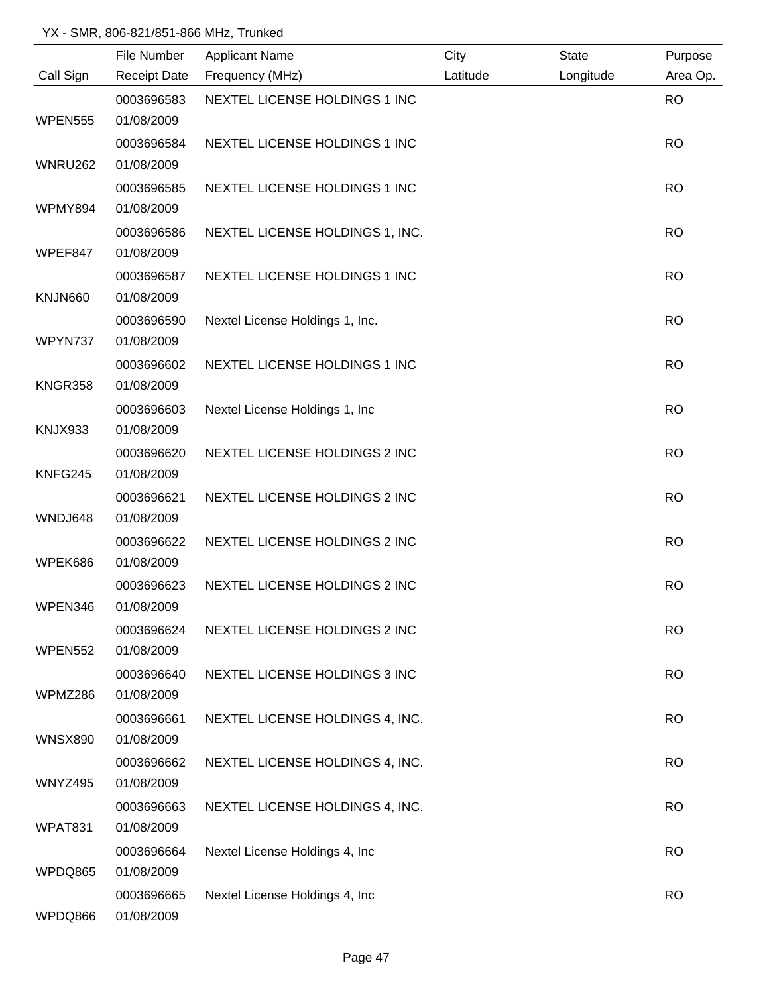|                | File Number              | <b>Applicant Name</b>           | City     | <b>State</b> | Purpose   |
|----------------|--------------------------|---------------------------------|----------|--------------|-----------|
| Call Sign      | <b>Receipt Date</b>      | Frequency (MHz)                 | Latitude | Longitude    | Area Op.  |
|                | 0003696583               | NEXTEL LICENSE HOLDINGS 1 INC   |          |              | <b>RO</b> |
| WPEN555        | 01/08/2009               |                                 |          |              |           |
|                | 0003696584               | NEXTEL LICENSE HOLDINGS 1 INC   |          |              | <b>RO</b> |
| <b>WNRU262</b> | 01/08/2009               |                                 |          |              |           |
|                | 0003696585               | NEXTEL LICENSE HOLDINGS 1 INC   |          |              | <b>RO</b> |
| WPMY894        | 01/08/2009               |                                 |          |              |           |
|                | 0003696586               | NEXTEL LICENSE HOLDINGS 1, INC. |          |              | <b>RO</b> |
| WPEF847        | 01/08/2009               |                                 |          |              |           |
|                | 0003696587               | NEXTEL LICENSE HOLDINGS 1 INC   |          |              | <b>RO</b> |
| KNJN660        | 01/08/2009               |                                 |          |              |           |
|                | 0003696590               | Nextel License Holdings 1, Inc. |          |              | <b>RO</b> |
| WPYN737        | 01/08/2009               |                                 |          |              |           |
|                | 0003696602               | NEXTEL LICENSE HOLDINGS 1 INC   |          |              | <b>RO</b> |
| KNGR358        | 01/08/2009               |                                 |          |              |           |
|                | 0003696603               | Nextel License Holdings 1, Inc. |          |              | <b>RO</b> |
| KNJX933        | 01/08/2009               |                                 |          |              |           |
|                | 0003696620               | NEXTEL LICENSE HOLDINGS 2 INC   |          |              | <b>RO</b> |
| KNFG245        | 01/08/2009               |                                 |          |              |           |
|                | 0003696621               | NEXTEL LICENSE HOLDINGS 2 INC   |          |              | <b>RO</b> |
| WNDJ648        | 01/08/2009               |                                 |          |              |           |
|                | 0003696622               | NEXTEL LICENSE HOLDINGS 2 INC   |          |              | <b>RO</b> |
| WPEK686        | 01/08/2009               |                                 |          |              |           |
| WPEN346        | 0003696623<br>01/08/2009 | NEXTEL LICENSE HOLDINGS 2 INC   |          |              | <b>RO</b> |
|                |                          |                                 |          |              |           |
| <b>WPEN552</b> | 0003696624<br>01/08/2009 | NEXTEL LICENSE HOLDINGS 2 INC   |          |              | <b>RO</b> |
|                | 0003696640               | NEXTEL LICENSE HOLDINGS 3 INC   |          |              | <b>RO</b> |
| WPMZ286        | 01/08/2009               |                                 |          |              |           |
|                | 0003696661               | NEXTEL LICENSE HOLDINGS 4, INC. |          |              | <b>RO</b> |
| <b>WNSX890</b> | 01/08/2009               |                                 |          |              |           |
|                | 0003696662               | NEXTEL LICENSE HOLDINGS 4, INC. |          |              | <b>RO</b> |
| <b>WNYZ495</b> | 01/08/2009               |                                 |          |              |           |
|                | 0003696663               | NEXTEL LICENSE HOLDINGS 4, INC. |          |              | <b>RO</b> |
| WPAT831        | 01/08/2009               |                                 |          |              |           |
|                | 0003696664               | Nextel License Holdings 4, Inc  |          |              | <b>RO</b> |
| WPDQ865        | 01/08/2009               |                                 |          |              |           |
|                | 0003696665               | Nextel License Holdings 4, Inc  |          |              | <b>RO</b> |
| WPDQ866        | 01/08/2009               |                                 |          |              |           |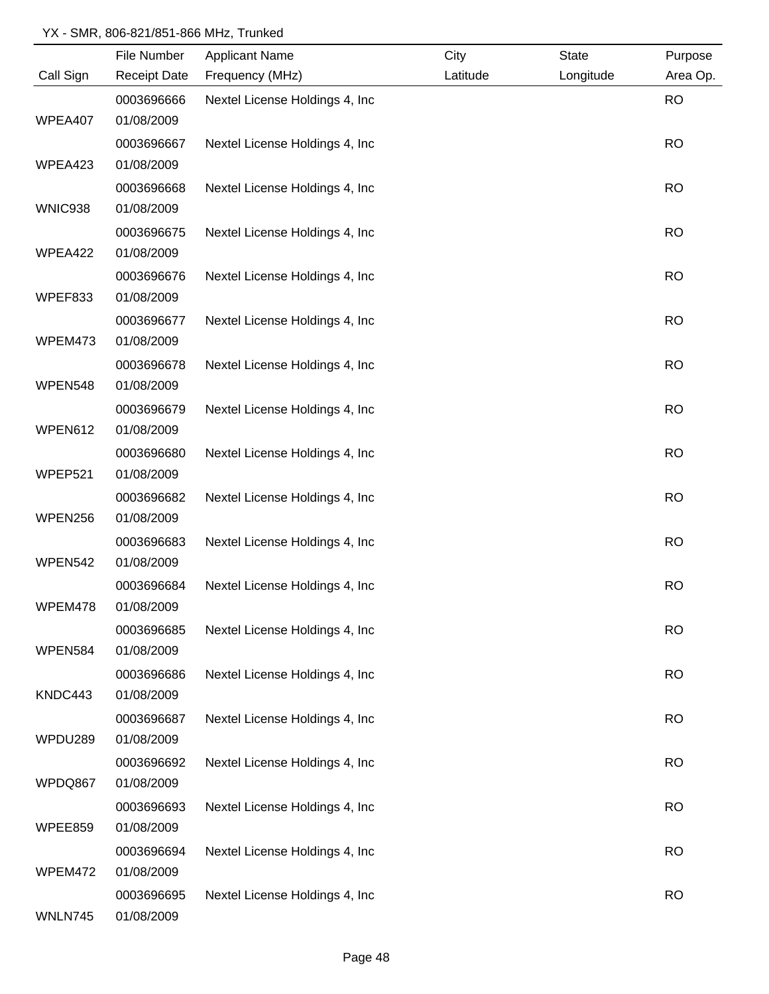|           | File Number         | <b>Applicant Name</b>           | City     | <b>State</b> | Purpose   |
|-----------|---------------------|---------------------------------|----------|--------------|-----------|
| Call Sign | <b>Receipt Date</b> | Frequency (MHz)                 | Latitude | Longitude    | Area Op.  |
|           | 0003696666          | Nextel License Holdings 4, Inc  |          |              | <b>RO</b> |
| WPEA407   | 01/08/2009          |                                 |          |              |           |
|           | 0003696667          | Nextel License Holdings 4, Inc. |          |              | <b>RO</b> |
| WPEA423   | 01/08/2009          |                                 |          |              |           |
|           | 0003696668          | Nextel License Holdings 4, Inc. |          |              | <b>RO</b> |
| WNIC938   | 01/08/2009          |                                 |          |              |           |
|           | 0003696675          | Nextel License Holdings 4, Inc. |          |              | <b>RO</b> |
| WPEA422   | 01/08/2009          |                                 |          |              |           |
|           | 0003696676          | Nextel License Holdings 4, Inc. |          |              | <b>RO</b> |
| WPEF833   | 01/08/2009          |                                 |          |              |           |
|           | 0003696677          | Nextel License Holdings 4, Inc. |          |              | <b>RO</b> |
| WPEM473   | 01/08/2009          |                                 |          |              |           |
|           | 0003696678          | Nextel License Holdings 4, Inc  |          |              | <b>RO</b> |
| WPEN548   | 01/08/2009          |                                 |          |              |           |
|           | 0003696679          | Nextel License Holdings 4, Inc  |          |              | <b>RO</b> |
| WPEN612   | 01/08/2009          |                                 |          |              |           |
|           | 0003696680          | Nextel License Holdings 4, Inc  |          |              | <b>RO</b> |
| WPEP521   | 01/08/2009          |                                 |          |              |           |
|           | 0003696682          | Nextel License Holdings 4, Inc  |          |              | <b>RO</b> |
| WPEN256   | 01/08/2009          |                                 |          |              |           |
|           | 0003696683          | Nextel License Holdings 4, Inc  |          |              | <b>RO</b> |
| WPEN542   | 01/08/2009          |                                 |          |              |           |
|           | 0003696684          | Nextel License Holdings 4, Inc  |          |              | <b>RO</b> |
| WPEM478   | 01/08/2009          |                                 |          |              |           |
|           | 0003696685          | Nextel License Holdings 4, Inc. |          |              | <b>RO</b> |
| WPEN584   | 01/08/2009          |                                 |          |              |           |
|           | 0003696686          | Nextel License Holdings 4, Inc  |          |              | <b>RO</b> |
| KNDC443   | 01/08/2009          |                                 |          |              |           |
|           | 0003696687          | Nextel License Holdings 4, Inc  |          |              | <b>RO</b> |
| WPDU289   | 01/08/2009          |                                 |          |              |           |
|           | 0003696692          | Nextel License Holdings 4, Inc  |          |              | <b>RO</b> |
| WPDQ867   | 01/08/2009          |                                 |          |              |           |
|           | 0003696693          | Nextel License Holdings 4, Inc. |          |              | <b>RO</b> |
| WPEE859   | 01/08/2009          |                                 |          |              |           |
|           | 0003696694          | Nextel License Holdings 4, Inc  |          |              | <b>RO</b> |
| WPEM472   | 01/08/2009          |                                 |          |              |           |
|           | 0003696695          | Nextel License Holdings 4, Inc  |          |              | <b>RO</b> |
| WNLN745   | 01/08/2009          |                                 |          |              |           |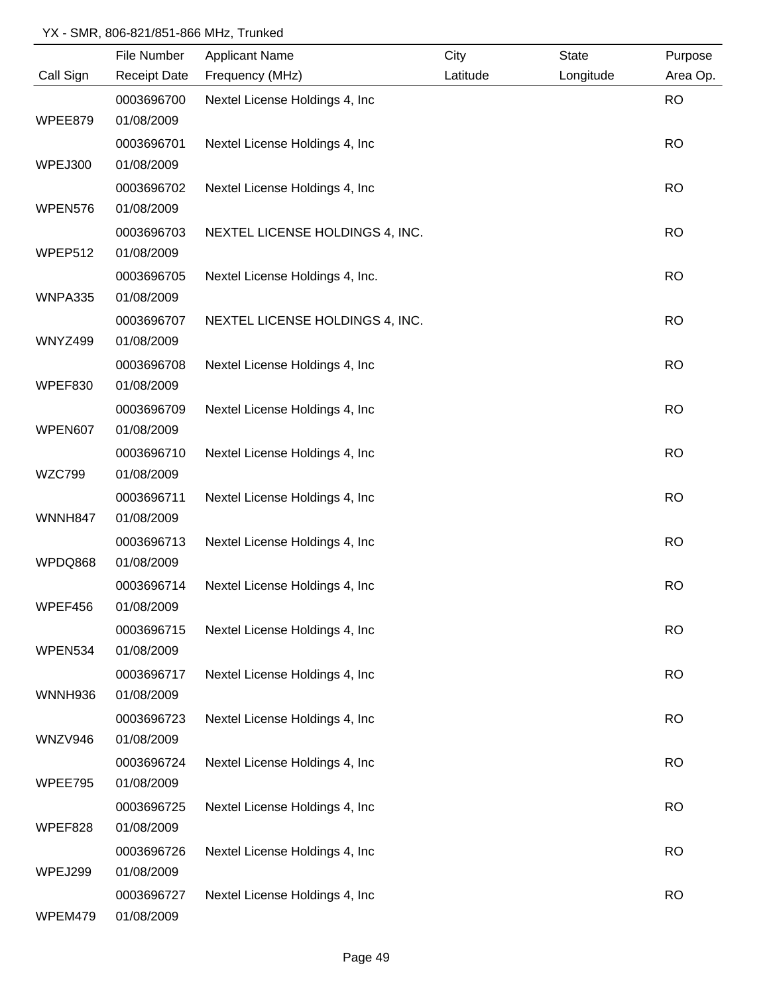|                | File Number         | <b>Applicant Name</b>           | City     | <b>State</b> | Purpose   |
|----------------|---------------------|---------------------------------|----------|--------------|-----------|
| Call Sign      | <b>Receipt Date</b> | Frequency (MHz)                 | Latitude | Longitude    | Area Op.  |
|                | 0003696700          | Nextel License Holdings 4, Inc  |          |              | <b>RO</b> |
| WPEE879        | 01/08/2009          |                                 |          |              |           |
|                | 0003696701          | Nextel License Holdings 4, Inc. |          |              | <b>RO</b> |
| WPEJ300        | 01/08/2009          |                                 |          |              |           |
|                | 0003696702          | Nextel License Holdings 4, Inc. |          |              | <b>RO</b> |
| WPEN576        | 01/08/2009          |                                 |          |              |           |
|                | 0003696703          | NEXTEL LICENSE HOLDINGS 4, INC. |          |              | <b>RO</b> |
| WPEP512        | 01/08/2009          |                                 |          |              |           |
|                | 0003696705          | Nextel License Holdings 4, Inc. |          |              | <b>RO</b> |
| WNPA335        | 01/08/2009          |                                 |          |              |           |
|                | 0003696707          | NEXTEL LICENSE HOLDINGS 4, INC. |          |              | <b>RO</b> |
| <b>WNYZ499</b> | 01/08/2009          |                                 |          |              |           |
|                | 0003696708          | Nextel License Holdings 4, Inc  |          |              | <b>RO</b> |
| WPEF830        | 01/08/2009          |                                 |          |              |           |
|                | 0003696709          | Nextel License Holdings 4, Inc  |          |              | <b>RO</b> |
| WPEN607        | 01/08/2009          |                                 |          |              |           |
|                | 0003696710          | Nextel License Holdings 4, Inc  |          |              | <b>RO</b> |
| <b>WZC799</b>  | 01/08/2009          |                                 |          |              |           |
|                | 0003696711          | Nextel License Holdings 4, Inc  |          |              | <b>RO</b> |
| WNNH847        | 01/08/2009          |                                 |          |              |           |
|                | 0003696713          | Nextel License Holdings 4, Inc. |          |              | <b>RO</b> |
| WPDQ868        | 01/08/2009          |                                 |          |              |           |
|                | 0003696714          | Nextel License Holdings 4, Inc. |          |              | <b>RO</b> |
| WPEF456        | 01/08/2009          |                                 |          |              |           |
|                | 0003696715          | Nextel License Holdings 4, Inc  |          |              | <b>RO</b> |
| WPEN534        | 01/08/2009          |                                 |          |              |           |
|                | 0003696717          | Nextel License Holdings 4, Inc  |          |              | <b>RO</b> |
| <b>WNNH936</b> | 01/08/2009          |                                 |          |              |           |
|                | 0003696723          | Nextel License Holdings 4, Inc  |          |              | <b>RO</b> |
| WNZV946        | 01/08/2009          |                                 |          |              |           |
|                | 0003696724          | Nextel License Holdings 4, Inc  |          |              | <b>RO</b> |
| WPEE795        | 01/08/2009          |                                 |          |              |           |
|                | 0003696725          | Nextel License Holdings 4, Inc  |          |              | <b>RO</b> |
| WPEF828        | 01/08/2009          |                                 |          |              |           |
|                | 0003696726          | Nextel License Holdings 4, Inc  |          |              | <b>RO</b> |
| WPEJ299        | 01/08/2009          |                                 |          |              |           |
|                | 0003696727          | Nextel License Holdings 4, Inc. |          |              | <b>RO</b> |
| WPEM479        | 01/08/2009          |                                 |          |              |           |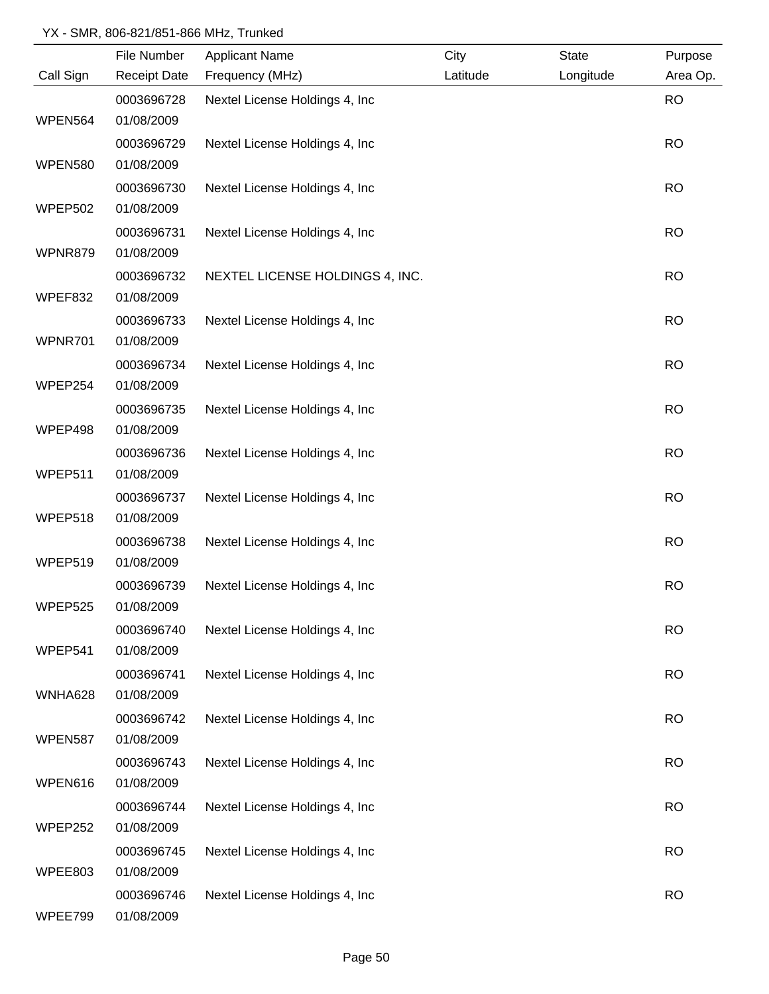|                | File Number         | <b>Applicant Name</b>           | City     | <b>State</b> | Purpose   |
|----------------|---------------------|---------------------------------|----------|--------------|-----------|
| Call Sign      | <b>Receipt Date</b> | Frequency (MHz)                 | Latitude | Longitude    | Area Op.  |
|                | 0003696728          | Nextel License Holdings 4, Inc  |          |              | <b>RO</b> |
| WPEN564        | 01/08/2009          |                                 |          |              |           |
|                | 0003696729          | Nextel License Holdings 4, Inc. |          |              | <b>RO</b> |
| <b>WPEN580</b> | 01/08/2009          |                                 |          |              |           |
|                | 0003696730          | Nextel License Holdings 4, Inc. |          |              | <b>RO</b> |
| WPEP502        | 01/08/2009          |                                 |          |              |           |
|                | 0003696731          | Nextel License Holdings 4, Inc. |          |              | <b>RO</b> |
| WPNR879        | 01/08/2009          |                                 |          |              |           |
|                | 0003696732          | NEXTEL LICENSE HOLDINGS 4, INC. |          |              | <b>RO</b> |
| WPEF832        | 01/08/2009          |                                 |          |              |           |
|                | 0003696733          | Nextel License Holdings 4, Inc. |          |              | <b>RO</b> |
| WPNR701        | 01/08/2009          |                                 |          |              |           |
|                | 0003696734          | Nextel License Holdings 4, Inc  |          |              | <b>RO</b> |
| WPEP254        | 01/08/2009          |                                 |          |              |           |
|                | 0003696735          | Nextel License Holdings 4, Inc  |          |              | <b>RO</b> |
| WPEP498        | 01/08/2009          |                                 |          |              |           |
|                | 0003696736          | Nextel License Holdings 4, Inc  |          |              | <b>RO</b> |
| WPEP511        | 01/08/2009          |                                 |          |              |           |
|                | 0003696737          | Nextel License Holdings 4, Inc  |          |              | <b>RO</b> |
| WPEP518        | 01/08/2009          |                                 |          |              |           |
|                | 0003696738          | Nextel License Holdings 4, Inc  |          |              | <b>RO</b> |
| WPEP519        | 01/08/2009          |                                 |          |              |           |
|                | 0003696739          | Nextel License Holdings 4, Inc  |          |              | <b>RO</b> |
| WPEP525        | 01/08/2009          |                                 |          |              |           |
|                | 0003696740          | Nextel License Holdings 4, Inc. |          |              | <b>RO</b> |
| WPEP541        | 01/08/2009          |                                 |          |              |           |
|                | 0003696741          | Nextel License Holdings 4, Inc  |          |              | <b>RO</b> |
| WNHA628        | 01/08/2009          |                                 |          |              |           |
|                | 0003696742          | Nextel License Holdings 4, Inc  |          |              | <b>RO</b> |
| WPEN587        | 01/08/2009          |                                 |          |              |           |
|                | 0003696743          | Nextel License Holdings 4, Inc  |          |              | <b>RO</b> |
| WPEN616        | 01/08/2009          |                                 |          |              |           |
|                | 0003696744          | Nextel License Holdings 4, Inc  |          |              | <b>RO</b> |
| WPEP252        | 01/08/2009          |                                 |          |              |           |
|                | 0003696745          | Nextel License Holdings 4, Inc  |          |              | <b>RO</b> |
| WPEE803        | 01/08/2009          |                                 |          |              |           |
|                | 0003696746          | Nextel License Holdings 4, Inc  |          |              | <b>RO</b> |
| WPEE799        | 01/08/2009          |                                 |          |              |           |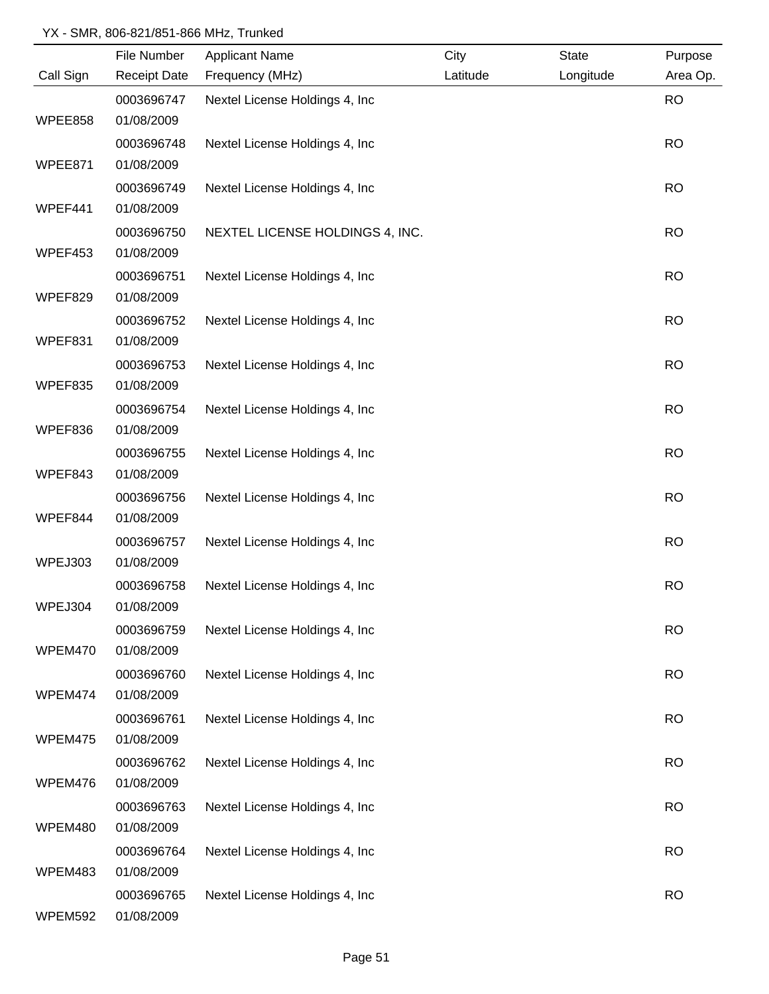|           | File Number              | <b>Applicant Name</b>           | City     | <b>State</b> | Purpose   |
|-----------|--------------------------|---------------------------------|----------|--------------|-----------|
| Call Sign | <b>Receipt Date</b>      | Frequency (MHz)                 | Latitude | Longitude    | Area Op.  |
|           | 0003696747               | Nextel License Holdings 4, Inc  |          |              | <b>RO</b> |
| WPEE858   | 01/08/2009               |                                 |          |              |           |
|           | 0003696748               | Nextel License Holdings 4, Inc  |          |              | <b>RO</b> |
| WPEE871   | 01/08/2009               |                                 |          |              |           |
|           | 0003696749               | Nextel License Holdings 4, Inc. |          |              | <b>RO</b> |
| WPEF441   | 01/08/2009               |                                 |          |              |           |
|           | 0003696750               | NEXTEL LICENSE HOLDINGS 4, INC. |          |              | <b>RO</b> |
| WPEF453   | 01/08/2009               |                                 |          |              |           |
|           | 0003696751               | Nextel License Holdings 4, Inc  |          |              | <b>RO</b> |
| WPEF829   | 01/08/2009               |                                 |          |              |           |
|           | 0003696752               | Nextel License Holdings 4, Inc  |          |              | <b>RO</b> |
| WPEF831   | 01/08/2009               |                                 |          |              |           |
|           | 0003696753               | Nextel License Holdings 4, Inc  |          |              | <b>RO</b> |
| WPEF835   | 01/08/2009               |                                 |          |              |           |
|           | 0003696754               | Nextel License Holdings 4, Inc  |          |              | <b>RO</b> |
| WPEF836   | 01/08/2009               |                                 |          |              |           |
|           | 0003696755               | Nextel License Holdings 4, Inc  |          |              | <b>RO</b> |
| WPEF843   | 01/08/2009               |                                 |          |              |           |
|           | 0003696756               | Nextel License Holdings 4, Inc  |          |              | <b>RO</b> |
| WPEF844   | 01/08/2009               |                                 |          |              |           |
|           | 0003696757               | Nextel License Holdings 4, Inc  |          |              | <b>RO</b> |
| WPEJ303   | 01/08/2009               |                                 |          |              |           |
|           | 0003696758               | Nextel License Holdings 4, Inc. |          |              | <b>RO</b> |
| WPEJ304   | 01/08/2009               |                                 |          |              |           |
| WPEM470   | 0003696759<br>01/08/2009 | Nextel License Holdings 4, Inc  |          |              | <b>RO</b> |
|           |                          |                                 |          |              |           |
| WPEM474   | 0003696760<br>01/08/2009 | Nextel License Holdings 4, Inc  |          |              | <b>RO</b> |
|           | 0003696761               | Nextel License Holdings 4, Inc  |          |              | <b>RO</b> |
| WPEM475   | 01/08/2009               |                                 |          |              |           |
|           | 0003696762               | Nextel License Holdings 4, Inc  |          |              | <b>RO</b> |
| WPEM476   | 01/08/2009               |                                 |          |              |           |
|           | 0003696763               | Nextel License Holdings 4, Inc  |          |              | <b>RO</b> |
| WPEM480   | 01/08/2009               |                                 |          |              |           |
|           | 0003696764               | Nextel License Holdings 4, Inc  |          |              | <b>RO</b> |
| WPEM483   | 01/08/2009               |                                 |          |              |           |
|           | 0003696765               | Nextel License Holdings 4, Inc  |          |              | <b>RO</b> |
| WPEM592   | 01/08/2009               |                                 |          |              |           |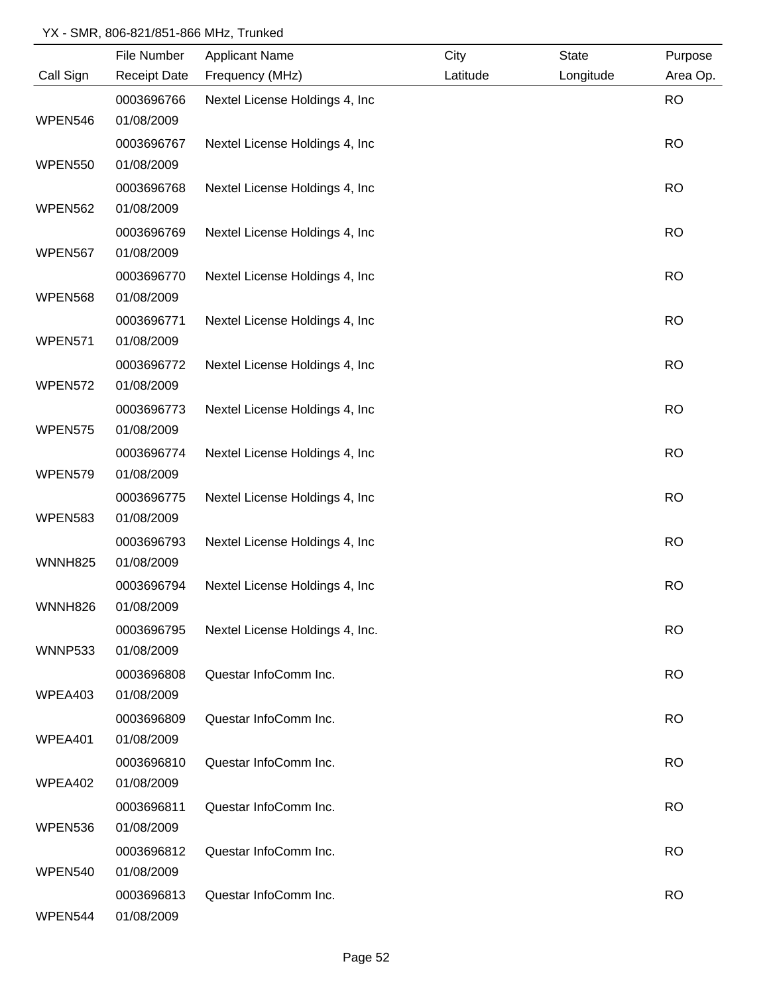|                | File Number         | <b>Applicant Name</b>           | City     | <b>State</b> | Purpose   |
|----------------|---------------------|---------------------------------|----------|--------------|-----------|
| Call Sign      | <b>Receipt Date</b> | Frequency (MHz)                 | Latitude | Longitude    | Area Op.  |
|                | 0003696766          | Nextel License Holdings 4, Inc  |          |              | <b>RO</b> |
| WPEN546        | 01/08/2009          |                                 |          |              |           |
|                | 0003696767          | Nextel License Holdings 4, Inc. |          |              | <b>RO</b> |
| <b>WPEN550</b> | 01/08/2009          |                                 |          |              |           |
|                | 0003696768          | Nextel License Holdings 4, Inc. |          |              | <b>RO</b> |
| WPEN562        | 01/08/2009          |                                 |          |              |           |
|                | 0003696769          | Nextel License Holdings 4, Inc. |          |              | <b>RO</b> |
| WPEN567        | 01/08/2009          |                                 |          |              |           |
|                | 0003696770          | Nextel License Holdings 4, Inc  |          |              | <b>RO</b> |
| <b>WPEN568</b> | 01/08/2009          |                                 |          |              |           |
|                | 0003696771          | Nextel License Holdings 4, Inc  |          |              | <b>RO</b> |
| WPEN571        | 01/08/2009          |                                 |          |              |           |
|                | 0003696772          | Nextel License Holdings 4, Inc  |          |              | <b>RO</b> |
| WPEN572        | 01/08/2009          |                                 |          |              |           |
|                | 0003696773          | Nextel License Holdings 4, Inc  |          |              | <b>RO</b> |
| WPEN575        | 01/08/2009          |                                 |          |              |           |
|                | 0003696774          | Nextel License Holdings 4, Inc  |          |              | <b>RO</b> |
| WPEN579        | 01/08/2009          |                                 |          |              |           |
|                | 0003696775          | Nextel License Holdings 4, Inc  |          |              | <b>RO</b> |
| WPEN583        | 01/08/2009          |                                 |          |              |           |
|                | 0003696793          | Nextel License Holdings 4, Inc  |          |              | <b>RO</b> |
| <b>WNNH825</b> | 01/08/2009          |                                 |          |              |           |
|                | 0003696794          | Nextel License Holdings 4, Inc. |          |              | <b>RO</b> |
| <b>WNNH826</b> | 01/08/2009          |                                 |          |              |           |
|                | 0003696795          | Nextel License Holdings 4, Inc. |          |              | <b>RO</b> |
| WNNP533        | 01/08/2009          |                                 |          |              |           |
|                | 0003696808          | Questar InfoComm Inc.           |          |              | <b>RO</b> |
| WPEA403        | 01/08/2009          |                                 |          |              |           |
|                | 0003696809          | Questar InfoComm Inc.           |          |              | <b>RO</b> |
| WPEA401        | 01/08/2009          |                                 |          |              |           |
|                | 0003696810          | Questar InfoComm Inc.           |          |              | <b>RO</b> |
| WPEA402        | 01/08/2009          |                                 |          |              |           |
|                | 0003696811          | Questar InfoComm Inc.           |          |              | <b>RO</b> |
| WPEN536        | 01/08/2009          |                                 |          |              |           |
|                | 0003696812          | Questar InfoComm Inc.           |          |              | <b>RO</b> |
| WPEN540        | 01/08/2009          |                                 |          |              |           |
|                | 0003696813          | Questar InfoComm Inc.           |          |              | <b>RO</b> |
| WPEN544        | 01/08/2009          |                                 |          |              |           |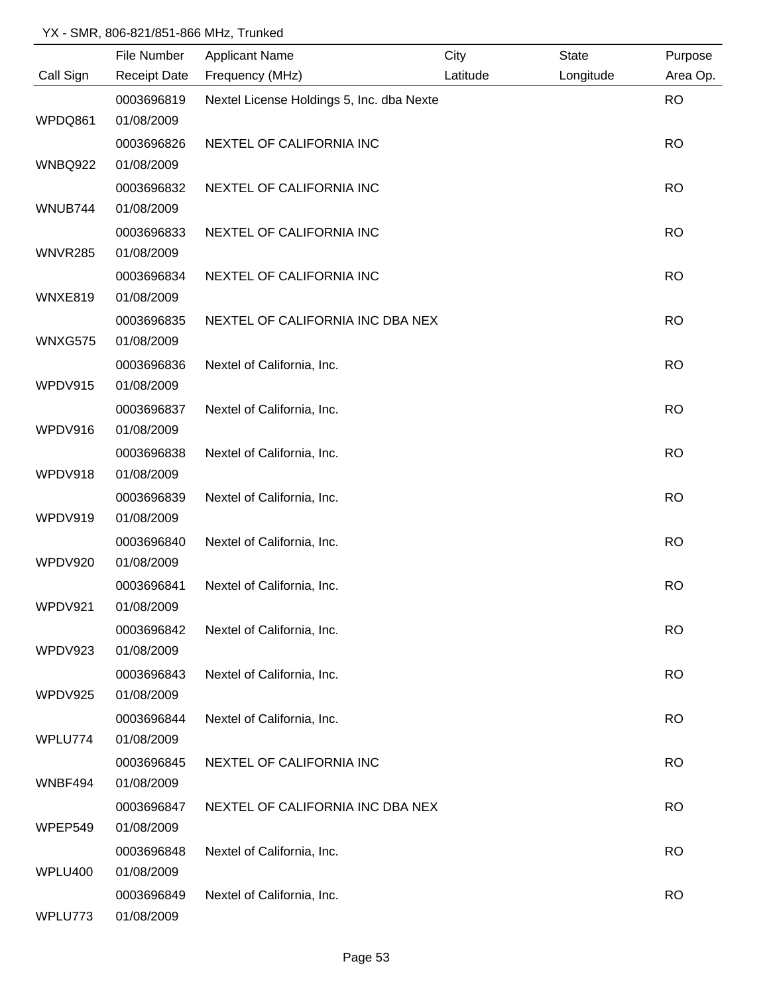|                | File Number         | <b>Applicant Name</b>                     | City     | <b>State</b> | Purpose   |
|----------------|---------------------|-------------------------------------------|----------|--------------|-----------|
| Call Sign      | <b>Receipt Date</b> | Frequency (MHz)                           | Latitude | Longitude    | Area Op.  |
|                | 0003696819          | Nextel License Holdings 5, Inc. dba Nexte |          |              | <b>RO</b> |
| WPDQ861        | 01/08/2009          |                                           |          |              |           |
|                | 0003696826          | NEXTEL OF CALIFORNIA INC                  |          |              | <b>RO</b> |
| <b>WNBQ922</b> | 01/08/2009          |                                           |          |              |           |
|                | 0003696832          | NEXTEL OF CALIFORNIA INC                  |          |              | <b>RO</b> |
| WNUB744        | 01/08/2009          |                                           |          |              |           |
|                | 0003696833          | NEXTEL OF CALIFORNIA INC                  |          |              | <b>RO</b> |
| WNVR285        | 01/08/2009          |                                           |          |              |           |
|                | 0003696834          | NEXTEL OF CALIFORNIA INC                  |          |              | <b>RO</b> |
| WNXE819        | 01/08/2009          |                                           |          |              |           |
|                | 0003696835          | NEXTEL OF CALIFORNIA INC DBA NEX          |          |              | <b>RO</b> |
| WNXG575        | 01/08/2009          |                                           |          |              |           |
|                | 0003696836          | Nextel of California, Inc.                |          |              | <b>RO</b> |
| WPDV915        | 01/08/2009          |                                           |          |              |           |
|                | 0003696837          | Nextel of California, Inc.                |          |              | <b>RO</b> |
| WPDV916        | 01/08/2009          |                                           |          |              |           |
|                | 0003696838          | Nextel of California, Inc.                |          |              | <b>RO</b> |
| WPDV918        | 01/08/2009          |                                           |          |              |           |
|                | 0003696839          | Nextel of California, Inc.                |          |              | <b>RO</b> |
| WPDV919        | 01/08/2009          |                                           |          |              |           |
|                | 0003696840          | Nextel of California, Inc.                |          |              | <b>RO</b> |
| WPDV920        | 01/08/2009          |                                           |          |              |           |
|                | 0003696841          | Nextel of California, Inc.                |          |              | <b>RO</b> |
| WPDV921        | 01/08/2009          |                                           |          |              |           |
|                | 0003696842          | Nextel of California, Inc.                |          |              | <b>RO</b> |
| WPDV923        | 01/08/2009          |                                           |          |              |           |
|                | 0003696843          | Nextel of California, Inc.                |          |              | <b>RO</b> |
| WPDV925        | 01/08/2009          |                                           |          |              |           |
|                | 0003696844          | Nextel of California, Inc.                |          |              | <b>RO</b> |
| WPLU774        | 01/08/2009          |                                           |          |              |           |
|                | 0003696845          |                                           |          |              |           |
| WNBF494        | 01/08/2009          | NEXTEL OF CALIFORNIA INC                  |          |              | <b>RO</b> |
|                |                     |                                           |          |              |           |
|                | 0003696847          | NEXTEL OF CALIFORNIA INC DBA NEX          |          |              | <b>RO</b> |
| WPEP549        | 01/08/2009          |                                           |          |              |           |
|                | 0003696848          | Nextel of California, Inc.                |          |              | <b>RO</b> |
| WPLU400        | 01/08/2009          |                                           |          |              |           |
|                | 0003696849          | Nextel of California, Inc.                |          |              | <b>RO</b> |
| WPLU773        | 01/08/2009          |                                           |          |              |           |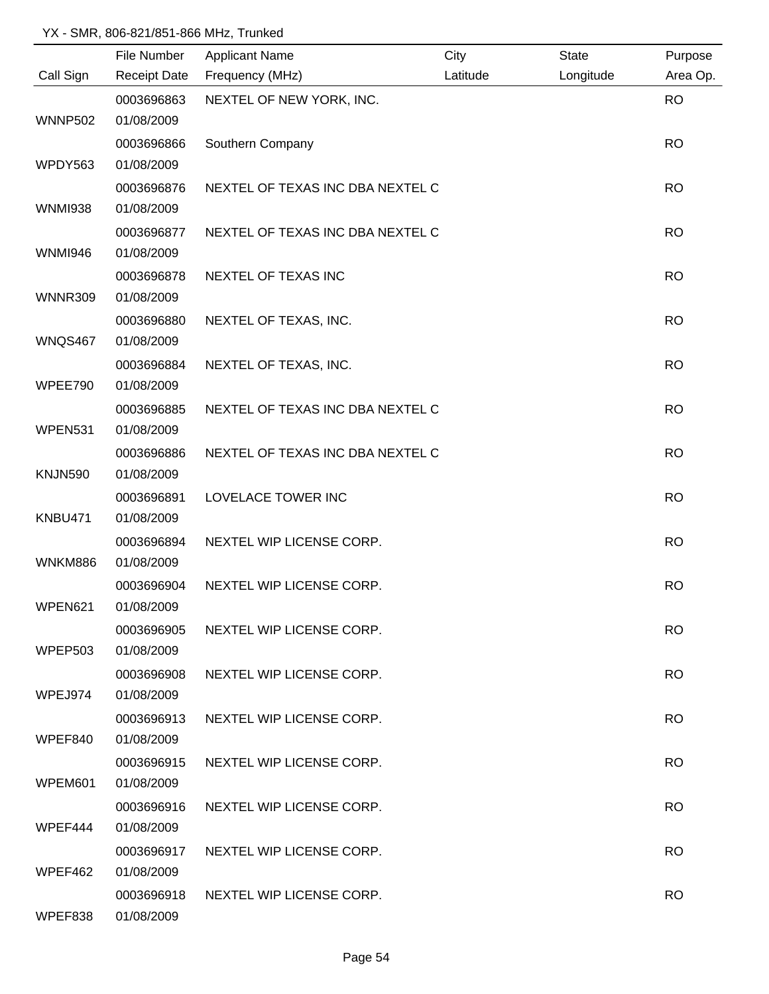|                | File Number         | <b>Applicant Name</b>            | City     | <b>State</b> | Purpose   |
|----------------|---------------------|----------------------------------|----------|--------------|-----------|
| Call Sign      | <b>Receipt Date</b> | Frequency (MHz)                  | Latitude | Longitude    | Area Op.  |
|                | 0003696863          | NEXTEL OF NEW YORK, INC.         |          |              | <b>RO</b> |
| <b>WNNP502</b> | 01/08/2009          |                                  |          |              |           |
|                | 0003696866          | Southern Company                 |          |              | <b>RO</b> |
| WPDY563        | 01/08/2009          |                                  |          |              |           |
|                | 0003696876          | NEXTEL OF TEXAS INC DBA NEXTEL C |          |              | <b>RO</b> |
| <b>WNMI938</b> | 01/08/2009          |                                  |          |              |           |
|                | 0003696877          | NEXTEL OF TEXAS INC DBA NEXTEL C |          |              | <b>RO</b> |
| <b>WNMI946</b> | 01/08/2009          |                                  |          |              |           |
|                | 0003696878          | NEXTEL OF TEXAS INC              |          |              | <b>RO</b> |
| <b>WNNR309</b> | 01/08/2009          |                                  |          |              |           |
|                | 0003696880          | NEXTEL OF TEXAS, INC.            |          |              | <b>RO</b> |
| WNQS467        | 01/08/2009          |                                  |          |              |           |
|                | 0003696884          | NEXTEL OF TEXAS, INC.            |          |              | <b>RO</b> |
| WPEE790        | 01/08/2009          |                                  |          |              |           |
|                | 0003696885          | NEXTEL OF TEXAS INC DBA NEXTEL C |          |              | <b>RO</b> |
| WPEN531        | 01/08/2009          |                                  |          |              |           |
|                | 0003696886          | NEXTEL OF TEXAS INC DBA NEXTEL C |          |              | <b>RO</b> |
| <b>KNJN590</b> | 01/08/2009          |                                  |          |              |           |
|                | 0003696891          | LOVELACE TOWER INC               |          |              | <b>RO</b> |
| KNBU471        | 01/08/2009          |                                  |          |              |           |
|                | 0003696894          | NEXTEL WIP LICENSE CORP.         |          |              | <b>RO</b> |
| WNKM886        | 01/08/2009          |                                  |          |              |           |
|                | 0003696904          | NEXTEL WIP LICENSE CORP.         |          |              | <b>RO</b> |
| WPEN621        | 01/08/2009          |                                  |          |              |           |
|                | 0003696905          | NEXTEL WIP LICENSE CORP.         |          |              | <b>RO</b> |
| <b>WPEP503</b> | 01/08/2009          |                                  |          |              |           |
|                | 0003696908          | NEXTEL WIP LICENSE CORP.         |          |              | <b>RO</b> |
| WPEJ974        | 01/08/2009          |                                  |          |              |           |
|                | 0003696913          | NEXTEL WIP LICENSE CORP.         |          |              | <b>RO</b> |
| WPEF840        | 01/08/2009          |                                  |          |              |           |
|                | 0003696915          | NEXTEL WIP LICENSE CORP.         |          |              | <b>RO</b> |
| WPEM601        | 01/08/2009          |                                  |          |              |           |
|                | 0003696916          | NEXTEL WIP LICENSE CORP.         |          |              | <b>RO</b> |
| WPEF444        | 01/08/2009          |                                  |          |              |           |
|                | 0003696917          | NEXTEL WIP LICENSE CORP.         |          |              | <b>RO</b> |
| WPEF462        | 01/08/2009          |                                  |          |              |           |
|                | 0003696918          | NEXTEL WIP LICENSE CORP.         |          |              | <b>RO</b> |
| WPEF838        | 01/08/2009          |                                  |          |              |           |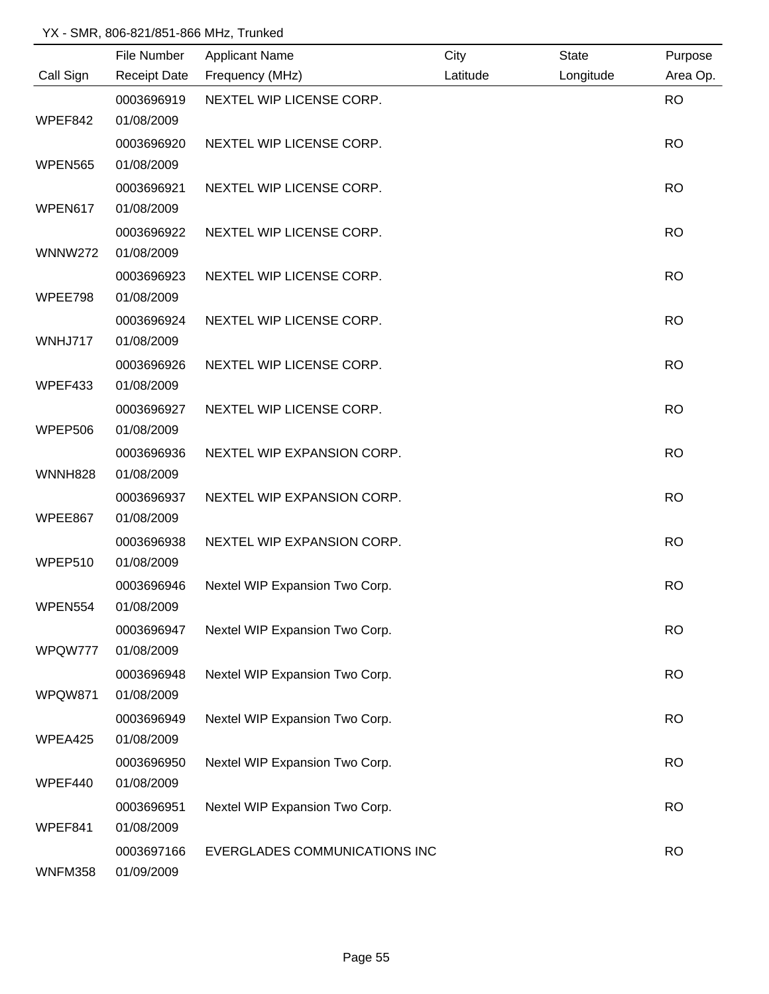|                | File Number              | <b>Applicant Name</b>          | City     | <b>State</b> | Purpose   |
|----------------|--------------------------|--------------------------------|----------|--------------|-----------|
| Call Sign      | <b>Receipt Date</b>      | Frequency (MHz)                | Latitude | Longitude    | Area Op.  |
|                | 0003696919               | NEXTEL WIP LICENSE CORP.       |          |              | <b>RO</b> |
| WPEF842        | 01/08/2009               |                                |          |              |           |
|                | 0003696920               | NEXTEL WIP LICENSE CORP.       |          |              | <b>RO</b> |
| <b>WPEN565</b> | 01/08/2009               |                                |          |              |           |
|                | 0003696921               | NEXTEL WIP LICENSE CORP.       |          |              | <b>RO</b> |
| WPEN617        | 01/08/2009               |                                |          |              |           |
|                | 0003696922               | NEXTEL WIP LICENSE CORP.       |          |              | <b>RO</b> |
| <b>WNNW272</b> | 01/08/2009               |                                |          |              |           |
|                | 0003696923               | NEXTEL WIP LICENSE CORP.       |          |              | <b>RO</b> |
| WPEE798        | 01/08/2009               |                                |          |              |           |
|                | 0003696924               | NEXTEL WIP LICENSE CORP.       |          |              | <b>RO</b> |
| WNHJ717        | 01/08/2009               |                                |          |              |           |
|                | 0003696926               | NEXTEL WIP LICENSE CORP.       |          |              | <b>RO</b> |
| WPEF433        | 01/08/2009               |                                |          |              |           |
| WPEP506        | 0003696927<br>01/08/2009 | NEXTEL WIP LICENSE CORP.       |          |              | <b>RO</b> |
|                | 0003696936               | NEXTEL WIP EXPANSION CORP.     |          |              | <b>RO</b> |
| <b>WNNH828</b> | 01/08/2009               |                                |          |              |           |
|                | 0003696937               | NEXTEL WIP EXPANSION CORP.     |          |              | <b>RO</b> |
| WPEE867        | 01/08/2009               |                                |          |              |           |
|                | 0003696938               | NEXTEL WIP EXPANSION CORP.     |          |              | <b>RO</b> |
| WPEP510        | 01/08/2009               |                                |          |              |           |
|                | 0003696946               | Nextel WIP Expansion Two Corp. |          |              | <b>RO</b> |
| WPEN554        | 01/08/2009               |                                |          |              |           |
|                | 0003696947               | Nextel WIP Expansion Two Corp. |          |              | <b>RO</b> |
| WPQW777        | 01/08/2009               |                                |          |              |           |
|                | 0003696948               | Nextel WIP Expansion Two Corp. |          |              | <b>RO</b> |
| WPQW871        | 01/08/2009               |                                |          |              |           |
|                | 0003696949               | Nextel WIP Expansion Two Corp. |          |              | <b>RO</b> |
| WPEA425        | 01/08/2009               |                                |          |              |           |
|                | 0003696950               | Nextel WIP Expansion Two Corp. |          |              | <b>RO</b> |
| WPEF440        | 01/08/2009               |                                |          |              |           |
|                | 0003696951               | Nextel WIP Expansion Two Corp. |          |              | <b>RO</b> |
| WPEF841        | 01/08/2009               |                                |          |              |           |
|                | 0003697166               | EVERGLADES COMMUNICATIONS INC  |          |              | <b>RO</b> |
| WNFM358        | 01/09/2009               |                                |          |              |           |